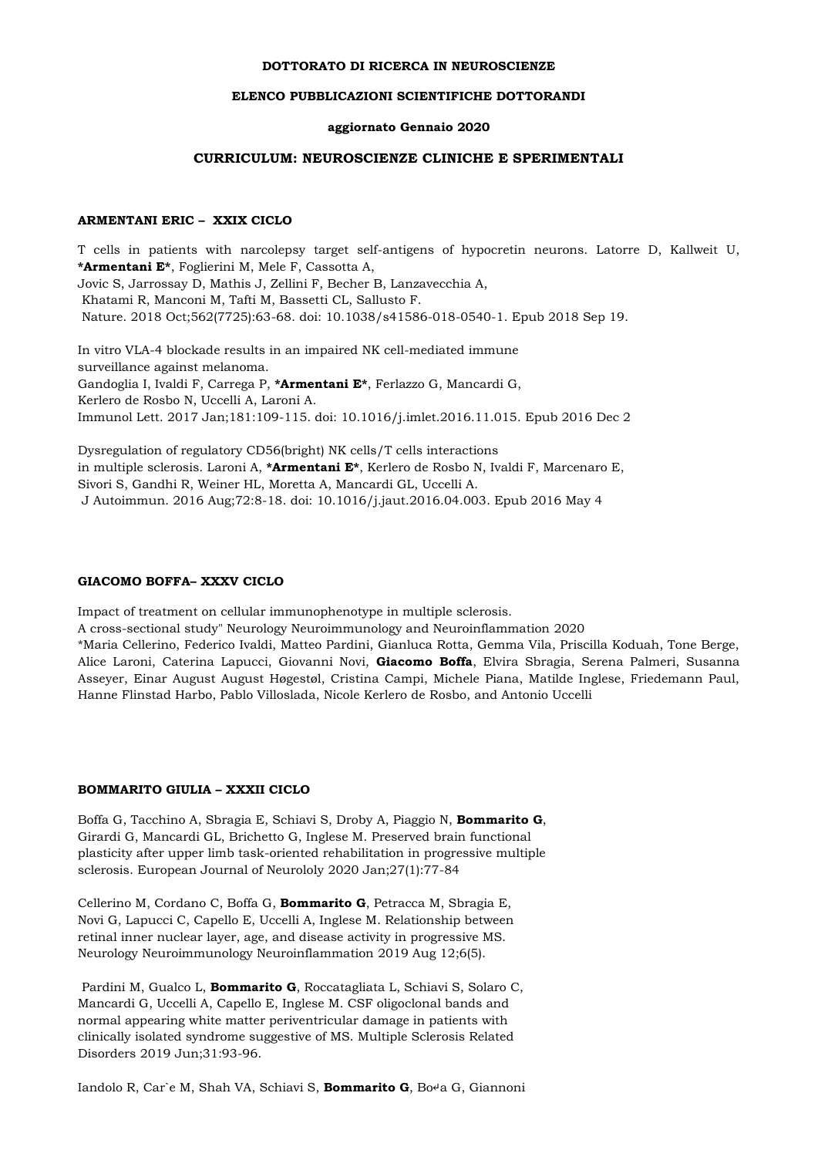#### **DOTTORATO DI RICERCA IN NEUROSCIENZE**

## **ELENCO PUBBLICAZIONI SCIENTIFICHE DOTTORANDI**

#### **aggiornato Gennaio 2020**

#### **CURRICULUM: NEUROSCIENZE CLINICHE E SPERIMENTALI**

## **ARMENTANI ERIC – XXIX CICLO**

T cells in patients with narcolepsy target self-antigens of hypocretin neurons. Latorre D, Kallweit U, **\*Armentani E\***, Foglierini M, Mele F, Cassotta A, Jovic S, Jarrossay D, Mathis J, Zellini F, Becher B, Lanzavecchia A, Khatami R, Manconi M, Tafti M, Bassetti CL, Sallusto F. Nature. 2018 Oct;562(7725):63-68. doi: 10.1038/s41586-018-0540-1. Epub 2018 Sep 19.

In vitro VLA-4 blockade results in an impaired NK cell-mediated immune surveillance against melanoma. Gandoglia I, Ivaldi F, Carrega P, **\*Armentani E\***, Ferlazzo G, Mancardi G, Kerlero de Rosbo N, Uccelli A, Laroni A. Immunol Lett. 2017 Jan;181:109-115. doi: 10.1016/j.imlet.2016.11.015. Epub 2016 Dec 2

Dysregulation of regulatory CD56(bright) NK cells/T cells interactions in multiple sclerosis. Laroni A, **\*Armentani E\***, Kerlero de Rosbo N, Ivaldi F, Marcenaro E, Sivori S, Gandhi R, Weiner HL, Moretta A, Mancardi GL, Uccelli A. J Autoimmun. 2016 Aug;72:8-18. doi: 10.1016/j.jaut.2016.04.003. Epub 2016 May 4

#### **GIACOMO BOFFA– XXXV CICLO**

Impact of treatment on cellular immunophenotype in multiple sclerosis.

A cross-sectional study" Neurology Neuroimmunology and Neuroinflammation 2020

\*Maria Cellerino, Federico Ivaldi, Matteo Pardini, Gianluca Rotta, Gemma Vila, Priscilla Koduah, Tone Berge, Alice Laroni, Caterina Lapucci, Giovanni Novi, **Giacomo Boffa**, Elvira Sbragia, Serena Palmeri, Susanna Asseyer, Einar August August Høgestøl, Cristina Campi, Michele Piana, Matilde Inglese, Friedemann Paul, Hanne Flinstad Harbo, Pablo Villoslada, Nicole Kerlero de Rosbo, and Antonio Uccelli

#### **BOMMARITO GIULIA – XXXII CICLO**

Boffa G, Tacchino A, Sbragia E, Schiavi S, Droby A, Piaggio N, **Bommarito G**, Girardi G, Mancardi GL, Brichetto G, Inglese M. Preserved brain functional plasticity after upper limb task-oriented rehabilitation in progressive multiple sclerosis. European Journal of Neurololy 2020 Jan;27(1):77-84

Cellerino M, Cordano C, Boffa G, **Bommarito G**, Petracca M, Sbragia E, Novi G, Lapucci C, Capello E, Uccelli A, Inglese M. Relationship between retinal inner nuclear layer, age, and disease activity in progressive MS. Neurology Neuroimmunology Neuroinflammation 2019 Aug 12;6(5).

Pardini M, Gualco L, **Bommarito G**, Roccatagliata L, Schiavi S, Solaro C, Mancardi G, Uccelli A, Capello E, Inglese M. CSF oligoclonal bands and normal appearing white matter periventricular damage in patients with clinically isolated syndrome suggestive of MS. Multiple Sclerosis Related Disorders 2019 Jun;31:93-96.

Iandolo R, Car`e M, Shah VA, Schiavi S, **Bommarito G**, Bo↵a G, Giannoni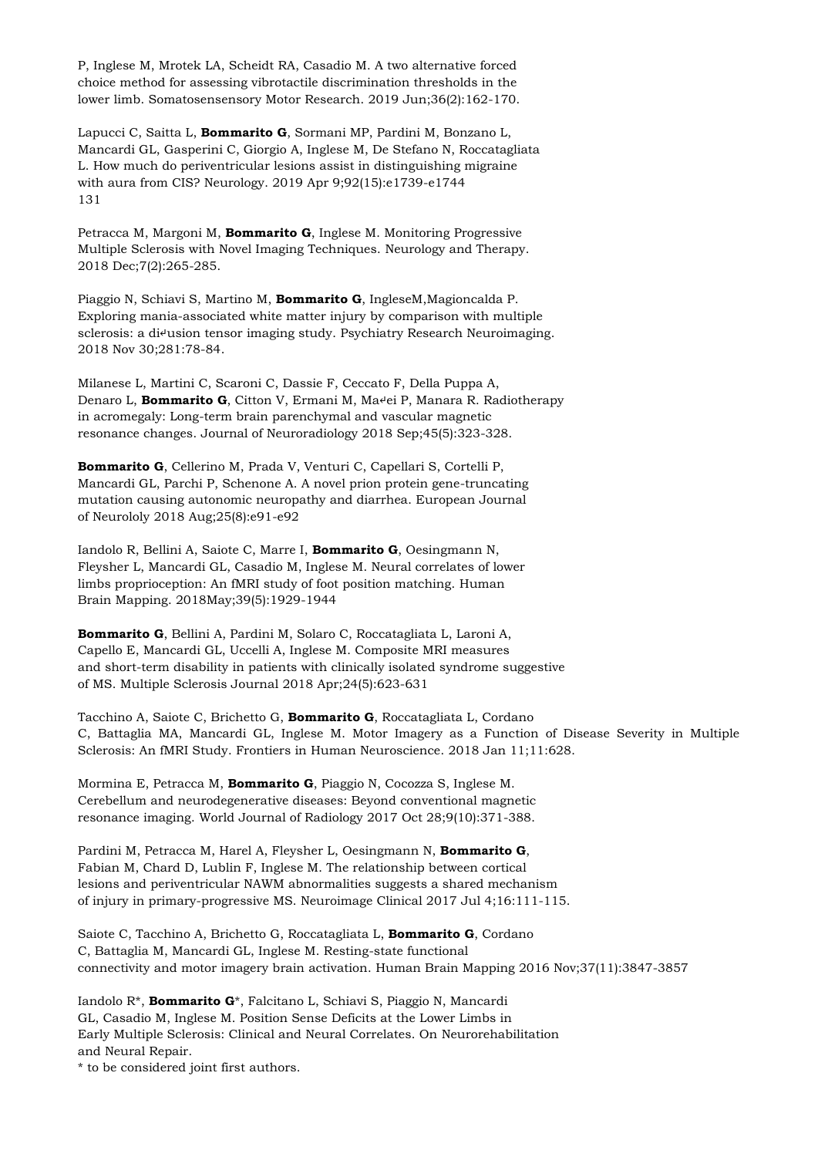P, Inglese M, Mrotek LA, Scheidt RA, Casadio M. A two alternative forced choice method for assessing vibrotactile discrimination thresholds in the lower limb. Somatosensensory Motor Research. 2019 Jun;36(2):162-170.

Lapucci C, Saitta L, **Bommarito G**, Sormani MP, Pardini M, Bonzano L, Mancardi GL, Gasperini C, Giorgio A, Inglese M, De Stefano N, Roccatagliata L. How much do periventricular lesions assist in distinguishing migraine with aura from CIS? Neurology. 2019 Apr 9;92(15):e1739-e1744 131

Petracca M, Margoni M, **Bommarito G**, Inglese M. Monitoring Progressive Multiple Sclerosis with Novel Imaging Techniques. Neurology and Therapy. 2018 Dec;7(2):265-285.

Piaggio N, Schiavi S, Martino M, **Bommarito G**, IngleseM,Magioncalda P. Exploring mania-associated white matter injury by comparison with multiple sclerosis: a di<sup>4</sup>usion tensor imaging study. Psychiatry Research Neuroimaging. 2018 Nov 30;281:78-84.

Milanese L, Martini C, Scaroni C, Dassie F, Ceccato F, Della Puppa A, Denaro L, **Bommarito G**, Citton V, Ermani M, Ma↵ei P, Manara R. Radiotherapy in acromegaly: Long-term brain parenchymal and vascular magnetic resonance changes. Journal of Neuroradiology 2018 Sep;45(5):323-328.

**Bommarito G**, Cellerino M, Prada V, Venturi C, Capellari S, Cortelli P, Mancardi GL, Parchi P, Schenone A. A novel prion protein gene-truncating mutation causing autonomic neuropathy and diarrhea. European Journal of Neurololy 2018 Aug;25(8):e91-e92

Iandolo R, Bellini A, Saiote C, Marre I, **Bommarito G**, Oesingmann N, Fleysher L, Mancardi GL, Casadio M, Inglese M. Neural correlates of lower limbs proprioception: An fMRI study of foot position matching. Human Brain Mapping. 2018May;39(5):1929-1944

**Bommarito G**, Bellini A, Pardini M, Solaro C, Roccatagliata L, Laroni A, Capello E, Mancardi GL, Uccelli A, Inglese M. Composite MRI measures and short-term disability in patients with clinically isolated syndrome suggestive of MS. Multiple Sclerosis Journal 2018 Apr;24(5):623-631

Tacchino A, Saiote C, Brichetto G, **Bommarito G**, Roccatagliata L, Cordano C, Battaglia MA, Mancardi GL, Inglese M. Motor Imagery as a Function of Disease Severity in Multiple Sclerosis: An fMRI Study. Frontiers in Human Neuroscience. 2018 Jan 11;11:628.

Mormina E, Petracca M, **Bommarito G**, Piaggio N, Cocozza S, Inglese M. Cerebellum and neurodegenerative diseases: Beyond conventional magnetic resonance imaging. World Journal of Radiology 2017 Oct 28;9(10):371-388.

Pardini M, Petracca M, Harel A, Fleysher L, Oesingmann N, **Bommarito G**, Fabian M, Chard D, Lublin F, Inglese M. The relationship between cortical lesions and periventricular NAWM abnormalities suggests a shared mechanism of injury in primary-progressive MS. Neuroimage Clinical 2017 Jul 4;16:111-115.

Saiote C, Tacchino A, Brichetto G, Roccatagliata L, **Bommarito G**, Cordano C, Battaglia M, Mancardi GL, Inglese M. Resting-state functional connectivity and motor imagery brain activation. Human Brain Mapping 2016 Nov;37(11):3847-3857

Iandolo R\*, **Bommarito G**\*, Falcitano L, Schiavi S, Piaggio N, Mancardi GL, Casadio M, Inglese M. Position Sense Deficits at the Lower Limbs in Early Multiple Sclerosis: Clinical and Neural Correlates. On Neurorehabilitation and Neural Repair.

\* to be considered joint first authors.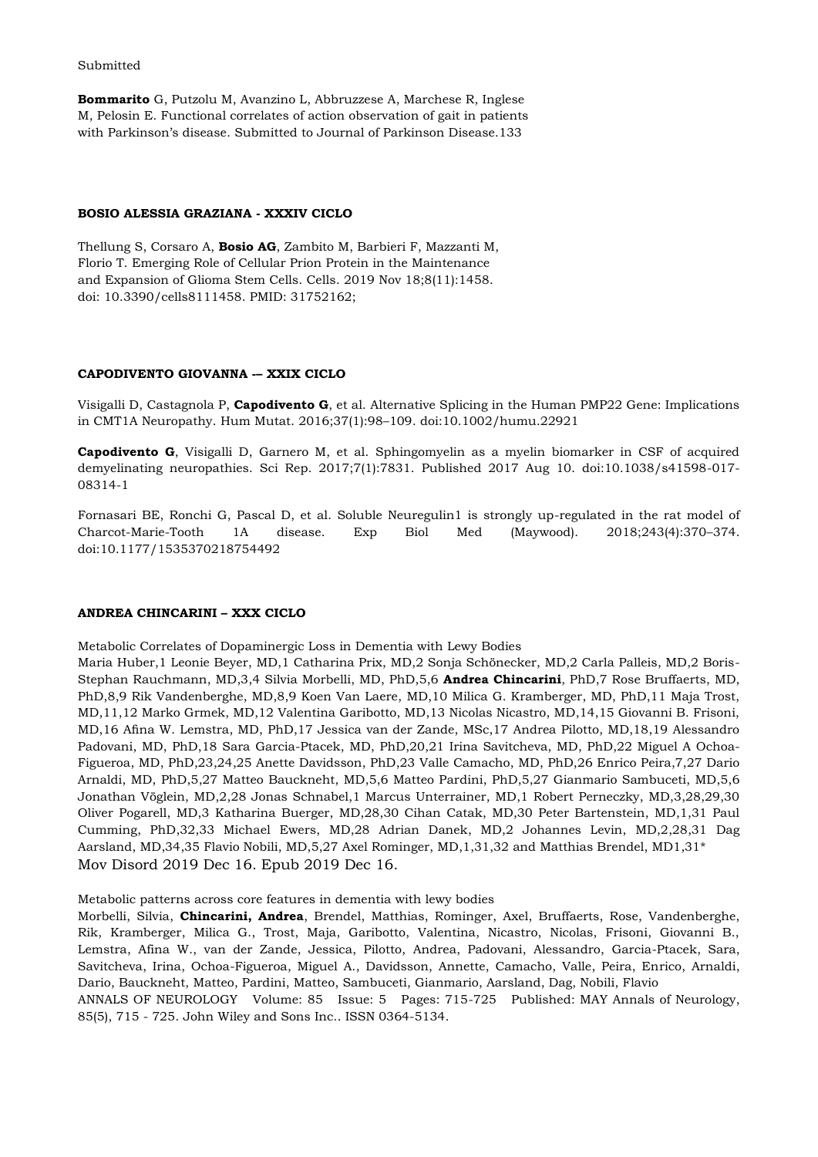#### Submitted

**Bommarito** G, Putzolu M, Avanzino L, Abbruzzese A, Marchese R, Inglese M, Pelosin E. Functional correlates of action observation of gait in patients with Parkinson's disease. Submitted to Journal of Parkinson Disease.133

#### **BOSIO ALESSIA GRAZIANA - XXXIV CICLO**

Thellung S, Corsaro A, **Bosio AG**, Zambito M, Barbieri F, Mazzanti M, Florio T. Emerging Role of Cellular Prion Protein in the Maintenance and Expansion of Glioma Stem Cells. Cells. 2019 Nov 18;8(11):1458. doi: 10.3390/cells8111458. PMID: 31752162;

#### **CAPODIVENTO GIOVANNA -– XXIX CICLO**

Visigalli D, Castagnola P, **Capodivento G**, et al. Alternative Splicing in the Human PMP22 Gene: Implications in CMT1A Neuropathy. Hum Mutat. 2016;37(1):98–109. doi:10.1002/humu.22921

**Capodivento G**, Visigalli D, Garnero M, et al. Sphingomyelin as a myelin biomarker in CSF of acquired demyelinating neuropathies. Sci Rep. 2017;7(1):7831. Published 2017 Aug 10. doi:10.1038/s41598-017- 08314-1

Fornasari BE, Ronchi G, Pascal D, et al. Soluble Neuregulin1 is strongly up-regulated in the rat model of Charcot-Marie-Tooth 1A disease. Exp Biol Med (Maywood). 2018;243(4):370–374. doi:10.1177/1535370218754492

## **ANDREA CHINCARINI – XXX CICLO**

Metabolic Correlates of Dopaminergic Loss in Dementia with Lewy Bodies

Maria Huber,1 Leonie Beyer, MD,1 Catharina Prix, MD,2 Sonja Schönecker, MD,2 Carla Palleis, MD,2 Boris-Stephan Rauchmann, MD,3,4 Silvia Morbelli, MD, PhD,5,6 **Andrea Chincarini**, PhD,7 Rose Bruffaerts, MD, PhD,8,9 Rik Vandenberghe, MD,8,9 Koen Van Laere, MD,10 Milica G. Kramberger, MD, PhD,11 Maja Trost, MD,11,12 Marko Grmek, MD,12 Valentina Garibotto, MD,13 Nicolas Nicastro, MD,14,15 Giovanni B. Frisoni, MD,16 Afina W. Lemstra, MD, PhD,17 Jessica van der Zande, MSc,17 Andrea Pilotto, MD,18,19 Alessandro Padovani, MD, PhD,18 Sara Garcia-Ptacek, MD, PhD,20,21 Irina Savitcheva, MD, PhD,22 Miguel A Ochoa-Figueroa, MD, PhD,23,24,25 Anette Davidsson, PhD,23 Valle Camacho, MD, PhD,26 Enrico Peira,7,27 Dario Arnaldi, MD, PhD,5,27 Matteo Bauckneht, MD,5,6 Matteo Pardini, PhD,5,27 Gianmario Sambuceti, MD,5,6 Jonathan Vöglein, MD,2,28 Jonas Schnabel,1 Marcus Unterrainer, MD,1 Robert Perneczky, MD,3,28,29,30 Oliver Pogarell, MD,3 Katharina Buerger, MD,28,30 Cihan Catak, MD,30 Peter Bartenstein, MD,1,31 Paul Cumming, PhD,32,33 Michael Ewers, MD,28 Adrian Danek, MD,2 Johannes Levin, MD,2,28,31 Dag Aarsland, MD,34,35 Flavio Nobili, MD,5,27 Axel Rominger, MD,1,31,32 and Matthias Brendel, MD1,31\* Mov Disord 2019 Dec 16. Epub 2019 Dec 16.

Metabolic patterns across core features in dementia with lewy bodies

Morbelli, Silvia, **Chincarini, Andrea**, Brendel, Matthias, Rominger, Axel, Bruffaerts, Rose, Vandenberghe, Rik, Kramberger, Milica G., Trost, Maja, Garibotto, Valentina, Nicastro, Nicolas, Frisoni, Giovanni B., [Lemstra,](https://www.narcis.nl/person/RecordID/PRS1335611/Language/en) Afina W., van der Zande, Jessica, Pilotto, Andrea, Padovani, Alessandro, Garcia-Ptacek, Sara, Savitcheva, Irina, Ochoa-Figueroa, Miguel A., Davidsson, Annette, Camacho, Valle, Peira, Enrico, Arnaldi, Dario, Bauckneht, Matteo, Pardini, Matteo, Sambuceti, Gianmario, Aarsland, Dag, Nobili, Flavio

ANNALS OF NEUROLOGY Volume: 85 Issue: 5 Pages: 715-725 Published: MAY Annals of Neurology, 85(5), 715 - 725. John Wiley and Sons Inc.. ISSN 0364-5134.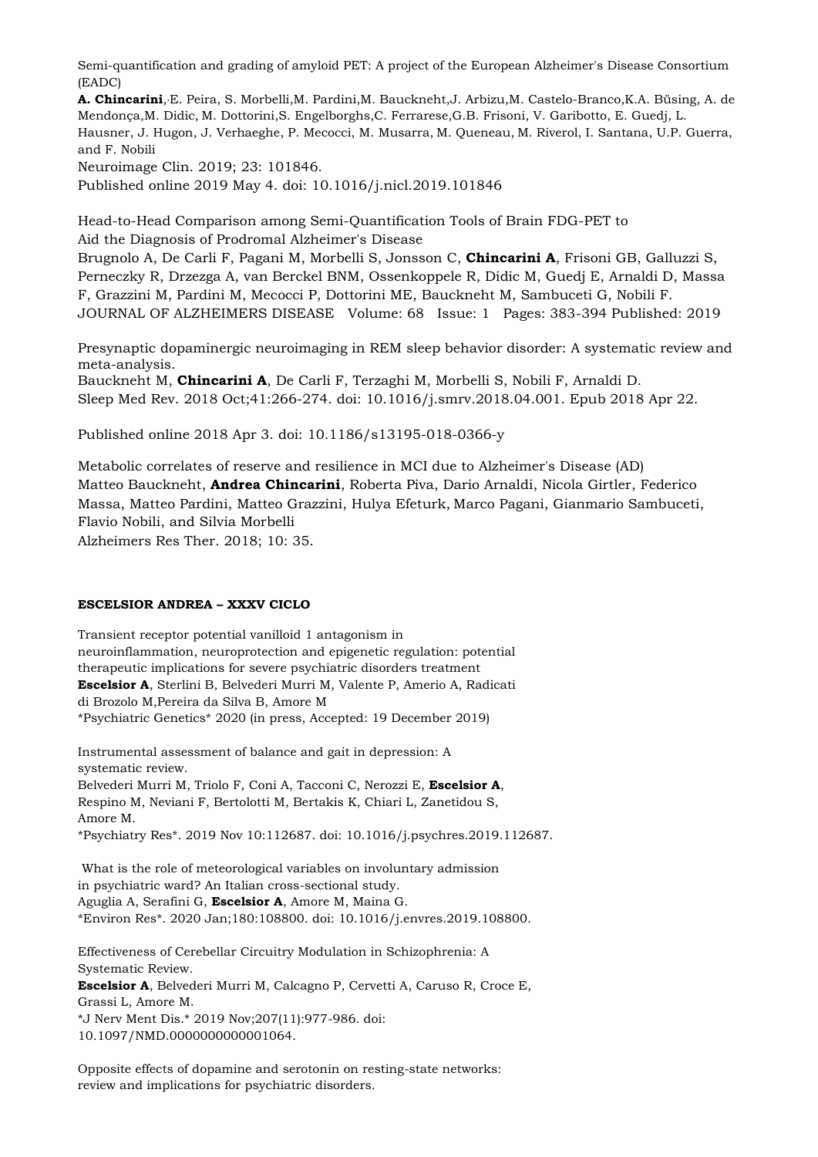Semi-quantification and grading of amyloid PET: A project of the European Alzheimer's Disease Consortium (EADC)

**[A. Chincarini](https://www.ncbi.nlm.nih.gov/pubmed/?term=Chincarini%20A%5BAuthor%5D&cauthor=true&cauthor_uid=31077984)**, ,[E. Peira,](https://www.ncbi.nlm.nih.gov/pubmed/?term=Peira%20E%5BAuthor%5D&cauthor=true&cauthor_uid=31077984) [S. Morbelli,](https://www.ncbi.nlm.nih.gov/pubmed/?term=Morbelli%20S%5BAuthor%5D&cauthor=true&cauthor_uid=31077984)[M. Pardini,](https://www.ncbi.nlm.nih.gov/pubmed/?term=Pardini%20M%5BAuthor%5D&cauthor=true&cauthor_uid=31077984)[M. Bauckneht](https://www.ncbi.nlm.nih.gov/pubmed/?term=Bauckneht%20M%5BAuthor%5D&cauthor=true&cauthor_uid=31077984)[,J. Arbizu](https://www.ncbi.nlm.nih.gov/pubmed/?term=Arbizu%20J%5BAuthor%5D&cauthor=true&cauthor_uid=31077984)[,M. Castelo-Branco,](https://www.ncbi.nlm.nih.gov/pubmed/?term=Castelo-Branco%20M%5BAuthor%5D&cauthor=true&cauthor_uid=31077984)[K.A. Büsing,](https://www.ncbi.nlm.nih.gov/pubmed/?term=B%26%23x000fc%3Bsing%20K%5BAuthor%5D&cauthor=true&cauthor_uid=31077984) [A. de](https://www.ncbi.nlm.nih.gov/pubmed/?term=de%20Mendon%26%23x000e7%3Ba%20A%5BAuthor%5D&cauthor=true&cauthor_uid=31077984)  [Mendonça](https://www.ncbi.nlm.nih.gov/pubmed/?term=de%20Mendon%26%23x000e7%3Ba%20A%5BAuthor%5D&cauthor=true&cauthor_uid=31077984)[,M. Didic,](https://www.ncbi.nlm.nih.gov/pubmed/?term=Didic%20M%5BAuthor%5D&cauthor=true&cauthor_uid=31077984) [M. Dottorini,](https://www.ncbi.nlm.nih.gov/pubmed/?term=Dottorini%20M%5BAuthor%5D&cauthor=true&cauthor_uid=31077984)[S. Engelborghs](https://www.ncbi.nlm.nih.gov/pubmed/?term=Engelborghs%20S%5BAuthor%5D&cauthor=true&cauthor_uid=31077984)[,C. Ferrarese,](https://www.ncbi.nlm.nih.gov/pubmed/?term=Ferrarese%20C%5BAuthor%5D&cauthor=true&cauthor_uid=31077984)[G.B. Frisoni,](https://www.ncbi.nlm.nih.gov/pubmed/?term=Frisoni%20G%5BAuthor%5D&cauthor=true&cauthor_uid=31077984) [V. Garibotto,](https://www.ncbi.nlm.nih.gov/pubmed/?term=Garibotto%20V%5BAuthor%5D&cauthor=true&cauthor_uid=31077984) [E. Guedj,](https://www.ncbi.nlm.nih.gov/pubmed/?term=Guedj%20E%5BAuthor%5D&cauthor=true&cauthor_uid=31077984) [L.](https://www.ncbi.nlm.nih.gov/pubmed/?term=Hausner%20L%5BAuthor%5D&cauthor=true&cauthor_uid=31077984)  [Hausner,](https://www.ncbi.nlm.nih.gov/pubmed/?term=Hausner%20L%5BAuthor%5D&cauthor=true&cauthor_uid=31077984) [J. Hugon,](https://www.ncbi.nlm.nih.gov/pubmed/?term=Hugon%20J%5BAuthor%5D&cauthor=true&cauthor_uid=31077984) [J. Verhaeghe,](https://www.ncbi.nlm.nih.gov/pubmed/?term=Verhaeghe%20J%5BAuthor%5D&cauthor=true&cauthor_uid=31077984) [P. Mecocci,](https://www.ncbi.nlm.nih.gov/pubmed/?term=Mecocci%20P%5BAuthor%5D&cauthor=true&cauthor_uid=31077984) [M. Musarra,](https://www.ncbi.nlm.nih.gov/pubmed/?term=Musarra%20M%5BAuthor%5D&cauthor=true&cauthor_uid=31077984) [M. Queneau,](https://www.ncbi.nlm.nih.gov/pubmed/?term=Queneau%20M%5BAuthor%5D&cauthor=true&cauthor_uid=31077984) [M. Riverol,](https://www.ncbi.nlm.nih.gov/pubmed/?term=Riverol%20M%5BAuthor%5D&cauthor=true&cauthor_uid=31077984) [I. Santana,](https://www.ncbi.nlm.nih.gov/pubmed/?term=Santana%20I%5BAuthor%5D&cauthor=true&cauthor_uid=31077984) [U.P. Guerra,](https://www.ncbi.nlm.nih.gov/pubmed/?term=Guerra%20U%5BAuthor%5D&cauthor=true&cauthor_uid=31077984) and [F. Nobili](https://www.ncbi.nlm.nih.gov/pubmed/?term=Nobili%20F%5BAuthor%5D&cauthor=true&cauthor_uid=31077984)

[Neuroimage Clin.](https://www.ncbi.nlm.nih.gov/pmc/articles/PMC6514268/) 2019; 23: 101846.

Published online 2019 May 4. doi: [10.1016/j.nicl.2019.101846](https://dx.doi.org/10.1016%2Fj.nicl.2019.101846)

Head-to-Head Comparison among Semi-Quantification Tools of Brain FDG-PET to Aid the Diagnosis of Prodromal Alzheimer's Disease

[Brugnolo A,](https://www.ncbi.nlm.nih.gov/pubmed/?term=Brugnolo%20A%5BAuthor%5D&cauthor=true&cauthor_uid=30776000) [De Carli F,](https://www.ncbi.nlm.nih.gov/pubmed/?term=De%20Carli%20F%5BAuthor%5D&cauthor=true&cauthor_uid=30776000) [Pagani M,](https://www.ncbi.nlm.nih.gov/pubmed/?term=Pagani%20M%5BAuthor%5D&cauthor=true&cauthor_uid=30776000) [Morbelli S,](https://www.ncbi.nlm.nih.gov/pubmed/?term=Morbelli%20S%5BAuthor%5D&cauthor=true&cauthor_uid=30776000) [Jonsson C,](https://www.ncbi.nlm.nih.gov/pubmed/?term=Jonsson%20C%5BAuthor%5D&cauthor=true&cauthor_uid=30776000) **[Chincarini](https://www.ncbi.nlm.nih.gov/pubmed/?term=Chincarini%20A%5BAuthor%5D&cauthor=true&cauthor_uid=30776000) A**, [Frisoni GB,](https://www.ncbi.nlm.nih.gov/pubmed/?term=Frisoni%20GB%5BAuthor%5D&cauthor=true&cauthor_uid=30776000) [Galluzzi S,](https://www.ncbi.nlm.nih.gov/pubmed/?term=Galluzzi%20S%5BAuthor%5D&cauthor=true&cauthor_uid=30776000) [Perneczky R,](https://www.ncbi.nlm.nih.gov/pubmed/?term=Perneczky%20R%5BAuthor%5D&cauthor=true&cauthor_uid=30776000) [Drzezga A,](https://www.ncbi.nlm.nih.gov/pubmed/?term=Drzezga%20A%5BAuthor%5D&cauthor=true&cauthor_uid=30776000) [van Berckel BNM,](https://www.ncbi.nlm.nih.gov/pubmed/?term=van%20Berckel%20BNM%5BAuthor%5D&cauthor=true&cauthor_uid=30776000) [Ossenkoppele R,](https://www.ncbi.nlm.nih.gov/pubmed/?term=Ossenkoppele%20R%5BAuthor%5D&cauthor=true&cauthor_uid=30776000) [Didic M,](https://www.ncbi.nlm.nih.gov/pubmed/?term=Didic%20M%5BAuthor%5D&cauthor=true&cauthor_uid=30776000) [Guedj E,](https://www.ncbi.nlm.nih.gov/pubmed/?term=Guedj%20E%5BAuthor%5D&cauthor=true&cauthor_uid=30776000) [Arnaldi D,](https://www.ncbi.nlm.nih.gov/pubmed/?term=Arnaldi%20D%5BAuthor%5D&cauthor=true&cauthor_uid=30776000) [Massa](https://www.ncbi.nlm.nih.gov/pubmed/?term=Massa%20F%5BAuthor%5D&cauthor=true&cauthor_uid=30776000)  [F,](https://www.ncbi.nlm.nih.gov/pubmed/?term=Massa%20F%5BAuthor%5D&cauthor=true&cauthor_uid=30776000) [Grazzini M,](https://www.ncbi.nlm.nih.gov/pubmed/?term=Grazzini%20M%5BAuthor%5D&cauthor=true&cauthor_uid=30776000) [Pardini M,](https://www.ncbi.nlm.nih.gov/pubmed/?term=Pardini%20M%5BAuthor%5D&cauthor=true&cauthor_uid=30776000) [Mecocci P,](https://www.ncbi.nlm.nih.gov/pubmed/?term=Mecocci%20P%5BAuthor%5D&cauthor=true&cauthor_uid=30776000) [Dottorini ME,](https://www.ncbi.nlm.nih.gov/pubmed/?term=Dottorini%20ME%5BAuthor%5D&cauthor=true&cauthor_uid=30776000) [Bauckneht M,](https://www.ncbi.nlm.nih.gov/pubmed/?term=Bauckneht%20M%5BAuthor%5D&cauthor=true&cauthor_uid=30776000) [Sambuceti G,](https://www.ncbi.nlm.nih.gov/pubmed/?term=Sambuceti%20G%5BAuthor%5D&cauthor=true&cauthor_uid=30776000) [Nobili F.](https://www.ncbi.nlm.nih.gov/pubmed/?term=Nobili%20F%5BAuthor%5D&cauthor=true&cauthor_uid=30776000) JOURNAL OF ALZHEIMERS DISEASE Volume: 68 Issue: 1 Pages: 383-394 Published: 2019

Presynaptic dopaminergic neuroimaging in REM sleep behavior disorder: A systematic review and meta-analysis.

[Bauckneht M,](https://www.ncbi.nlm.nih.gov/pubmed/?term=Bauckneht%20M%5BAuthor%5D&cauthor=true&cauthor_uid=29784534) **[Chincarini A](https://www.ncbi.nlm.nih.gov/pubmed/?term=Chincarini%20A%5BAuthor%5D&cauthor=true&cauthor_uid=29784534)**, [De Carli F,](https://www.ncbi.nlm.nih.gov/pubmed/?term=De%20Carli%20F%5BAuthor%5D&cauthor=true&cauthor_uid=29784534) [Terzaghi M,](https://www.ncbi.nlm.nih.gov/pubmed/?term=Terzaghi%20M%5BAuthor%5D&cauthor=true&cauthor_uid=29784534) [Morbelli S,](https://www.ncbi.nlm.nih.gov/pubmed/?term=Morbelli%20S%5BAuthor%5D&cauthor=true&cauthor_uid=29784534) [Nobili F,](https://www.ncbi.nlm.nih.gov/pubmed/?term=Nobili%20F%5BAuthor%5D&cauthor=true&cauthor_uid=29784534) [Arnaldi D.](https://www.ncbi.nlm.nih.gov/pubmed/?term=Arnaldi%20D%5BAuthor%5D&cauthor=true&cauthor_uid=29784534) [Sleep Med Rev.](https://www.ncbi.nlm.nih.gov/pubmed/29784534) 2018 Oct;41:266-274. doi: 10.1016/j.smrv.2018.04.001. Epub 2018 Apr 22.

Published online 2018 Apr 3. doi: [10.1186/s13195-018-0366-y](https://dx.doi.org/10.1186%2Fs13195-018-0366-y)

Metabolic correlates of reserve and resilience in MCI due to Alzheimer's Disease (AD) [Matteo Bauckneht,](https://www.ncbi.nlm.nih.gov/pubmed/?term=Bauckneht%20M%5BAuthor%5D&cauthor=true&cauthor_uid=29615111) **[Andrea Chincarini](https://www.ncbi.nlm.nih.gov/pubmed/?term=Chincarini%20A%5BAuthor%5D&cauthor=true&cauthor_uid=29615111)**, [Roberta Piva,](https://www.ncbi.nlm.nih.gov/pubmed/?term=Piva%20R%5BAuthor%5D&cauthor=true&cauthor_uid=29615111) [Dario Arnaldi,](https://www.ncbi.nlm.nih.gov/pubmed/?term=Arnaldi%20D%5BAuthor%5D&cauthor=true&cauthor_uid=29615111) [Nicola Girtler,](https://www.ncbi.nlm.nih.gov/pubmed/?term=Girtler%20N%5BAuthor%5D&cauthor=true&cauthor_uid=29615111) [Federico](https://www.ncbi.nlm.nih.gov/pubmed/?term=Massa%20F%5BAuthor%5D&cauthor=true&cauthor_uid=29615111)  [Massa,](https://www.ncbi.nlm.nih.gov/pubmed/?term=Massa%20F%5BAuthor%5D&cauthor=true&cauthor_uid=29615111) [Matteo Pardini,](https://www.ncbi.nlm.nih.gov/pubmed/?term=Pardini%20M%5BAuthor%5D&cauthor=true&cauthor_uid=29615111) [Matteo Grazzini,](https://www.ncbi.nlm.nih.gov/pubmed/?term=Grazzini%20M%5BAuthor%5D&cauthor=true&cauthor_uid=29615111) [Hulya Efeturk,](https://www.ncbi.nlm.nih.gov/pubmed/?term=Efeturk%20H%5BAuthor%5D&cauthor=true&cauthor_uid=29615111) [Marco Pagani,](https://www.ncbi.nlm.nih.gov/pubmed/?term=Pagani%20M%5BAuthor%5D&cauthor=true&cauthor_uid=29615111) [Gianmario Sambuceti,](https://www.ncbi.nlm.nih.gov/pubmed/?term=Sambuceti%20G%5BAuthor%5D&cauthor=true&cauthor_uid=29615111) [Flavio Nobili,](https://www.ncbi.nlm.nih.gov/pubmed/?term=Nobili%20F%5BAuthor%5D&cauthor=true&cauthor_uid=29615111) and [Silvia Morbelli](https://www.ncbi.nlm.nih.gov/pubmed/?term=Morbelli%20S%5BAuthor%5D&cauthor=true&cauthor_uid=29615111)

[Alzheimers Res Ther.](https://www.ncbi.nlm.nih.gov/pmc/articles/PMC5883593/) 2018; 10: 35.

#### **ESCELSIOR ANDREA – XXXV CICLO**

Transient receptor potential vanilloid 1 antagonism in neuroinflammation, neuroprotection and epigenetic regulation: potential therapeutic implications for severe psychiatric disorders treatment **Escelsior A**, Sterlini B, Belvederi Murri M, Valente P, Amerio A, Radicati di Brozolo M,Pereira da Silva B, Amore M \*Psychiatric Genetics\* 2020 (in press, Accepted: 19 December 2019)

Instrumental assessment of balance and gait in depression: A systematic review. Belvederi Murri M, Triolo F, Coni A, Tacconi C, Nerozzi E, **Escelsior A**, Respino M, Neviani F, Bertolotti M, Bertakis K, Chiari L, Zanetidou S, Amore M. \*Psychiatry Res\*. 2019 Nov 10:112687. doi: 10.1016/j.psychres.2019.112687.

What is the role of meteorological variables on involuntary admission in psychiatric ward? An Italian cross-sectional study. Aguglia A, Serafini G, **Escelsior A**, Amore M, Maina G. \*Environ Res\*. 2020 Jan;180:108800. doi: 10.1016/j.envres.2019.108800.

Effectiveness of Cerebellar Circuitry Modulation in Schizophrenia: A Systematic Review.

**Escelsior A**, Belvederi Murri M, Calcagno P, Cervetti A, Caruso R, Croce E, Grassi L, Amore M.

\*J Nerv Ment Dis.\* 2019 Nov;207(11):977-986. doi: 10.1097/NMD.0000000000001064.

Opposite effects of dopamine and serotonin on resting-state networks: review and implications for psychiatric disorders.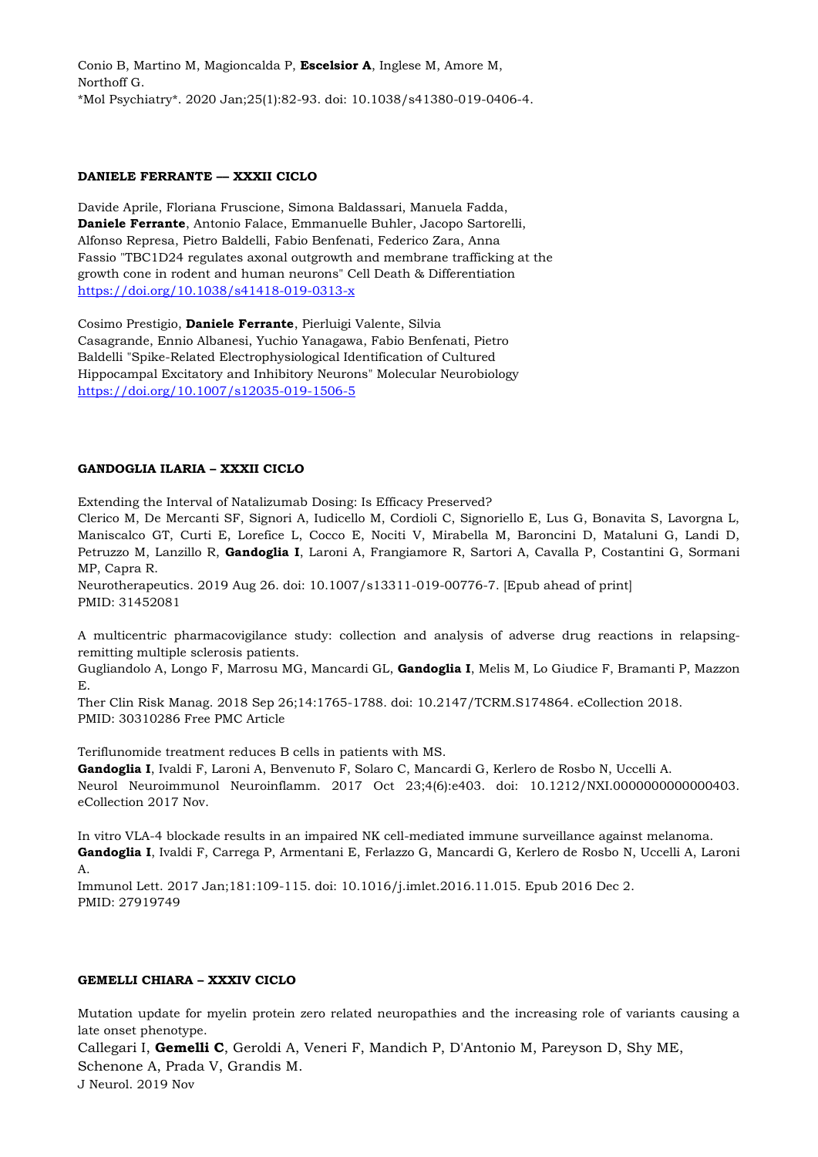Conio B, Martino M, Magioncalda P, **Escelsior A**, Inglese M, Amore M, Northoff G. \*Mol Psychiatry\*. 2020 Jan;25(1):82-93. doi: 10.1038/s41380-019-0406-4.

# **DANIELE FERRANTE –– XXXII CICLO**

Davide Aprile, Floriana Fruscione, Simona Baldassari, Manuela Fadda, **Daniele Ferrante**, Antonio Falace, Emmanuelle Buhler, Jacopo Sartorelli, Alfonso Represa, Pietro Baldelli, Fabio Benfenati, Federico Zara, Anna Fassio "TBC1D24 regulates axonal outgrowth and membrane trafficking at the growth cone in rodent and human neurons" Cell Death & Differentiation <https://doi.org/10.1038/s41418-019-0313-x>

Cosimo Prestigio, **Daniele Ferrante**, Pierluigi Valente, Silvia Casagrande, Ennio Albanesi, Yuchio Yanagawa, Fabio Benfenati, Pietro Baldelli "Spike-Related Electrophysiological Identification of Cultured Hippocampal Excitatory and Inhibitory Neurons" Molecular Neurobiology <https://doi.org/10.1007/s12035-019-1506-5>

# **GANDOGLIA ILARIA – XXXII CICLO**

Extending the Interval of Natalizumab Dosing: Is Efficacy Preserved?

Clerico M, De Mercanti SF, Signori A, Iudicello M, Cordioli C, Signoriello E, Lus G, Bonavita S, Lavorgna L, Maniscalco GT, Curti E, Lorefice L, Cocco E, Nociti V, Mirabella M, Baroncini D, Mataluni G, Landi D, Petruzzo M, Lanzillo R, **Gandoglia I**, Laroni A, Frangiamore R, Sartori A, Cavalla P, Costantini G, Sormani MP, Capra R.

Neurotherapeutics. 2019 Aug 26. doi: 10.1007/s13311-019-00776-7. [Epub ahead of print] PMID: 31452081

A multicentric pharmacovigilance study: collection and analysis of adverse drug reactions in relapsingremitting multiple sclerosis patients.

Gugliandolo A, Longo F, Marrosu MG, Mancardi GL, **Gandoglia I**, Melis M, Lo Giudice F, Bramanti P, Mazzon E.

Ther Clin Risk Manag. 2018 Sep 26;14:1765-1788. doi: 10.2147/TCRM.S174864. eCollection 2018. PMID: 30310286 Free PMC Article

Teriflunomide treatment reduces B cells in patients with MS.

**Gandoglia I**, Ivaldi F, Laroni A, Benvenuto F, Solaro C, Mancardi G, Kerlero de Rosbo N, Uccelli A. Neurol Neuroimmunol Neuroinflamm. 2017 Oct 23;4(6):e403. doi: 10.1212/NXI.0000000000000403. eCollection 2017 Nov.

In vitro VLA-4 blockade results in an impaired NK cell-mediated immune surveillance against melanoma. **Gandoglia I**, Ivaldi F, Carrega P, Armentani E, Ferlazzo G, Mancardi G, Kerlero de Rosbo N, Uccelli A, Laroni A.

Immunol Lett. 2017 Jan;181:109-115. doi: 10.1016/j.imlet.2016.11.015. Epub 2016 Dec 2. PMID: 27919749

#### **GEMELLI CHIARA – XXXIV CICLO**

Mutation update for myelin protein zero related neuropathies and the increasing role of variants causing a late onset phenotype.

[Callegari I,](https://www.ncbi.nlm.nih.gov/pubmed/?term=Callegari%20I%5BAuthor%5D&cauthor=true&cauthor_uid=31278453) **[Gemelli C](https://www.ncbi.nlm.nih.gov/pubmed/?term=Gemelli%20C%5BAuthor%5D&cauthor=true&cauthor_uid=31278453)**, [Geroldi A,](https://www.ncbi.nlm.nih.gov/pubmed/?term=Geroldi%20A%5BAuthor%5D&cauthor=true&cauthor_uid=31278453) [Veneri F,](https://www.ncbi.nlm.nih.gov/pubmed/?term=Veneri%20F%5BAuthor%5D&cauthor=true&cauthor_uid=31278453) [Mandich P,](https://www.ncbi.nlm.nih.gov/pubmed/?term=Mandich%20P%5BAuthor%5D&cauthor=true&cauthor_uid=31278453) [D'Antonio M,](https://www.ncbi.nlm.nih.gov/pubmed/?term=D) [Pareyson D,](https://www.ncbi.nlm.nih.gov/pubmed/?term=Pareyson%20D%5BAuthor%5D&cauthor=true&cauthor_uid=31278453) [Shy ME,](https://www.ncbi.nlm.nih.gov/pubmed/?term=Shy%20ME%5BAuthor%5D&cauthor=true&cauthor_uid=31278453) [Schenone A,](https://www.ncbi.nlm.nih.gov/pubmed/?term=Schenone%20A%5BAuthor%5D&cauthor=true&cauthor_uid=31278453) [Prada V,](https://www.ncbi.nlm.nih.gov/pubmed/?term=Prada%20V%5BAuthor%5D&cauthor=true&cauthor_uid=31278453) [Grandis M.](https://www.ncbi.nlm.nih.gov/pubmed/?term=Grandis%20M%5BAuthor%5D&cauthor=true&cauthor_uid=31278453) J Neurol. 2019 Nov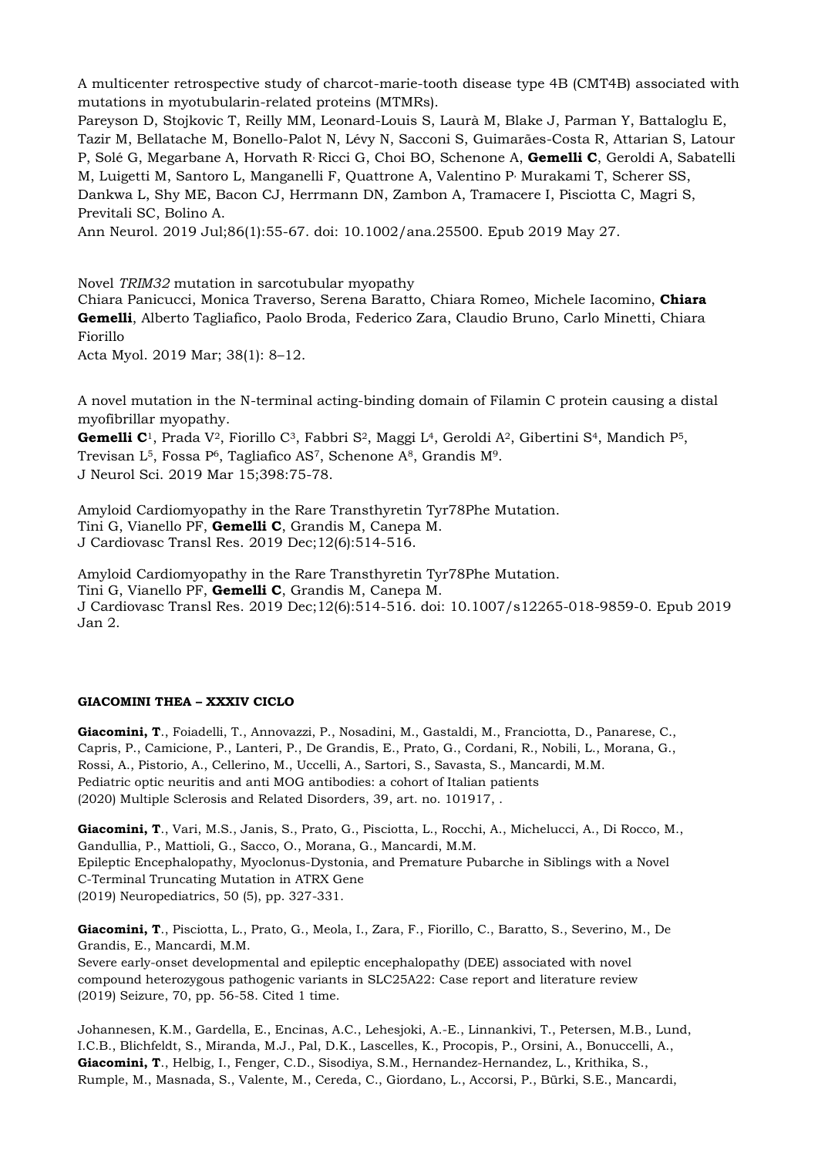A multicenter retrospective study of charcot-marie-tooth disease type 4B (CMT4B) associated with mutations in myotubularin-related proteins (MTMRs).

[Pareyson D,](https://www.ncbi.nlm.nih.gov/pubmed/?term=Pareyson%20D%5BAuthor%5D&cauthor=true&cauthor_uid=31070812) [Stojkovic T,](https://www.ncbi.nlm.nih.gov/pubmed/?term=Stojkovic%20T%5BAuthor%5D&cauthor=true&cauthor_uid=31070812) [Reilly MM,](https://www.ncbi.nlm.nih.gov/pubmed/?term=Reilly%20MM%5BAuthor%5D&cauthor=true&cauthor_uid=31070812) [Leonard-Louis S,](https://www.ncbi.nlm.nih.gov/pubmed/?term=Leonard-Louis%20S%5BAuthor%5D&cauthor=true&cauthor_uid=31070812) [Laurà M,](https://www.ncbi.nlm.nih.gov/pubmed/?term=Laur%C3%A0%20M%5BAuthor%5D&cauthor=true&cauthor_uid=31070812) [Blake J,](https://www.ncbi.nlm.nih.gov/pubmed/?term=Blake%20J%5BAuthor%5D&cauthor=true&cauthor_uid=31070812) [Parman Y,](https://www.ncbi.nlm.nih.gov/pubmed/?term=Parman%20Y%5BAuthor%5D&cauthor=true&cauthor_uid=31070812) [Battaloglu E,](https://www.ncbi.nlm.nih.gov/pubmed/?term=Battaloglu%20E%5BAuthor%5D&cauthor=true&cauthor_uid=31070812) [Tazir M,](https://www.ncbi.nlm.nih.gov/pubmed/?term=Tazir%20M%5BAuthor%5D&cauthor=true&cauthor_uid=31070812) [Bellatache M,](https://www.ncbi.nlm.nih.gov/pubmed/?term=Bellatache%20M%5BAuthor%5D&cauthor=true&cauthor_uid=31070812) [Bonello-Palot N,](https://www.ncbi.nlm.nih.gov/pubmed/?term=Bonello-Palot%20N%5BAuthor%5D&cauthor=true&cauthor_uid=31070812) [Lévy N,](https://www.ncbi.nlm.nih.gov/pubmed/?term=L%C3%A9vy%20N%5BAuthor%5D&cauthor=true&cauthor_uid=31070812) [Sacconi S,](https://www.ncbi.nlm.nih.gov/pubmed/?term=Sacconi%20S%5BAuthor%5D&cauthor=true&cauthor_uid=31070812) [Guimarães-Costa R,](https://www.ncbi.nlm.nih.gov/pubmed/?term=Guimar%C3%A3es-Costa%20R%5BAuthor%5D&cauthor=true&cauthor_uid=31070812) [Attarian S,](https://www.ncbi.nlm.nih.gov/pubmed/?term=Attarian%20S%5BAuthor%5D&cauthor=true&cauthor_uid=31070812) [Latour](https://www.ncbi.nlm.nih.gov/pubmed/?term=Latour%20P%5BAuthor%5D&cauthor=true&cauthor_uid=31070812)  [P,](https://www.ncbi.nlm.nih.gov/pubmed/?term=Latour%20P%5BAuthor%5D&cauthor=true&cauthor_uid=31070812) [Solé G,](https://www.ncbi.nlm.nih.gov/pubmed/?term=Sol%C3%A9%20G%5BAuthor%5D&cauthor=true&cauthor_uid=31070812) [Megarbane A,](https://www.ncbi.nlm.nih.gov/pubmed/?term=Megarbane%20A%5BAuthor%5D&cauthor=true&cauthor_uid=31070812) [Horvath R](https://www.ncbi.nlm.nih.gov/pubmed/?term=Horvath%20R%5BAuthor%5D&cauthor=true&cauthor_uid=31070812), [Ricci G,](https://www.ncbi.nlm.nih.gov/pubmed/?term=Ricci%20G%5BAuthor%5D&cauthor=true&cauthor_uid=31070812) [Choi BO,](https://www.ncbi.nlm.nih.gov/pubmed/?term=Choi%20BO%5BAuthor%5D&cauthor=true&cauthor_uid=31070812) [Schenone A,](https://www.ncbi.nlm.nih.gov/pubmed/?term=Schenone%20A%5BAuthor%5D&cauthor=true&cauthor_uid=31070812) **[Gemelli C](https://www.ncbi.nlm.nih.gov/pubmed/?term=Gemelli%20C%5BAuthor%5D&cauthor=true&cauthor_uid=31070812)**, [Geroldi A,](https://www.ncbi.nlm.nih.gov/pubmed/?term=Geroldi%20A%5BAuthor%5D&cauthor=true&cauthor_uid=31070812) [Sabatelli](https://www.ncbi.nlm.nih.gov/pubmed/?term=Sabatelli%20M%5BAuthor%5D&cauthor=true&cauthor_uid=31070812)  [M,](https://www.ncbi.nlm.nih.gov/pubmed/?term=Sabatelli%20M%5BAuthor%5D&cauthor=true&cauthor_uid=31070812) [Luigetti M,](https://www.ncbi.nlm.nih.gov/pubmed/?term=Luigetti%20M%5BAuthor%5D&cauthor=true&cauthor_uid=31070812) [Santoro L,](https://www.ncbi.nlm.nih.gov/pubmed/?term=Santoro%20L%5BAuthor%5D&cauthor=true&cauthor_uid=31070812) [Manganelli F,](https://www.ncbi.nlm.nih.gov/pubmed/?term=Manganelli%20F%5BAuthor%5D&cauthor=true&cauthor_uid=31070812) [Quattrone A,](https://www.ncbi.nlm.nih.gov/pubmed/?term=Quattrone%20A%5BAuthor%5D&cauthor=true&cauthor_uid=31070812) [Valentino P](https://www.ncbi.nlm.nih.gov/pubmed/?term=Valentino%20P%5BAuthor%5D&cauthor=true&cauthor_uid=31070812), [Murakami T,](https://www.ncbi.nlm.nih.gov/pubmed/?term=Murakami%20T%5BAuthor%5D&cauthor=true&cauthor_uid=31070812) [Scherer SS,](https://www.ncbi.nlm.nih.gov/pubmed/?term=Scherer%20SS%5BAuthor%5D&cauthor=true&cauthor_uid=31070812) [Dankwa L,](https://www.ncbi.nlm.nih.gov/pubmed/?term=Dankwa%20L%5BAuthor%5D&cauthor=true&cauthor_uid=31070812) [Shy ME,](https://www.ncbi.nlm.nih.gov/pubmed/?term=Shy%20ME%5BAuthor%5D&cauthor=true&cauthor_uid=31070812) [Bacon CJ,](https://www.ncbi.nlm.nih.gov/pubmed/?term=Bacon%20CJ%5BAuthor%5D&cauthor=true&cauthor_uid=31070812) [Herrmann DN,](https://www.ncbi.nlm.nih.gov/pubmed/?term=Herrmann%20DN%5BAuthor%5D&cauthor=true&cauthor_uid=31070812) [Zambon A,](https://www.ncbi.nlm.nih.gov/pubmed/?term=Zambon%20A%5BAuthor%5D&cauthor=true&cauthor_uid=31070812) [Tramacere I,](https://www.ncbi.nlm.nih.gov/pubmed/?term=Tramacere%20I%5BAuthor%5D&cauthor=true&cauthor_uid=31070812) [Pisciotta C,](https://www.ncbi.nlm.nih.gov/pubmed/?term=Pisciotta%20C%5BAuthor%5D&cauthor=true&cauthor_uid=31070812) [Magri S,](https://www.ncbi.nlm.nih.gov/pubmed/?term=Magri%20S%5BAuthor%5D&cauthor=true&cauthor_uid=31070812) [Previtali SC,](https://www.ncbi.nlm.nih.gov/pubmed/?term=Previtali%20SC%5BAuthor%5D&cauthor=true&cauthor_uid=31070812) [Bolino A.](https://www.ncbi.nlm.nih.gov/pubmed/?term=Bolino%20A%5BAuthor%5D&cauthor=true&cauthor_uid=31070812)

[Ann Neurol.](https://www.ncbi.nlm.nih.gov/pubmed/31070812) 2019 Jul;86(1):55-67. doi: 10.1002/ana.25500. Epub 2019 May 27.

Novel *TRIM32* mutation in sarcotubular myopathy [Chiara Panicucci,](https://www.ncbi.nlm.nih.gov/pubmed/?term=PANICUCCI%20C%5BAuthor%5D&cauthor=true&cauthor_uid=31309175) [Monica Traverso,](https://www.ncbi.nlm.nih.gov/pubmed/?term=TRAVERSO%20M%5BAuthor%5D&cauthor=true&cauthor_uid=31309175) [Serena Baratto,](https://www.ncbi.nlm.nih.gov/pubmed/?term=BARATTO%20S%5BAuthor%5D&cauthor=true&cauthor_uid=31309175) [Chiara Romeo,](https://www.ncbi.nlm.nih.gov/pubmed/?term=ROMEO%20C%5BAuthor%5D&cauthor=true&cauthor_uid=31309175) [Michele Iacomino,](https://www.ncbi.nlm.nih.gov/pubmed/?term=IACOMINO%20M%5BAuthor%5D&cauthor=true&cauthor_uid=31309175) **[Chiara](https://www.ncbi.nlm.nih.gov/pubmed/?term=GEMELLI%20C%5BAuthor%5D&cauthor=true&cauthor_uid=31309175)  [Gemelli](https://www.ncbi.nlm.nih.gov/pubmed/?term=GEMELLI%20C%5BAuthor%5D&cauthor=true&cauthor_uid=31309175)**, [Alberto Tagliafico,](https://www.ncbi.nlm.nih.gov/pubmed/?term=TAGLIAFICO%20A%5BAuthor%5D&cauthor=true&cauthor_uid=31309175) [Paolo Broda,](https://www.ncbi.nlm.nih.gov/pubmed/?term=BRODA%20P%5BAuthor%5D&cauthor=true&cauthor_uid=31309175) [Federico Zara,](https://www.ncbi.nlm.nih.gov/pubmed/?term=ZARA%20F%5BAuthor%5D&cauthor=true&cauthor_uid=31309175) [Claudio Bruno,](https://www.ncbi.nlm.nih.gov/pubmed/?term=BRUNO%20C%5BAuthor%5D&cauthor=true&cauthor_uid=31309175) [Carlo Minetti,](https://www.ncbi.nlm.nih.gov/pubmed/?term=MINETTI%20C%5BAuthor%5D&cauthor=true&cauthor_uid=31309175) [Chiara](https://www.ncbi.nlm.nih.gov/pubmed/?term=FIORILLO%20C%5BAuthor%5D&cauthor=true&cauthor_uid=31309175)  [Fiorillo](https://www.ncbi.nlm.nih.gov/pubmed/?term=FIORILLO%20C%5BAuthor%5D&cauthor=true&cauthor_uid=31309175)

[Acta Myol.](https://www.ncbi.nlm.nih.gov/pmc/articles/PMC6598407/) 2019 Mar; 38(1): 8–12.

A novel mutation in the N-terminal acting-binding domain of Filamin C protein causing a distal myofibrillar myopathy.

[Gemelli C](https://www.ncbi.nlm.nih.gov/pubmed/?term=Gemelli%20C%5BAuthor%5D&cauthor=true&cauthor_uid=30685713)<sup>1</sup>, [Prada V](https://www.ncbi.nlm.nih.gov/pubmed/?term=Prada%20V%5BAuthor%5D&cauthor=true&cauthor_uid=30685713)<sup>2</sup>, [Fiorillo C](https://www.ncbi.nlm.nih.gov/pubmed/?term=Fiorillo%20C%5BAuthor%5D&cauthor=true&cauthor_uid=30685713)<sup>3</sup>, [Fabbri S](https://www.ncbi.nlm.nih.gov/pubmed/?term=Fabbri%20S%5BAuthor%5D&cauthor=true&cauthor_uid=30685713)<sup>2</sup>, [Maggi L](https://www.ncbi.nlm.nih.gov/pubmed/?term=Maggi%20L%5BAuthor%5D&cauthor=true&cauthor_uid=30685713)<sup>4</sup>, [Geroldi A](https://www.ncbi.nlm.nih.gov/pubmed/?term=Geroldi%20A%5BAuthor%5D&cauthor=true&cauthor_uid=30685713)<sup>2</sup>, [Gibertini S](https://www.ncbi.nlm.nih.gov/pubmed/?term=Gibertini%20S%5BAuthor%5D&cauthor=true&cauthor_uid=30685713)<sup>4</sup>, [Mandich P](https://www.ncbi.nlm.nih.gov/pubmed/?term=Mandich%20P%5BAuthor%5D&cauthor=true&cauthor_uid=30685713)<sup>5</sup>, [Trevisan L](https://www.ncbi.nlm.nih.gov/pubmed/?term=Trevisan%20L%5BAuthor%5D&cauthor=true&cauthor_uid=30685713)<sup>5</sup>, [Fossa P](https://www.ncbi.nlm.nih.gov/pubmed/?term=Fossa%20P%5BAuthor%5D&cauthor=true&cauthor_uid=30685713)<sup>6</sup>, [Tagliafico AS](https://www.ncbi.nlm.nih.gov/pubmed/?term=Tagliafico%20AS%5BAuthor%5D&cauthor=true&cauthor_uid=30685713)<sup>7</sup>, [Schenone A](https://www.ncbi.nlm.nih.gov/pubmed/?term=Schenone%20A%5BAuthor%5D&cauthor=true&cauthor_uid=30685713)<sup>8</sup>, [Grandis M](https://www.ncbi.nlm.nih.gov/pubmed/?term=Grandis%20M%5BAuthor%5D&cauthor=true&cauthor_uid=30685713)<sup>9</sup>. [J Neurol Sci.](https://www.ncbi.nlm.nih.gov/pubmed/30685713) 2019 Mar 15;398:75-78.

Amyloid Cardiomyopathy in the Rare Transthyretin Tyr78Phe Mutation. [Tini G,](https://www.ncbi.nlm.nih.gov/pubmed/?term=Tini%20G%5BAuthor%5D&cauthor=true&cauthor_uid=30604309) [Vianello PF,](https://www.ncbi.nlm.nih.gov/pubmed/?term=Vianello%20PF%5BAuthor%5D&cauthor=true&cauthor_uid=30604309) **[Gemelli C](https://www.ncbi.nlm.nih.gov/pubmed/?term=Gemelli%20C%5BAuthor%5D&cauthor=true&cauthor_uid=30604309)**, [Grandis M,](https://www.ncbi.nlm.nih.gov/pubmed/?term=Grandis%20M%5BAuthor%5D&cauthor=true&cauthor_uid=30604309) [Canepa M.](https://www.ncbi.nlm.nih.gov/pubmed/?term=Canepa%20M%5BAuthor%5D&cauthor=true&cauthor_uid=30604309) [J Cardiovasc Transl Res.](https://www.ncbi.nlm.nih.gov/pubmed/30604309) 2019 Dec;12(6):514-516.

Amyloid Cardiomyopathy in the Rare Transthyretin Tyr78Phe Mutation. [Tini G,](https://www.ncbi.nlm.nih.gov/pubmed/?term=Tini%20G%5BAuthor%5D&cauthor=true&cauthor_uid=30604309) [Vianello PF,](https://www.ncbi.nlm.nih.gov/pubmed/?term=Vianello%20PF%5BAuthor%5D&cauthor=true&cauthor_uid=30604309) **[Gemelli C](https://www.ncbi.nlm.nih.gov/pubmed/?term=Gemelli%20C%5BAuthor%5D&cauthor=true&cauthor_uid=30604309)**, [Grandis M,](https://www.ncbi.nlm.nih.gov/pubmed/?term=Grandis%20M%5BAuthor%5D&cauthor=true&cauthor_uid=30604309) [Canepa M.](https://www.ncbi.nlm.nih.gov/pubmed/?term=Canepa%20M%5BAuthor%5D&cauthor=true&cauthor_uid=30604309) [J Cardiovasc Transl Res.](https://www.ncbi.nlm.nih.gov/pubmed/30604309) 2019 Dec;12(6):514-516. doi: 10.1007/s12265-018-9859-0. Epub 2019 Jan 2.

## **GIACOMINI THEA – XXXIV CICLO**

**Giacomini, T**., Foiadelli, T., Annovazzi, P., Nosadini, M., Gastaldi, M., Franciotta, D., Panarese, C., Capris, P., Camicione, P., Lanteri, P., De Grandis, E., Prato, G., Cordani, R., Nobili, L., Morana, G., Rossi, A., Pistorio, A., Cellerino, M., Uccelli, A., Sartori, S., Savasta, S., Mancardi, M.M. Pediatric optic neuritis and anti MOG antibodies: a cohort of Italian patients (2020) Multiple Sclerosis and Related Disorders, 39, art. no. 101917, .

**Giacomini, T**., Vari, M.S., Janis, S., Prato, G., Pisciotta, L., Rocchi, A., Michelucci, A., Di Rocco, M., Gandullia, P., Mattioli, G., Sacco, O., Morana, G., Mancardi, M.M. Epileptic Encephalopathy, Myoclonus-Dystonia, and Premature Pubarche in Siblings with a Novel C-Terminal Truncating Mutation in ATRX Gene (2019) Neuropediatrics, 50 (5), pp. 327-331.

**Giacomini, T**., Pisciotta, L., Prato, G., Meola, I., Zara, F., Fiorillo, C., Baratto, S., Severino, M., De Grandis, E., Mancardi, M.M. Severe early-onset developmental and epileptic encephalopathy (DEE) associated with novel compound heterozygous pathogenic variants in SLC25A22: Case report and literature review (2019) Seizure, 70, pp. 56-58. Cited 1 time.

Johannesen, K.M., Gardella, E., Encinas, A.C., Lehesjoki, A.-E., Linnankivi, T., Petersen, M.B., Lund, I.C.B., Blichfeldt, S., Miranda, M.J., Pal, D.K., Lascelles, K., Procopis, P., Orsini, A., Bonuccelli, A., **Giacomini, T**., Helbig, I., Fenger, C.D., Sisodiya, S.M., Hernandez-Hernandez, L., Krithika, S., Rumple, M., Masnada, S., Valente, M., Cereda, C., Giordano, L., Accorsi, P., Bürki, S.E., Mancardi,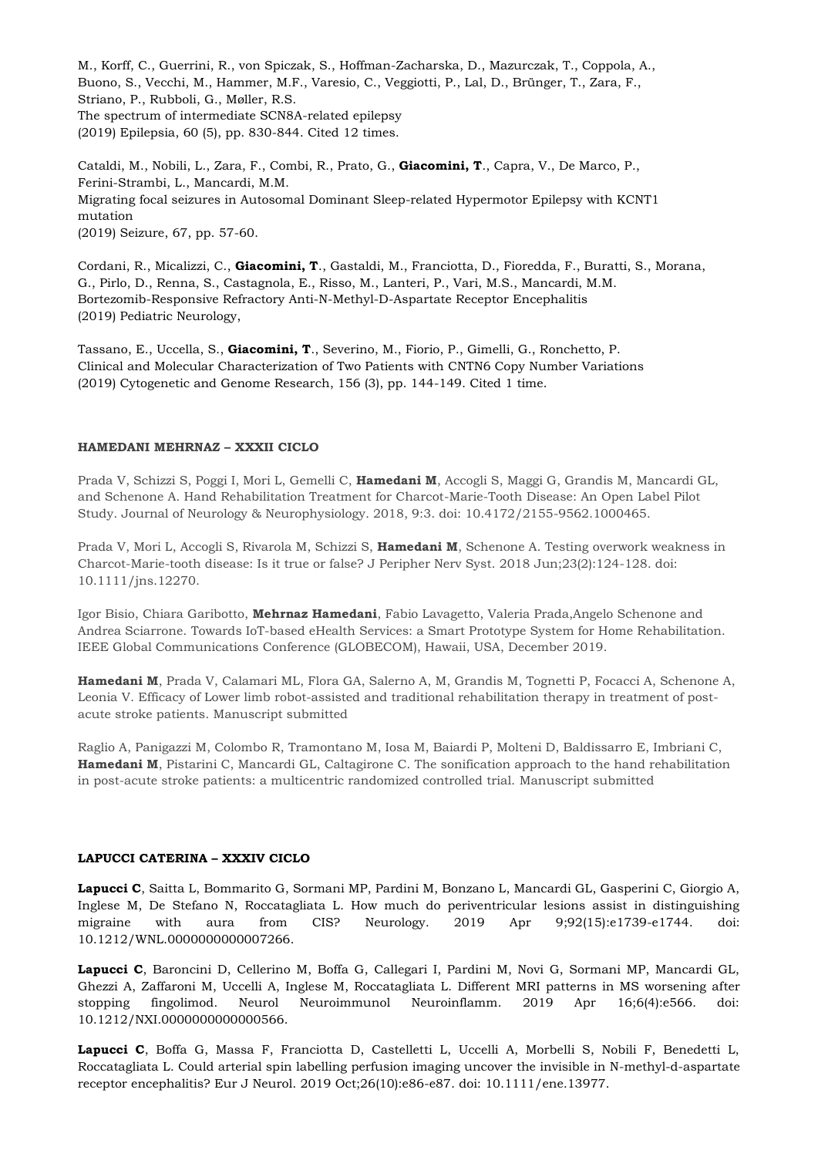M., Korff, C., Guerrini, R., von Spiczak, S., Hoffman-Zacharska, D., Mazurczak, T., Coppola, A., Buono, S., Vecchi, M., Hammer, M.F., Varesio, C., Veggiotti, P., Lal, D., Brünger, T., Zara, F., Striano, P., Rubboli, G., Møller, R.S. The spectrum of intermediate SCN8A-related epilepsy (2019) Epilepsia, 60 (5), pp. 830-844. Cited 12 times.

Cataldi, M., Nobili, L., Zara, F., Combi, R., Prato, G., **Giacomini, T**., Capra, V., De Marco, P., Ferini-Strambi, L., Mancardi, M.M. Migrating focal seizures in Autosomal Dominant Sleep-related Hypermotor Epilepsy with KCNT1 mutation (2019) Seizure, 67, pp. 57-60.

Cordani, R., Micalizzi, C., **Giacomini, T**., Gastaldi, M., Franciotta, D., Fioredda, F., Buratti, S., Morana, G., Pirlo, D., Renna, S., Castagnola, E., Risso, M., Lanteri, P., Vari, M.S., Mancardi, M.M. Bortezomib-Responsive Refractory Anti-N-Methyl-D-Aspartate Receptor Encephalitis (2019) Pediatric Neurology,

Tassano, E., Uccella, S., **Giacomini, T**., Severino, M., Fiorio, P., Gimelli, G., Ronchetto, P. Clinical and Molecular Characterization of Two Patients with CNTN6 Copy Number Variations (2019) Cytogenetic and Genome Research, 156 (3), pp. 144-149. Cited 1 time.

# **HAMEDANI MEHRNAZ – XXXII CICLO**

Prada V, Schizzi S, Poggi I, Mori L, Gemelli C, **Hamedani M**, Accogli S, Maggi G, Grandis M, Mancardi GL, and Schenone A. Hand Rehabilitation Treatment for Charcot-Marie-Tooth Disease: An Open Label Pilot Study. Journal of Neurology & Neurophysiology. 2018, 9:3. doi: 10.4172/2155-9562.1000465.

Prada V, Mori L, Accogli S, Rivarola M, Schizzi S, **Hamedani M**, Schenone A. Testing overwork weakness in Charcot-Marie-tooth disease: Is it true or false? J Peripher Nerv Syst. 2018 Jun;23(2):124-128. doi: 10.1111/jns.12270.

Igor Bisio, Chiara Garibotto, **Mehrnaz Hamedani**, Fabio Lavagetto, Valeria Prada,Angelo Schenone and Andrea Sciarrone. Towards IoT-based eHealth Services: a Smart Prototype System for Home Rehabilitation. IEEE Global Communications Conference (GLOBECOM), Hawaii, USA, December 2019.

**Hamedani M**, Prada V, Calamari ML, Flora GA, Salerno A, M, Grandis M, Tognetti P, Focacci A, Schenone A, Leonia V. Efficacy of Lower limb robot-assisted and traditional rehabilitation therapy in treatment of postacute stroke patients. Manuscript submitted

Raglio A, Panigazzi M, Colombo R, Tramontano M, Iosa M, Baiardi P, Molteni D, Baldissarro E, Imbriani C, **Hamedani M**, Pistarini C, Mancardi GL, Caltagirone C. The sonification approach to the hand rehabilitation in post-acute stroke patients: a multicentric randomized controlled trial. Manuscript submitted

#### **LAPUCCI CATERINA – XXXIV CICLO**

**Lapucci C**, Saitta L, Bommarito G, Sormani MP, Pardini M, Bonzano L, Mancardi GL, Gasperini C, Giorgio A, Inglese M, De Stefano N, Roccatagliata L. How much do periventricular lesions assist in distinguishing migraine with aura from CIS? Neurology. 2019 Apr 9;92(15):e1739-e1744. doi: 10.1212/WNL.0000000000007266.

**Lapucci C**, Baroncini D, Cellerino M, Boffa G, Callegari I, Pardini M, Novi G, Sormani MP, Mancardi GL, Ghezzi A, Zaffaroni M, Uccelli A, Inglese M, Roccatagliata L. Different MRI patterns in MS worsening after stopping fingolimod. Neurol Neuroimmunol Neuroinflamm. 2019 Apr 16;6(4):e566. doi: 10.1212/NXI.0000000000000566.

Lapucci C, Boffa G, Massa F, Franciotta D, Castelletti L, Uccelli A, Morbelli S, Nobili F, Benedetti L, Roccatagliata L. Could arterial spin labelling perfusion imaging uncover the invisible in N-methyl-d-aspartate receptor encephalitis? Eur J Neurol. 2019 Oct;26(10):e86-e87. doi: 10.1111/ene.13977.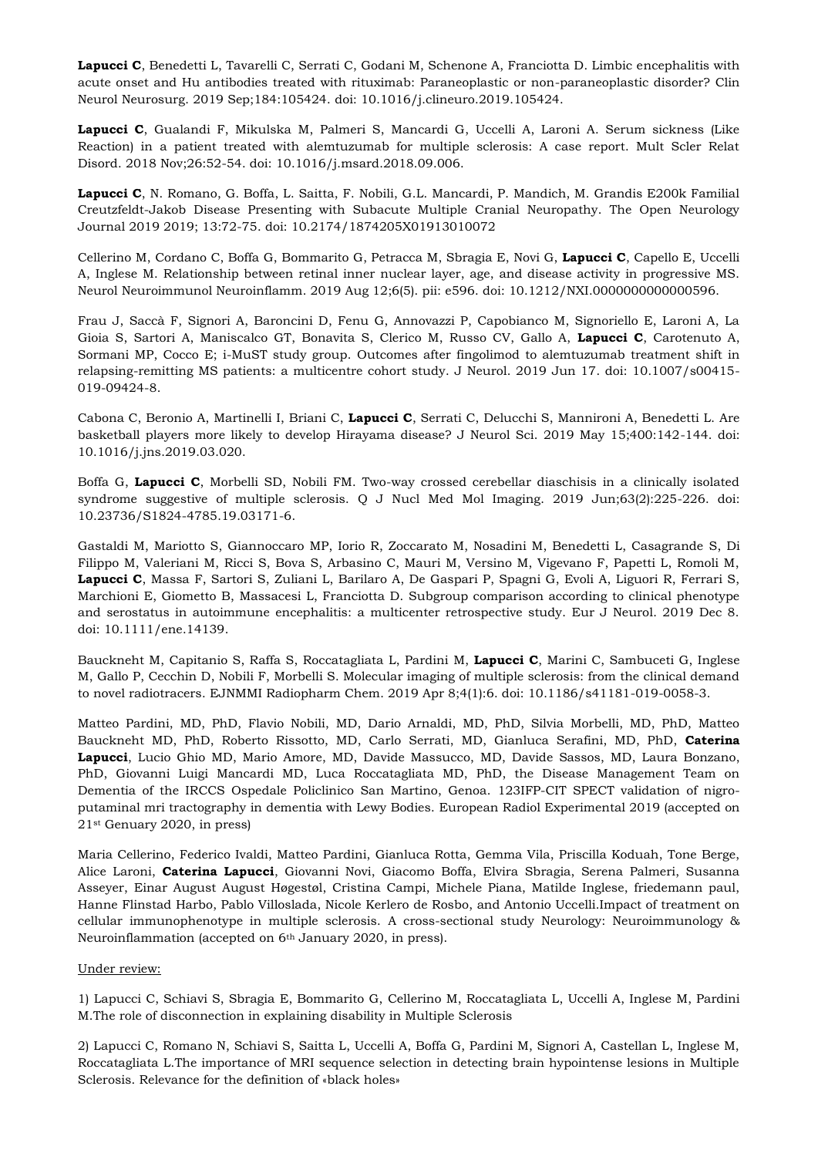**Lapucci C**, Benedetti L, Tavarelli C, Serrati C, Godani M, Schenone A, Franciotta D. Limbic encephalitis with acute onset and Hu antibodies treated with rituximab: Paraneoplastic or non-paraneoplastic disorder? Clin Neurol Neurosurg. 2019 Sep;184:105424. doi: 10.1016/j.clineuro.2019.105424.

**Lapucci C**, Gualandi F, Mikulska M, Palmeri S, Mancardi G, Uccelli A, Laroni A. Serum sickness (Like Reaction) in a patient treated with alemtuzumab for multiple sclerosis: A case report. Mult Scler Relat Disord. 2018 Nov;26:52-54. doi: 10.1016/j.msard.2018.09.006.

**Lapucci C**, N. Romano, G. Boffa, L. Saitta, F. Nobili, G.L. Mancardi, P. Mandich, M. Grandis E200k Familial Creutzfeldt-Jakob Disease Presenting with Subacute Multiple Cranial Neuropathy. The Open Neurology Journal 2019 2019; 13:72-75. doi: 10.2174/1874205X01913010072

Cellerino M, Cordano C, Boffa G, Bommarito G, Petracca M, Sbragia E, Novi G, **Lapucci C**, Capello E, Uccelli A, Inglese M. Relationship between retinal inner nuclear layer, age, and disease activity in progressive MS. Neurol Neuroimmunol Neuroinflamm. 2019 Aug 12;6(5). pii: e596. doi: 10.1212/NXI.0000000000000596.

Frau J, Saccà F, Signori A, Baroncini D, Fenu G, Annovazzi P, Capobianco M, Signoriello E, Laroni A, La Gioia S, Sartori A, Maniscalco GT, Bonavita S, Clerico M, Russo CV, Gallo A, **Lapucci C**, Carotenuto A, Sormani MP, Cocco E; i-MuST study group. Outcomes after fingolimod to alemtuzumab treatment shift in relapsing-remitting MS patients: a multicentre cohort study. J Neurol. 2019 Jun 17. doi: 10.1007/s00415- 019-09424-8.

Cabona C, Beronio A, Martinelli I, Briani C, **Lapucci C**, Serrati C, Delucchi S, Mannironi A, Benedetti L. Are basketball players more likely to develop Hirayama disease? J Neurol Sci. 2019 May 15;400:142-144. doi: 10.1016/j.jns.2019.03.020.

Boffa G, **Lapucci C**, Morbelli SD, Nobili FM. Two-way crossed cerebellar diaschisis in a clinically isolated syndrome suggestive of multiple sclerosis. Q J Nucl Med Mol Imaging. 2019 Jun;63(2):225-226. doi: 10.23736/S1824-4785.19.03171-6.

Gastaldi M, Mariotto S, Giannoccaro MP, Iorio R, Zoccarato M, Nosadini M, Benedetti L, Casagrande S, Di Filippo M, Valeriani M, Ricci S, Bova S, Arbasino C, Mauri M, Versino M, Vigevano F, Papetti L, Romoli M, **Lapucci C**, Massa F, Sartori S, Zuliani L, Barilaro A, De Gaspari P, Spagni G, Evoli A, Liguori R, Ferrari S, Marchioni E, Giometto B, Massacesi L, Franciotta D. Subgroup comparison according to clinical phenotype and serostatus in autoimmune encephalitis: a multicenter retrospective study. Eur J Neurol. 2019 Dec 8. doi: 10.1111/ene.14139.

Bauckneht M, Capitanio S, Raffa S, Roccatagliata L, Pardini M, **Lapucci C**, Marini C, Sambuceti G, Inglese M, Gallo P, Cecchin D, Nobili F, Morbelli S. Molecular imaging of multiple sclerosis: from the clinical demand to novel radiotracers. EJNMMI Radiopharm Chem. 2019 Apr 8;4(1):6. doi: 10.1186/s41181-019-0058-3.

Matteo Pardini, MD, PhD, Flavio Nobili, MD, Dario Arnaldi, MD, PhD, Silvia Morbelli, MD, PhD, Matteo Bauckneht MD, PhD, Roberto Rissotto, MD, Carlo Serrati, MD, Gianluca Serafini, MD, PhD, **Caterina Lapucci**, Lucio Ghio MD, Mario Amore, MD, Davide Massucco, MD, Davide Sassos, MD, Laura Bonzano, PhD, Giovanni Luigi Mancardi MD, Luca Roccatagliata MD, PhD, the Disease Management Team on Dementia of the IRCCS Ospedale Policlinico San Martino, Genoa. 123IFP-CIT SPECT validation of nigroputaminal mri tractography in dementia with Lewy Bodies. European Radiol Experimental 2019 (accepted on 21st Genuary 2020, in press)

Maria Cellerino, Federico Ivaldi, Matteo Pardini, Gianluca Rotta, Gemma Vila, Priscilla Koduah, Tone Berge, Alice Laroni, **Caterina Lapucci**, Giovanni Novi, Giacomo Boffa, Elvira Sbragia, Serena Palmeri, Susanna Asseyer, Einar August August Høgestøl, Cristina Campi, Michele Piana, Matilde Inglese, friedemann paul, Hanne Flinstad Harbo, Pablo Villoslada, Nicole Kerlero de Rosbo, and Antonio Uccelli.Impact of treatment on cellular immunophenotype in multiple sclerosis. A cross-sectional study Neurology: Neuroimmunology & Neuroinflammation (accepted on 6th January 2020, in press).

# Under review:

1) Lapucci C, Schiavi S, Sbragia E, Bommarito G, Cellerino M, Roccatagliata L, Uccelli A, Inglese M, Pardini M.The role of disconnection in explaining disability in Multiple Sclerosis

2) Lapucci C, Romano N, Schiavi S, Saitta L, Uccelli A, Boffa G, Pardini M, Signori A, Castellan L, Inglese M, Roccatagliata L.The importance of MRI sequence selection in detecting brain hypointense lesions in Multiple Sclerosis. Relevance for the definition of «black holes»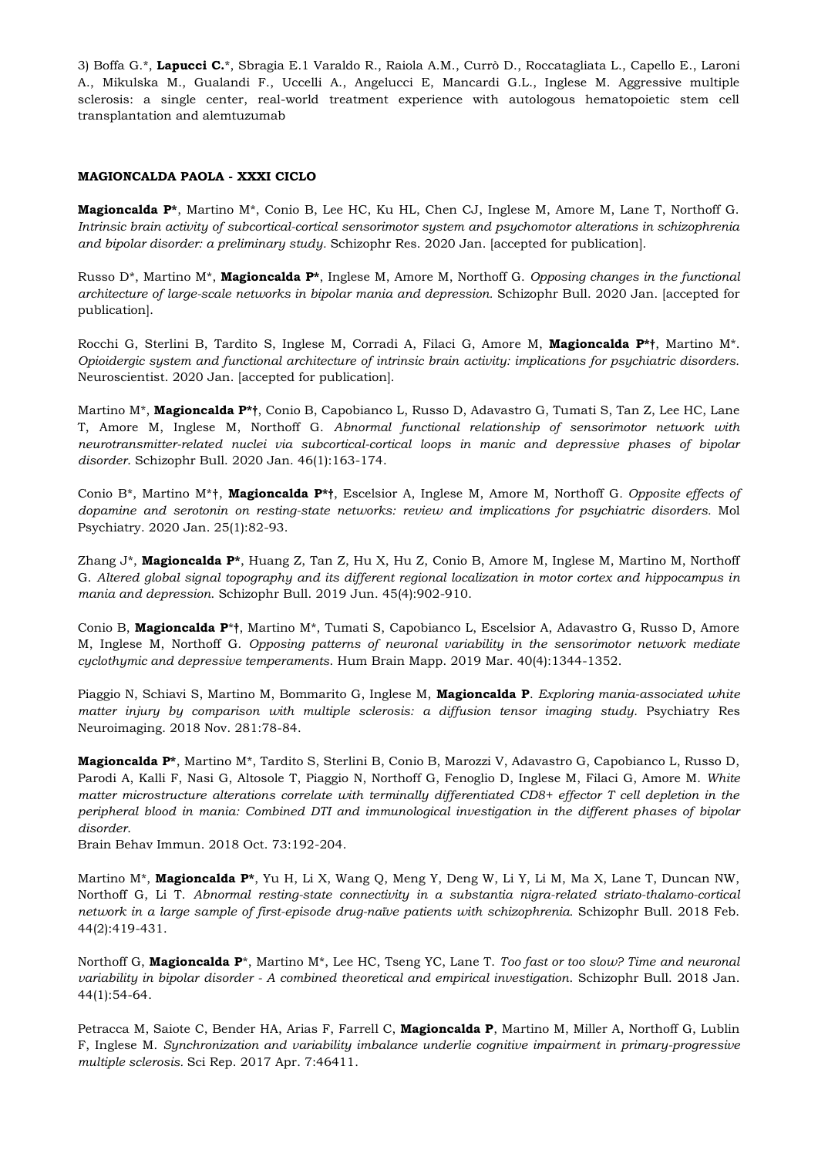3) Boffa G.\*, **Lapucci C.**\*, Sbragia E.1 Varaldo R., Raiola A.M., Currò D., Roccatagliata L., Capello E., Laroni A., Mikulska M., Gualandi F., Uccelli A., Angelucci E, Mancardi G.L., Inglese M. Aggressive multiple sclerosis: a single center, real-world treatment experience with autologous hematopoietic stem cell transplantation and alemtuzumab

# **MAGIONCALDA PAOLA - XXXI CICLO**

**Magioncalda P\***, Martino M\*, Conio B, Lee HC, Ku HL, Chen CJ, Inglese M, Amore M, Lane T, Northoff G. *Intrinsic brain activity of subcortical-cortical sensorimotor system and psychomotor alterations in schizophrenia and bipolar disorder: a preliminary study.* Schizophr Res. 2020 Jan. [accepted for publication].

Russo D\*, Martino M\*, **Magioncalda P\***, Inglese M, Amore M, Northoff G. *Opposing changes in the functional architecture of large-scale networks in bipolar mania and depression.* Schizophr Bull. 2020 Jan. [accepted for publication].

Rocchi G, Sterlini B, Tardito S, Inglese M, Corradi A, Filaci G, Amore M, **Magioncalda P\*†**, Martino M\*. *Opioidergic system and functional architecture of intrinsic brain activity: implications for psychiatric disorders.*  Neuroscientist. 2020 Jan. [accepted for publication].

Martino M\*, **Magioncalda P\*†**, Conio B, Capobianco L, Russo D, Adavastro G, Tumati S, Tan Z, Lee HC, Lane T, Amore M, Inglese M, Northoff G. *Abnormal functional relationship of sensorimotor network with neurotransmitter-related nuclei via subcortical-cortical loops in manic and depressive phases of bipolar disorder*. Schizophr Bull. 2020 Jan. 46(1):163-174.

Conio B\*, Martino M\*†, **Magioncalda P\*†**, Escelsior A, Inglese M, Amore M, Northoff G*. Opposite effects of dopamine and serotonin on resting-state networks: review and implications for psychiatric disorders.* Mol Psychiatry. 2020 Jan. 25(1):82-93.

Zhang J\*, **Magioncalda P\***, Huang Z, Tan Z, Hu X, Hu Z, Conio B, Amore M, Inglese M, Martino M, Northoff G. *Altered global signal topography and its different regional localization in motor cortex and hippocampus in mania and depression*. Schizophr Bull. 2019 Jun. 45(4):902-910.

Conio B, **Magioncalda P**\***†**, Martino M\*, Tumati S, Capobianco L, Escelsior A, Adavastro G, Russo D, Amore M, Inglese M, Northoff G. *Opposing patterns of neuronal variability in the sensorimotor network mediate cyclothymic and depressive temperaments*. Hum Brain Mapp. 2019 Mar. 40(4):1344-1352.

Piaggio N, Schiavi S, Martino M, Bommarito G, Inglese M, **Magioncalda P**. *Exploring mania-associated white matter injury by comparison with multiple sclerosis: a diffusion tensor imaging study.* Psychiatry Res Neuroimaging. 2018 Nov. 281:78-84.

**Magioncalda P\***, Martino M\*, Tardito S, Sterlini B, Conio B, Marozzi V, Adavastro G, Capobianco L, Russo D, Parodi A, Kalli F, Nasi G, Altosole T, Piaggio N, Northoff G, Fenoglio D, Inglese M, Filaci G, Amore M. *White matter microstructure alterations correlate with terminally differentiated CD8+ effector T cell depletion in the peripheral blood in mania: Combined DTI and immunological investigation in the different phases of bipolar disorder*.

Brain Behav Immun. 2018 Oct. 73:192-204.

Martino M\*, **Magioncalda P\***, Yu H, Li X, Wang Q, Meng Y, Deng W, Li Y, Li M, Ma X, Lane T, Duncan NW, Northoff G, Li T. *Abnormal resting-state connectivity in a substantia nigra-related striato-thalamo-cortical network in a large sample of first-episode drug-naïve patients with schizophrenia.* Schizophr Bull. 2018 Feb. 44(2):419-431.

Northoff G, **Magioncalda P**\*, Martino M\*, Lee HC, Tseng YC, Lane T. *Too fast or too slow? Time and neuronal variability in bipolar disorder - A combined theoretical and empirical investigation*. Schizophr Bull. 2018 Jan. 44(1):54-64.

Petracca M, Saiote C, Bender HA, Arias F, Farrell C, **Magioncalda P**, Martino M, Miller A, Northoff G, Lublin F, Inglese M. *Synchronization and variability imbalance underlie cognitive impairment in primary-progressive multiple sclerosis.* Sci Rep. 2017 Apr. 7:46411.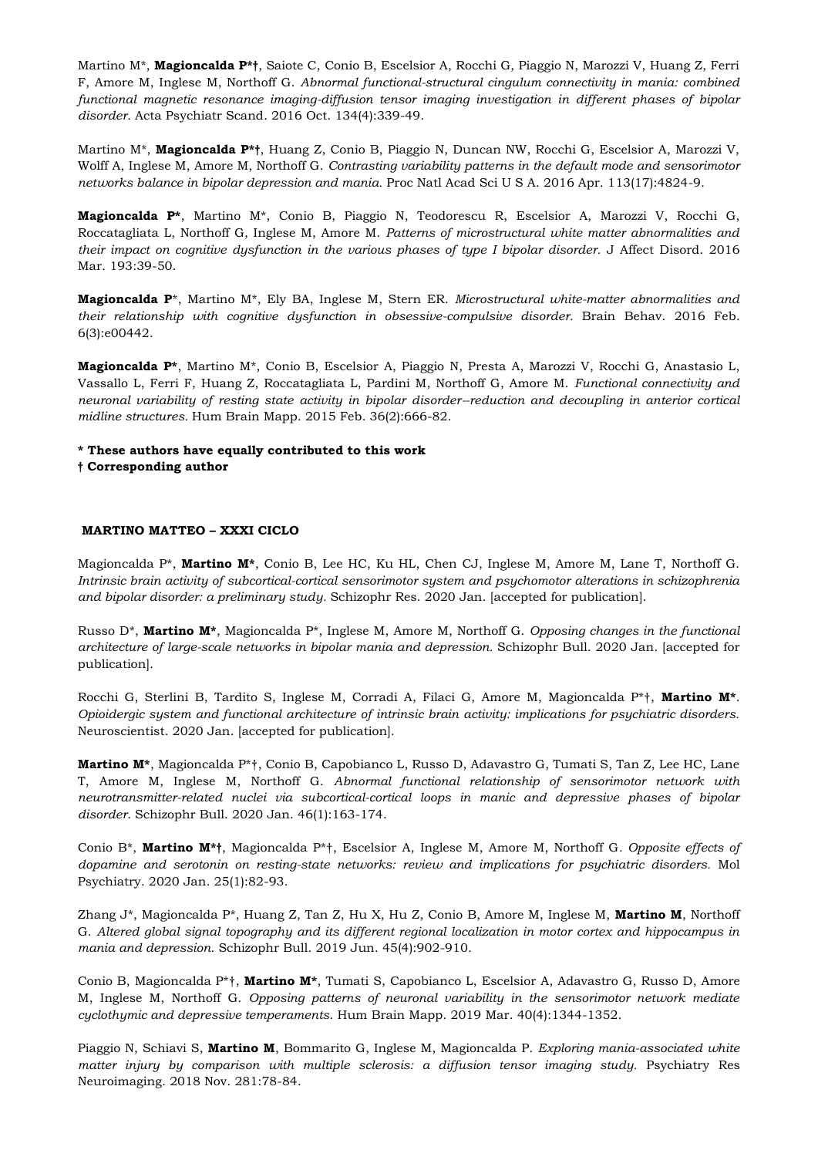Martino M\*, **Magioncalda P\*†**, Saiote C, Conio B, Escelsior A, Rocchi G, Piaggio N, Marozzi V, Huang Z, Ferri F, Amore M, Inglese M, Northoff G. *Abnormal functional-structural cingulum connectivity in mania: combined functional magnetic resonance imaging-diffusion tensor imaging investigation in different phases of bipolar disorder*. Acta Psychiatr Scand. 2016 Oct. 134(4):339-49.

Martino M\*, **Magioncalda P\*†**, Huang Z, Conio B, Piaggio N, Duncan NW, Rocchi G, Escelsior A, Marozzi V, Wolff A, Inglese M, Amore M, Northoff G. *Contrasting variability patterns in the default mode and sensorimotor networks balance in bipolar depression and mania.* Proc Natl Acad Sci U S A. 2016 Apr. 113(17):4824-9.

**Magioncalda P\***, Martino M\*, Conio B, Piaggio N, Teodorescu R, Escelsior A, Marozzi V, Rocchi G, Roccatagliata L, Northoff G, Inglese M, Amore M. *Patterns of microstructural white matter abnormalities and their impact on cognitive dysfunction in the various phases of type I bipolar disorder.* J Affect Disord. 2016 Mar. 193:39-50.

**Magioncalda P**\*, Martino M\*, Ely BA, Inglese M, Stern ER. *Microstructural white-matter abnormalities and their relationship with cognitive dysfunction in obsessive-compulsive disorder.* Brain Behav. 2016 Feb. 6(3):e00442.

**Magioncalda P\***, Martino M\*, Conio B, Escelsior A, Piaggio N, Presta A, Marozzi V, Rocchi G, Anastasio L, Vassallo L, Ferri F, Huang Z, Roccatagliata L, Pardini M, Northoff G, Amore M. *Functional connectivity and neuronal variability of resting state activity in bipolar disorder--reduction and decoupling in anterior cortical midline structures.* Hum Brain Mapp. 2015 Feb. 36(2):666-82.

**\* These authors have equally contributed to this work** 

**† Corresponding author**

# **MARTINO MATTEO – XXXI CICLO**

Magioncalda P\*, **Martino M\***, Conio B, Lee HC, Ku HL, Chen CJ, Inglese M, Amore M, Lane T, Northoff G. *Intrinsic brain activity of subcortical-cortical sensorimotor system and psychomotor alterations in schizophrenia and bipolar disorder: a preliminary study.* Schizophr Res. 2020 Jan. [accepted for publication].

Russo D\*, **Martino M\***, Magioncalda P\*, Inglese M, Amore M, Northoff G. *Opposing changes in the functional architecture of large-scale networks in bipolar mania and depression.* Schizophr Bull. 2020 Jan. [accepted for publication].

Rocchi G, Sterlini B, Tardito S, Inglese M, Corradi A, Filaci G, Amore M, Magioncalda P\*†, **Martino M\***. *Opioidergic system and functional architecture of intrinsic brain activity: implications for psychiatric disorders.*  Neuroscientist. 2020 Jan. [accepted for publication].

**Martino M\***, Magioncalda P\*†, Conio B, Capobianco L, Russo D, Adavastro G, Tumati S, Tan Z, Lee HC, Lane T, Amore M, Inglese M, Northoff G. *Abnormal functional relationship of sensorimotor network with neurotransmitter-related nuclei via subcortical-cortical loops in manic and depressive phases of bipolar disorder*. Schizophr Bull. 2020 Jan. 46(1):163-174.

Conio B\*, **Martino M\*†**, Magioncalda P\*†, Escelsior A, Inglese M, Amore M, Northoff G*. Opposite effects of dopamine and serotonin on resting-state networks: review and implications for psychiatric disorders.* Mol Psychiatry. 2020 Jan. 25(1):82-93.

Zhang J\*, Magioncalda P\*, Huang Z, Tan Z, Hu X, Hu Z, Conio B, Amore M, Inglese M, **Martino M**, Northoff G. *Altered global signal topography and its different regional localization in motor cortex and hippocampus in mania and depression*. Schizophr Bull. 2019 Jun. 45(4):902-910.

Conio B, Magioncalda P\*†, **Martino M\***, Tumati S, Capobianco L, Escelsior A, Adavastro G, Russo D, Amore M, Inglese M, Northoff G. *Opposing patterns of neuronal variability in the sensorimotor network mediate cyclothymic and depressive temperaments*. Hum Brain Mapp. 2019 Mar. 40(4):1344-1352.

Piaggio N, Schiavi S, **Martino M**, Bommarito G, Inglese M, Magioncalda P. *Exploring mania-associated white matter injury by comparison with multiple sclerosis: a diffusion tensor imaging study.* Psychiatry Res Neuroimaging. 2018 Nov. 281:78-84.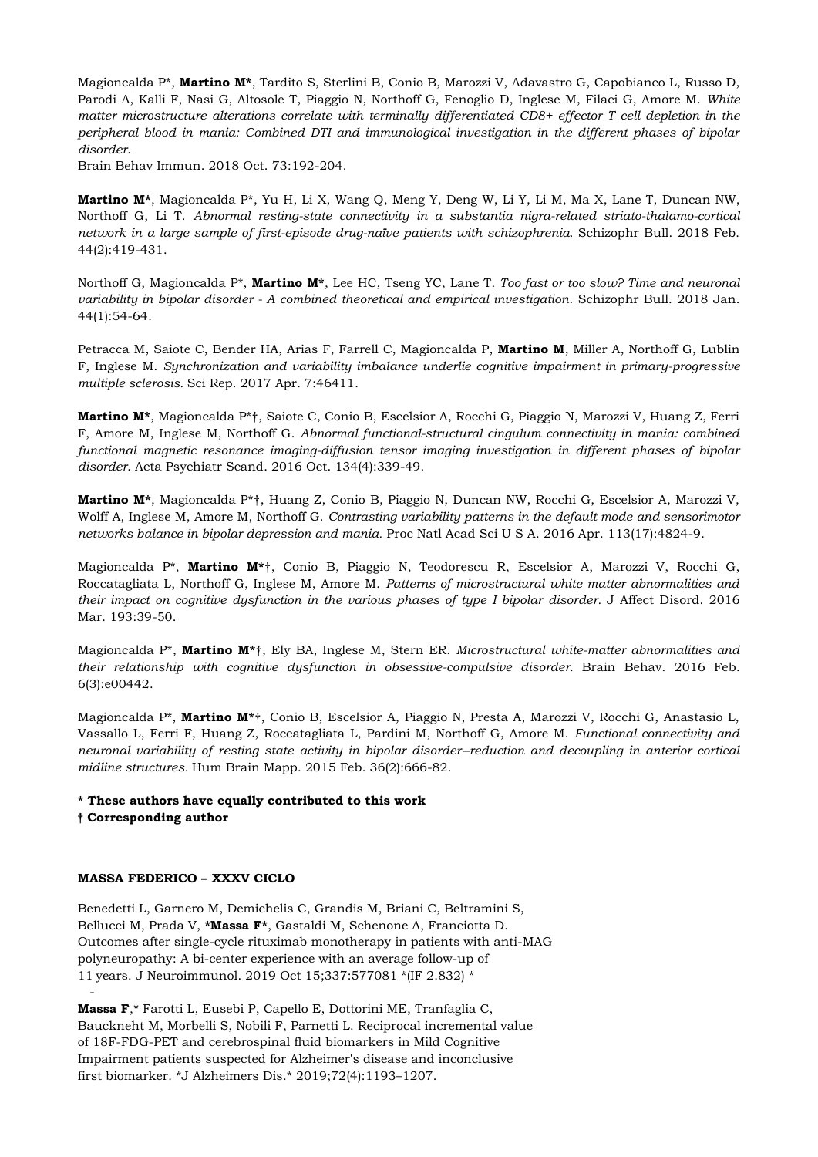Magioncalda P\*, **Martino M\***, Tardito S, Sterlini B, Conio B, Marozzi V, Adavastro G, Capobianco L, Russo D, Parodi A, Kalli F, Nasi G, Altosole T, Piaggio N, Northoff G, Fenoglio D, Inglese M, Filaci G, Amore M. *White matter microstructure alterations correlate with terminally differentiated CD8+ effector T cell depletion in the peripheral blood in mania: Combined DTI and immunological investigation in the different phases of bipolar disorder*.

Brain Behav Immun. 2018 Oct. 73:192-204.

**Martino M\***, Magioncalda P\*, Yu H, Li X, Wang Q, Meng Y, Deng W, Li Y, Li M, Ma X, Lane T, Duncan NW, Northoff G, Li T. *Abnormal resting-state connectivity in a substantia nigra-related striato-thalamo-cortical network in a large sample of first-episode drug-naïve patients with schizophrenia.* Schizophr Bull. 2018 Feb. 44(2):419-431.

Northoff G, Magioncalda P\*, **Martino M\***, Lee HC, Tseng YC, Lane T. *Too fast or too slow? Time and neuronal variability in bipolar disorder - A combined theoretical and empirical investigation*. Schizophr Bull. 2018 Jan. 44(1):54-64.

Petracca M, Saiote C, Bender HA, Arias F, Farrell C, Magioncalda P, **Martino M**, Miller A, Northoff G, Lublin F, Inglese M. *Synchronization and variability imbalance underlie cognitive impairment in primary-progressive multiple sclerosis.* Sci Rep. 2017 Apr. 7:46411.

**Martino M\***, Magioncalda P\*†, Saiote C, Conio B, Escelsior A, Rocchi G, Piaggio N, Marozzi V, Huang Z, Ferri F, Amore M, Inglese M, Northoff G. *Abnormal functional-structural cingulum connectivity in mania: combined functional magnetic resonance imaging-diffusion tensor imaging investigation in different phases of bipolar disorder*. Acta Psychiatr Scand. 2016 Oct. 134(4):339-49.

**Martino M\***, Magioncalda P\*†, Huang Z, Conio B, Piaggio N, Duncan NW, Rocchi G, Escelsior A, Marozzi V, Wolff A, Inglese M, Amore M, Northoff G. *Contrasting variability patterns in the default mode and sensorimotor networks balance in bipolar depression and mania.* Proc Natl Acad Sci U S A. 2016 Apr. 113(17):4824-9.

Magioncalda P\*, **Martino M\***†, Conio B, Piaggio N, Teodorescu R, Escelsior A, Marozzi V, Rocchi G, Roccatagliata L, Northoff G, Inglese M, Amore M. *Patterns of microstructural white matter abnormalities and their impact on cognitive dysfunction in the various phases of type I bipolar disorder.* J Affect Disord. 2016 Mar. 193:39-50.

Magioncalda P\*, **Martino M\***†, Ely BA, Inglese M, Stern ER. *Microstructural white-matter abnormalities and their relationship with cognitive dysfunction in obsessive-compulsive disorder.* Brain Behav. 2016 Feb. 6(3):e00442.

Magioncalda P\*, **Martino M\***†, Conio B, Escelsior A, Piaggio N, Presta A, Marozzi V, Rocchi G, Anastasio L, Vassallo L, Ferri F, Huang Z, Roccatagliata L, Pardini M, Northoff G, Amore M. *Functional connectivity and neuronal variability of resting state activity in bipolar disorder--reduction and decoupling in anterior cortical midline structures.* Hum Brain Mapp. 2015 Feb. 36(2):666-82.

# **\* These authors have equally contributed to this work**

**† Corresponding author**

-

# **MASSA FEDERICO – XXXV CICLO**

Benedetti L, Garnero M, Demichelis C, Grandis M, Briani C, Beltramini S, Bellucci M, Prada V, **\*Massa F\***, Gastaldi M, Schenone A, Franciotta D. Outcomes after single-cycle rituximab monotherapy in patients with anti-MAG polyneuropathy: A bi-center experience with an average follow-up of 11 years. J Neuroimmunol. 2019 Oct 15;337:577081 \*(IF 2.832) \*

**Massa F**,\* Farotti L, Eusebi P, Capello E, Dottorini ME, Tranfaglia C, Bauckneht M, Morbelli S, Nobili F, Parnetti L. Reciprocal incremental value of 18F-FDG-PET and cerebrospinal fluid biomarkers in Mild Cognitive Impairment patients suspected for Alzheimer's disease and inconclusive first biomarker. \*J Alzheimers Dis.\* 2019;72(4):1193–1207.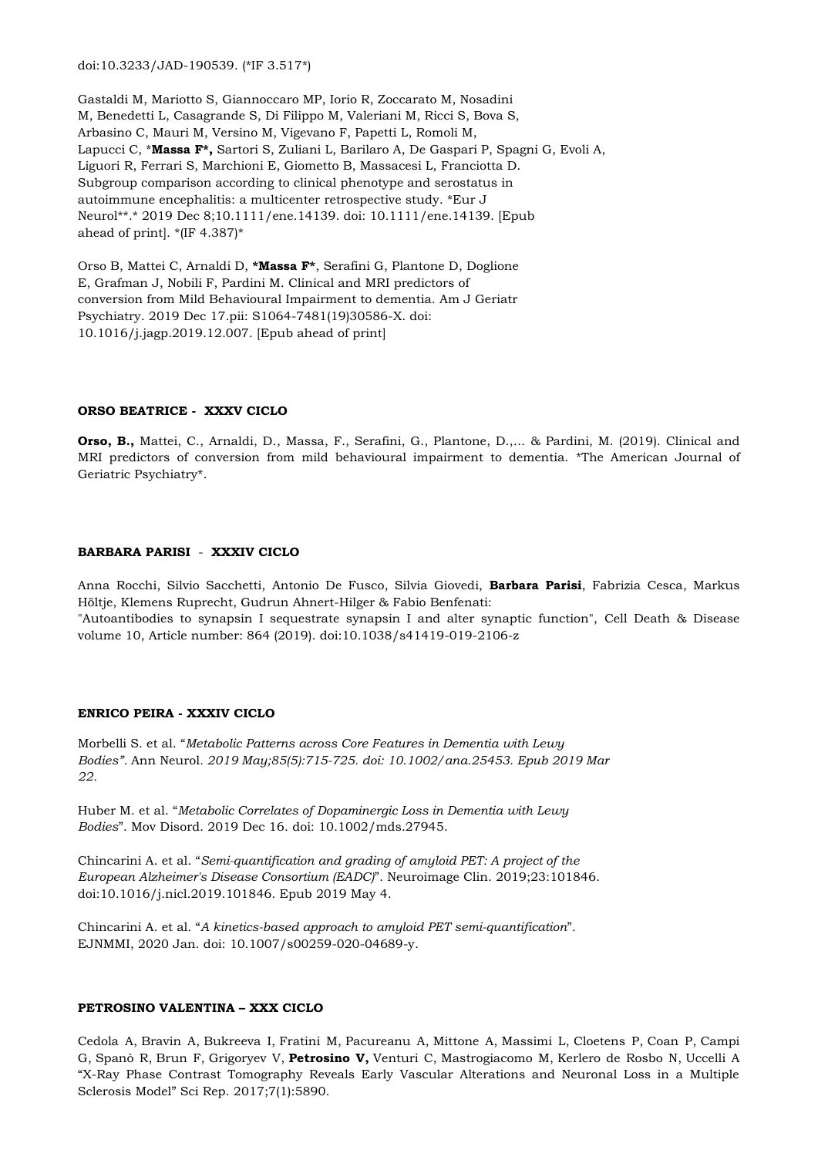doi:10.3233/JAD-190539. (\*IF 3.517\*)

Gastaldi M, Mariotto S, Giannoccaro MP, Iorio R, Zoccarato M, Nosadini M, Benedetti L, Casagrande S, Di Filippo M, Valeriani M, Ricci S, Bova S, Arbasino C, Mauri M, Versino M, Vigevano F, Papetti L, Romoli M, Lapucci C, \***Massa F\*,** Sartori S, Zuliani L, Barilaro A, De Gaspari P, Spagni G, Evoli A, Liguori R, Ferrari S, Marchioni E, Giometto B, Massacesi L, Franciotta D. Subgroup comparison according to clinical phenotype and serostatus in autoimmune encephalitis: a multicenter retrospective study. \*Eur J Neurol\*\*.\* 2019 Dec 8;10.1111/ene.14139. doi: 10.1111/ene.14139. [Epub ahead of print]. \*(IF 4.387)\*

Orso B, Mattei C, Arnaldi D, **\*Massa F\***, Serafini G, Plantone D, Doglione E, Grafman J, Nobili F, Pardini M. Clinical and MRI predictors of conversion from Mild Behavioural Impairment to dementia. Am J Geriatr Psychiatry. 2019 Dec 17.pii: S1064-7481(19)30586-X. doi: 10.1016/j.jagp.2019.12.007. [Epub ahead of print]

#### **ORSO BEATRICE - XXXV CICLO**

**Orso, B.,** Mattei, C., Arnaldi, D., Massa, F., Serafini, G., Plantone, D.,... & Pardini, M. (2019). Clinical and MRI predictors of conversion from mild behavioural impairment to dementia. \*The American Journal of Geriatric Psychiatry\*.

# **BARBARA PARISI** - **XXXIV CICLO**

Anna Rocchi, Silvio Sacchetti, Antonio De Fusco, Silvia Giovedi, **Barbara Parisi**, Fabrizia Cesca, Markus Höltje, Klemens Ruprecht, Gudrun Ahnert-Hilger & Fabio Benfenati: "Autoantibodies to synapsin I sequestrate synapsin I and alter synaptic function", Cell Death & Disease volume 10, Article number: 864 (2019). doi:10.1038/s41419-019-2106-z

## **ENRICO PEIRA - XXXIV CICLO**

Morbelli S. et al. "*Metabolic Patterns across Core Features in Dementia with Lewy Bodies".* Ann Neurol*. 2019 May;85(5):715-725. doi: 10.1002/ana.25453. Epub 2019 Mar 22.*

Huber M. et al. "*Metabolic Correlates of Dopaminergic Loss in Dementia with Lewy Bodies*". Mov Disord. 2019 Dec 16. doi: 10.1002/mds.27945.

Chincarini A. et al. "*Semi-quantification and grading of amyloid PET: A project of the European Alzheimer's Disease Consortium (EADC)*". Neuroimage Clin. 2019;23:101846. doi:10.1016/j.nicl.2019.101846. Epub 2019 May 4.

Chincarini A. et al. "*A kinetics-based approach to amyloid PET semi-quantification*". EJNMMI, 2020 Jan. doi: 10.1007/s00259-020-04689-y.

#### **PETROSINO VALENTINA – XXX CICLO**

[Cedola A,](https://www.ncbi.nlm.nih.gov/pubmed/?term=Cedola%20A%5BAuthor%5D&cauthor=true&cauthor_uid=28724999) [Bravin A,](https://www.ncbi.nlm.nih.gov/pubmed/?term=Bravin%20A%5BAuthor%5D&cauthor=true&cauthor_uid=28724999) [Bukreeva I,](https://www.ncbi.nlm.nih.gov/pubmed/?term=Bukreeva%20I%5BAuthor%5D&cauthor=true&cauthor_uid=28724999) [Fratini M,](https://www.ncbi.nlm.nih.gov/pubmed/?term=Fratini%20M%5BAuthor%5D&cauthor=true&cauthor_uid=28724999) [Pacureanu A,](https://www.ncbi.nlm.nih.gov/pubmed/?term=Pacureanu%20A%5BAuthor%5D&cauthor=true&cauthor_uid=28724999) [Mittone A,](https://www.ncbi.nlm.nih.gov/pubmed/?term=Mittone%20A%5BAuthor%5D&cauthor=true&cauthor_uid=28724999) [Massimi L,](https://www.ncbi.nlm.nih.gov/pubmed/?term=Massimi%20L%5BAuthor%5D&cauthor=true&cauthor_uid=28724999) [Cloetens P,](https://www.ncbi.nlm.nih.gov/pubmed/?term=Cloetens%20P%5BAuthor%5D&cauthor=true&cauthor_uid=28724999) [Coan P,](https://www.ncbi.nlm.nih.gov/pubmed/?term=Coan%20P%5BAuthor%5D&cauthor=true&cauthor_uid=28724999) [Campi](https://www.ncbi.nlm.nih.gov/pubmed/?term=Campi%20G%5BAuthor%5D&cauthor=true&cauthor_uid=28724999)  [G,](https://www.ncbi.nlm.nih.gov/pubmed/?term=Campi%20G%5BAuthor%5D&cauthor=true&cauthor_uid=28724999) [Spanò R,](https://www.ncbi.nlm.nih.gov/pubmed/?term=Span%C3%B2%20R%5BAuthor%5D&cauthor=true&cauthor_uid=28724999) [Brun F,](https://www.ncbi.nlm.nih.gov/pubmed/?term=Brun%20F%5BAuthor%5D&cauthor=true&cauthor_uid=28724999) [Grigoryev V,](https://www.ncbi.nlm.nih.gov/pubmed/?term=Grigoryev%20V%5BAuthor%5D&cauthor=true&cauthor_uid=28724999) **[Petrosino V,](https://www.ncbi.nlm.nih.gov/pubmed/?term=Petrosino%20V%5BAuthor%5D&cauthor=true&cauthor_uid=28724999)** [Venturi C,](https://www.ncbi.nlm.nih.gov/pubmed/?term=Venturi%20C%5BAuthor%5D&cauthor=true&cauthor_uid=28724999) [Mastrogiacomo M,](https://www.ncbi.nlm.nih.gov/pubmed/?term=Mastrogiacomo%20M%5BAuthor%5D&cauthor=true&cauthor_uid=28724999) [Kerlero de Rosbo N,](https://www.ncbi.nlm.nih.gov/pubmed/?term=Kerlero%20de%20Rosbo%20N%5BAuthor%5D&cauthor=true&cauthor_uid=28724999) [Uccelli A](https://www.ncbi.nlm.nih.gov/pubmed/?term=Uccelli%20A%5BAuthor%5D&cauthor=true&cauthor_uid=28724999) "X-Ray Phase Contrast Tomography Reveals Early Vascular Alterations and Neuronal Loss in a Multiple Sclerosis Model" [Sci Rep.](https://www.ncbi.nlm.nih.gov/pubmed/28724999) 2017;7(1):5890.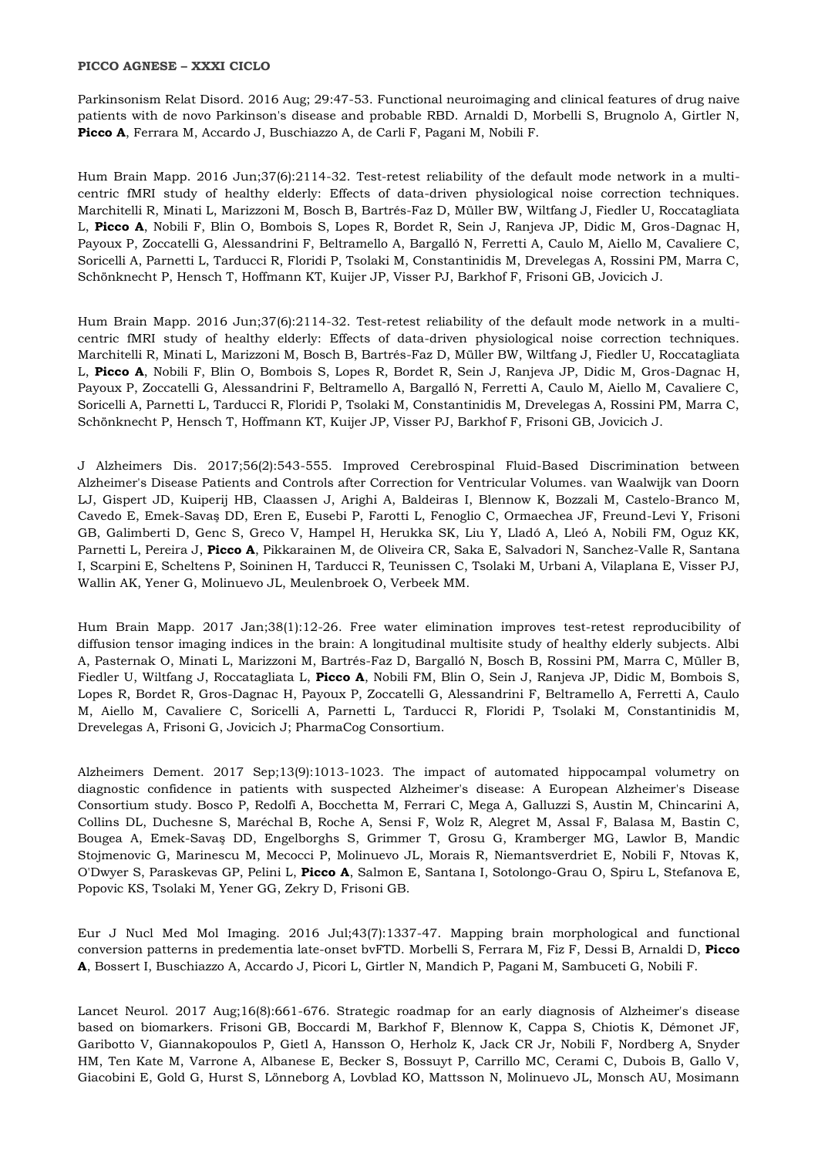## **PICCO AGNESE – XXXI CICLO**

Parkinsonism Relat Disord. 2016 Aug; 29:47-53. Functional neuroimaging and clinical features of drug naive patients with de novo Parkinson's disease and probable RBD. Arnaldi D, Morbelli S, Brugnolo A, Girtler N, **Picco A**, Ferrara M, Accardo J, Buschiazzo A, de Carli F, Pagani M, Nobili F.

Hum Brain Mapp. 2016 Jun;37(6):2114-32. Test-retest reliability of the default mode network in a multicentric fMRI study of healthy elderly: Effects of data-driven physiological noise correction techniques. Marchitelli R, Minati L, Marizzoni M, Bosch B, Bartrés-Faz D, Müller BW, Wiltfang J, Fiedler U, Roccatagliata L, **Picco A**, Nobili F, Blin O, Bombois S, Lopes R, Bordet R, Sein J, Ranjeva JP, Didic M, Gros-Dagnac H, Payoux P, Zoccatelli G, Alessandrini F, Beltramello A, Bargalló N, Ferretti A, Caulo M, Aiello M, Cavaliere C, Soricelli A, Parnetti L, Tarducci R, Floridi P, Tsolaki M, Constantinidis M, Drevelegas A, Rossini PM, Marra C, Schönknecht P, Hensch T, Hoffmann KT, Kuijer JP, Visser PJ, Barkhof F, Frisoni GB, Jovicich J.

Hum Brain Mapp. 2016 Jun;37(6):2114-32. Test-retest reliability of the default mode network in a multicentric fMRI study of healthy elderly: Effects of data-driven physiological noise correction techniques. Marchitelli R, Minati L, Marizzoni M, Bosch B, Bartrés-Faz D, Müller BW, Wiltfang J, Fiedler U, Roccatagliata L, **Picco A**, Nobili F, Blin O, Bombois S, Lopes R, Bordet R, Sein J, Ranjeva JP, Didic M, Gros-Dagnac H, Payoux P, Zoccatelli G, Alessandrini F, Beltramello A, Bargalló N, Ferretti A, Caulo M, Aiello M, Cavaliere C, Soricelli A, Parnetti L, Tarducci R, Floridi P, Tsolaki M, Constantinidis M, Drevelegas A, Rossini PM, Marra C, Schönknecht P, Hensch T, Hoffmann KT, Kuijer JP, Visser PJ, Barkhof F, Frisoni GB, Jovicich J.

J Alzheimers Dis. 2017;56(2):543-555. Improved Cerebrospinal Fluid-Based Discrimination between Alzheimer's Disease Patients and Controls after Correction for Ventricular Volumes. van Waalwijk van Doorn LJ, Gispert JD, Kuiperij HB, Claassen J, Arighi A, Baldeiras I, Blennow K, Bozzali M, Castelo-Branco M, Cavedo E, Emek-Savaş DD, Eren E, Eusebi P, Farotti L, Fenoglio C, Ormaechea JF, Freund-Levi Y, Frisoni GB, Galimberti D, Genc S, Greco V, Hampel H, Herukka SK, Liu Y, Lladó A, Lleó A, Nobili FM, Oguz KK, Parnetti L, Pereira J, **Picco A**, Pikkarainen M, de Oliveira CR, Saka E, Salvadori N, Sanchez-Valle R, Santana I, Scarpini E, Scheltens P, Soininen H, Tarducci R, Teunissen C, Tsolaki M, Urbani A, Vilaplana E, Visser PJ, Wallin AK, Yener G, Molinuevo JL, Meulenbroek O, Verbeek MM.

Hum Brain Mapp. 2017 Jan;38(1):12-26. Free water elimination improves test-retest reproducibility of diffusion tensor imaging indices in the brain: A longitudinal multisite study of healthy elderly subjects. Albi A, Pasternak O, Minati L, Marizzoni M, Bartrés-Faz D, Bargalló N, Bosch B, Rossini PM, Marra C, Müller B, Fiedler U, Wiltfang J, Roccatagliata L, **Picco A**, Nobili FM, Blin O, Sein J, Ranjeva JP, Didic M, Bombois S, Lopes R, Bordet R, Gros-Dagnac H, Payoux P, Zoccatelli G, Alessandrini F, Beltramello A, Ferretti A, Caulo M, Aiello M, Cavaliere C, Soricelli A, Parnetti L, Tarducci R, Floridi P, Tsolaki M, Constantinidis M, Drevelegas A, Frisoni G, Jovicich J; PharmaCog Consortium.

Alzheimers Dement. 2017 Sep;13(9):1013-1023. The impact of automated hippocampal volumetry on diagnostic confidence in patients with suspected Alzheimer's disease: A European Alzheimer's Disease Consortium study. Bosco P, Redolfi A, Bocchetta M, Ferrari C, Mega A, Galluzzi S, Austin M, Chincarini A, Collins DL, Duchesne S, Maréchal B, Roche A, Sensi F, Wolz R, Alegret M, Assal F, Balasa M, Bastin C, Bougea A, Emek-Savaş DD, Engelborghs S, Grimmer T, Grosu G, Kramberger MG, Lawlor B, Mandic Stojmenovic G, Marinescu M, Mecocci P, Molinuevo JL, Morais R, Niemantsverdriet E, Nobili F, Ntovas K, O'Dwyer S, Paraskevas GP, Pelini L, **Picco A**, Salmon E, Santana I, Sotolongo-Grau O, Spiru L, Stefanova E, Popovic KS, Tsolaki M, Yener GG, Zekry D, Frisoni GB.

Eur J Nucl Med Mol Imaging. 2016 Jul;43(7):1337-47. Mapping brain morphological and functional conversion patterns in predementia late-onset bvFTD. Morbelli S, Ferrara M, Fiz F, Dessi B, Arnaldi D, **Picco A**, Bossert I, Buschiazzo A, Accardo J, Picori L, Girtler N, Mandich P, Pagani M, Sambuceti G, Nobili F.

Lancet Neurol. 2017 Aug;16(8):661-676. Strategic roadmap for an early diagnosis of Alzheimer's disease based on biomarkers. Frisoni GB, Boccardi M, Barkhof F, Blennow K, Cappa S, Chiotis K, Démonet JF, Garibotto V, Giannakopoulos P, Gietl A, Hansson O, Herholz K, Jack CR Jr, Nobili F, Nordberg A, Snyder HM, Ten Kate M, Varrone A, Albanese E, Becker S, Bossuyt P, Carrillo MC, Cerami C, Dubois B, Gallo V, Giacobini E, Gold G, Hurst S, Lönneborg A, Lovblad KO, Mattsson N, Molinuevo JL, Monsch AU, Mosimann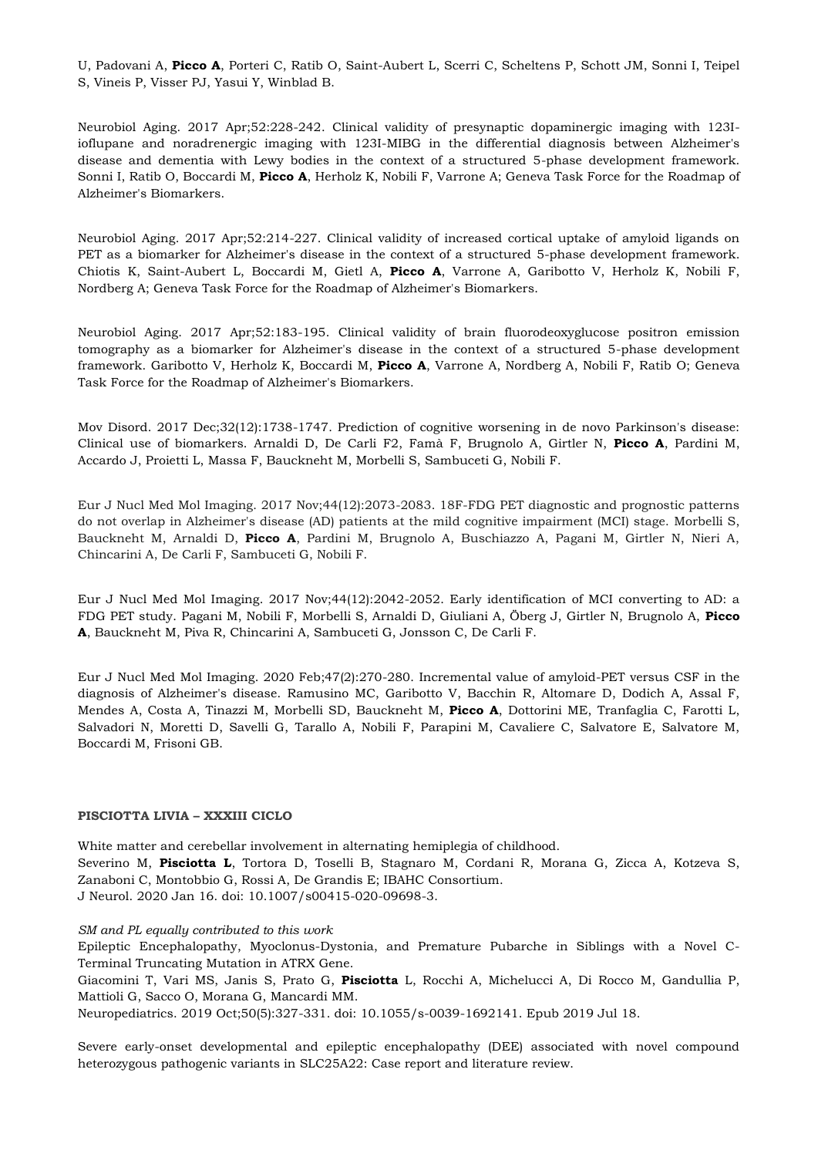U, Padovani A, **Picco A**, Porteri C, Ratib O, Saint-Aubert L, Scerri C, Scheltens P, Schott JM, Sonni I, Teipel S, Vineis P, Visser PJ, Yasui Y, Winblad B.

Neurobiol Aging. 2017 Apr;52:228-242. Clinical validity of presynaptic dopaminergic imaging with 123Iioflupane and noradrenergic imaging with 123I-MIBG in the differential diagnosis between Alzheimer's disease and dementia with Lewy bodies in the context of a structured 5-phase development framework. Sonni I, Ratib O, Boccardi M, **Picco A**, Herholz K, Nobili F, Varrone A; Geneva Task Force for the Roadmap of Alzheimer's Biomarkers.

Neurobiol Aging. 2017 Apr;52:214-227. Clinical validity of increased cortical uptake of amyloid ligands on PET as a biomarker for Alzheimer's disease in the context of a structured 5-phase development framework. Chiotis K, Saint-Aubert L, Boccardi M, Gietl A, **Picco A**, Varrone A, Garibotto V, Herholz K, Nobili F, Nordberg A; Geneva Task Force for the Roadmap of Alzheimer's Biomarkers.

Neurobiol Aging. 2017 Apr;52:183-195. Clinical validity of brain fluorodeoxyglucose positron emission tomography as a biomarker for Alzheimer's disease in the context of a structured 5-phase development framework. Garibotto V, Herholz K, Boccardi M, **Picco A**, Varrone A, Nordberg A, Nobili F, Ratib O; Geneva Task Force for the Roadmap of Alzheimer's Biomarkers.

Mov Disord. 2017 Dec;32(12):1738-1747. Prediction of cognitive worsening in de novo Parkinson's disease: Clinical use of biomarkers. Arnaldi D, De Carli F2, Famà F, Brugnolo A, Girtler N, **Picco A**, Pardini M, Accardo J, Proietti L, Massa F, Bauckneht M, Morbelli S, Sambuceti G, Nobili F.

Eur J Nucl Med Mol Imaging. 2017 Nov;44(12):2073-2083. 18F-FDG PET diagnostic and prognostic patterns do not overlap in Alzheimer's disease (AD) patients at the mild cognitive impairment (MCI) stage. Morbelli S, Bauckneht M, Arnaldi D, **Picco A**, Pardini M, Brugnolo A, Buschiazzo A, Pagani M, Girtler N, Nieri A, Chincarini A, De Carli F, Sambuceti G, Nobili F.

Eur J Nucl Med Mol Imaging. 2017 Nov;44(12):2042-2052. Early identification of MCI converting to AD: a FDG PET study. Pagani M, Nobili F, Morbelli S, Arnaldi D, Giuliani A, Öberg J, Girtler N, Brugnolo A, **Picco A**, Bauckneht M, Piva R, Chincarini A, Sambuceti G, Jonsson C, De Carli F.

Eur J Nucl Med Mol Imaging. 2020 Feb;47(2):270-280. Incremental value of amyloid-PET versus CSF in the diagnosis of Alzheimer's disease. Ramusino MC, Garibotto V, Bacchin R, Altomare D, Dodich A, Assal F, Mendes A, Costa A, Tinazzi M, Morbelli SD, Bauckneht M, **Picco A**, Dottorini ME, Tranfaglia C, Farotti L, Salvadori N, Moretti D, Savelli G, Tarallo A, Nobili F, Parapini M, Cavaliere C, Salvatore E, Salvatore M, Boccardi M, Frisoni GB.

#### **PISCIOTTA LIVIA – XXXIII CICLO**

White matter and cerebellar involvement in alternating hemiplegia of childhood. Severino M, **Pisciotta L**, Tortora D, Toselli B, Stagnaro M, Cordani R, Morana G, Zicca A, Kotzeva S, Zanaboni C, Montobbio G, Rossi A, De Grandis E; IBAHC Consortium. J Neurol. 2020 Jan 16. doi: 10.1007/s00415-020-09698-3.

*SM and PL equally contributed to this work* 

Epileptic Encephalopathy, Myoclonus-Dystonia, and Premature Pubarche in Siblings with a Novel C-Terminal Truncating Mutation in ATRX Gene.

Giacomini T, Vari MS, Janis S, Prato G, **Pisciotta** L, Rocchi A, Michelucci A, Di Rocco M, Gandullia P, Mattioli G, Sacco O, Morana G, Mancardi MM.

Neuropediatrics. 2019 Oct;50(5):327-331. doi: 10.1055/s-0039-1692141. Epub 2019 Jul 18.

Severe early-onset developmental and epileptic encephalopathy (DEE) associated with novel compound heterozygous pathogenic variants in SLC25A22: Case report and literature review.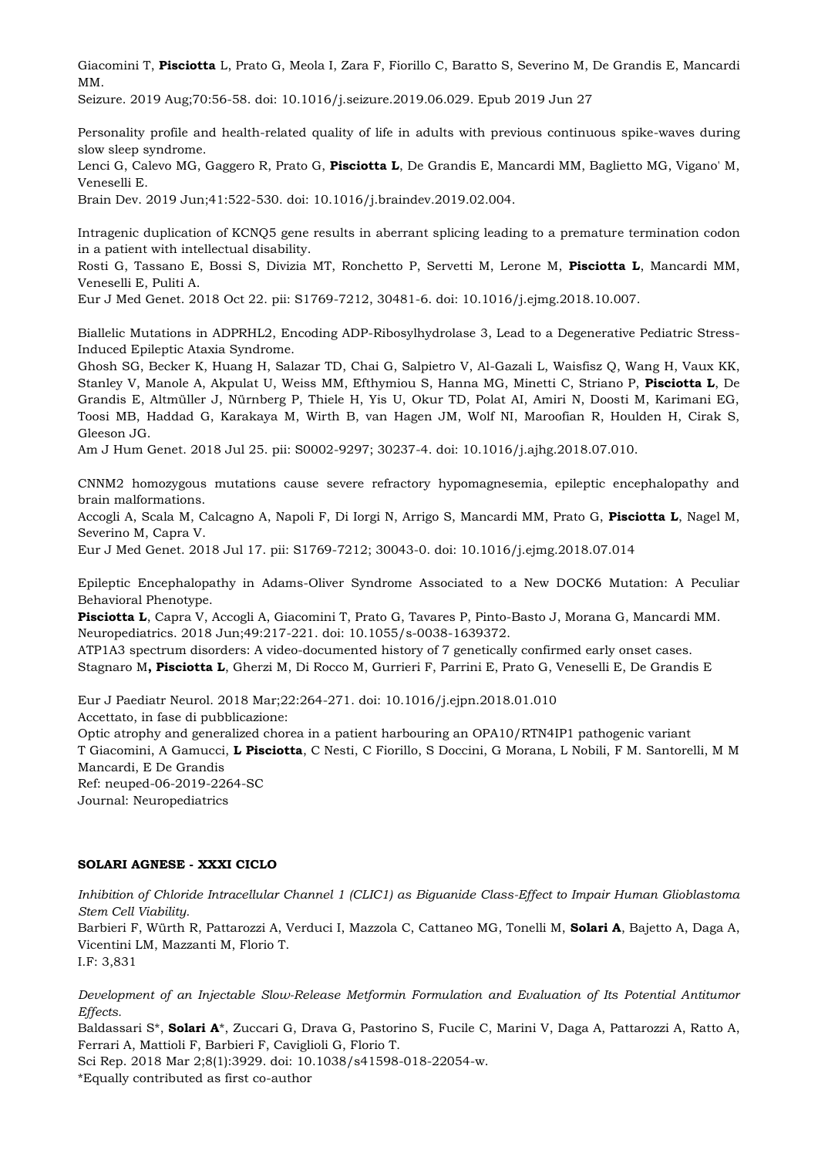Giacomini T, **Pisciotta** L, Prato G, Meola I, Zara F, Fiorillo C, Baratto S, Severino M, De Grandis E, Mancardi MM.

Seizure. 2019 Aug;70:56-58. doi: 10.1016/j.seizure.2019.06.029. Epub 2019 Jun 27

Personality profile and health-related quality of life in adults with previous continuous spike-waves during slow sleep syndrome.

Lenci G, Calevo MG, Gaggero R, Prato G, **Pisciotta L**, De Grandis E, Mancardi MM, Baglietto MG, Vigano' M, Veneselli E.

Brain Dev. 2019 Jun;41:522-530. doi: 10.1016/j.braindev.2019.02.004.

Intragenic duplication of KCNQ5 gene results in aberrant splicing leading to a premature termination codon in a patient with intellectual disability.

Rosti G, Tassano E, Bossi S, Divizia MT, Ronchetto P, Servetti M, Lerone M, **Pisciotta L**, Mancardi MM, Veneselli E, Puliti A.

Eur J Med Genet. 2018 Oct 22. pii: S1769-7212, 30481-6. doi: 10.1016/j.ejmg.2018.10.007.

Biallelic Mutations in ADPRHL2, Encoding ADP-Ribosylhydrolase 3, Lead to a Degenerative Pediatric Stress-Induced Epileptic Ataxia Syndrome.

Ghosh SG, Becker K, Huang H, Salazar TD, Chai G, Salpietro V, Al-Gazali L, Waisfisz Q, Wang H, Vaux KK, Stanley V, Manole A, Akpulat U, Weiss MM, Efthymiou S, Hanna MG, Minetti C, Striano P, **Pisciotta L**, De Grandis E, Altmüller J, Nürnberg P, Thiele H, Yis U, Okur TD, Polat AI, Amiri N, Doosti M, Karimani EG, Toosi MB, Haddad G, Karakaya M, Wirth B, van Hagen JM, Wolf NI, Maroofian R, Houlden H, Cirak S, Gleeson JG.

Am J Hum Genet. 2018 Jul 25. pii: S0002-9297; 30237-4. doi: 10.1016/j.ajhg.2018.07.010.

CNNM2 homozygous mutations cause severe refractory hypomagnesemia, epileptic encephalopathy and brain malformations.

Accogli A, Scala M, Calcagno A, Napoli F, Di Iorgi N, Arrigo S, Mancardi MM, Prato G, **Pisciotta L**, Nagel M, Severino M, Capra V.

Eur J Med Genet. 2018 Jul 17. pii: S1769-7212; 30043-0. doi: 10.1016/j.ejmg.2018.07.014

Epileptic Encephalopathy in Adams-Oliver Syndrome Associated to a New DOCK6 Mutation: A Peculiar Behavioral Phenotype.

**Pisciotta L**, Capra V, Accogli A, Giacomini T, Prato G, Tavares P, Pinto-Basto J, Morana G, Mancardi MM. Neuropediatrics. 2018 Jun;49:217-221. doi: 10.1055/s-0038-1639372.

ATP1A3 spectrum disorders: A video-documented history of 7 genetically confirmed early onset cases. Stagnaro M**, Pisciotta L**, Gherzi M, Di Rocco M, Gurrieri F, Parrini E, Prato G, Veneselli E, De Grandis E

Eur J Paediatr Neurol. 2018 Mar;22:264-271. doi: 10.1016/j.ejpn.2018.01.010 Accettato, in fase di pubblicazione:

Optic atrophy and generalized chorea in a patient harbouring an OPA10/RTN4IP1 pathogenic variant T Giacomini, A Gamucci, **L Pisciotta**, C Nesti, C Fiorillo, S Doccini, G Morana, L Nobili, F M. Santorelli, M M Mancardi, E De Grandis Ref: neuped-06-2019-2264-SC Journal: Neuropediatrics

# **SOLARI AGNESE - XXXI CICLO**

*Inhibition of Chloride Intracellular Channel 1 (CLIC1) as Biguanide Class-Effect to Impair Human Glioblastoma Stem Cell Viability.* 

Barbieri F, Würth R, Pattarozzi A, Verduci I, Mazzola C, Cattaneo MG, Tonelli M, **Solari A**, Bajetto A, Daga A, Vicentini LM, Mazzanti M, Florio T.

I.F: 3,831

*Development of an Injectable Slow-Release Metformin Formulation and Evaluation of Its Potential Antitumor Effects.* 

Baldassari S<sup>\*</sup>, **Solari A**<sup>\*</sup>, Zuccari G, Drava G, Pastorino S, Fucile C, Marini V, Daga A, Pattarozzi A, Ratto A, Ferrari A, Mattioli F, Barbieri F, Caviglioli G, Florio T.

Sci Rep. 2018 Mar 2;8(1):3929. doi: 10.1038/s41598-018-22054-w. \*Equally contributed as first co-author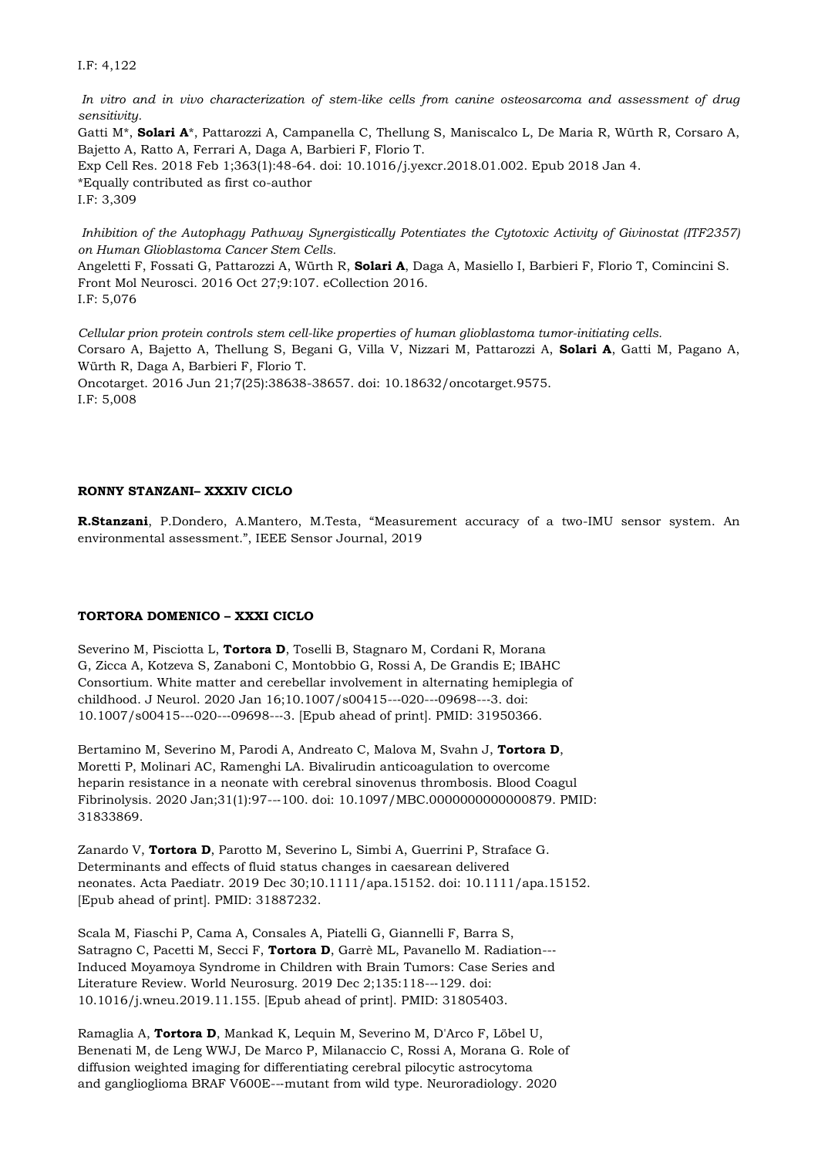I.F: 4,122

*In vitro and in vivo characterization of stem-like cells from canine osteosarcoma and assessment of drug sensitivity.*  Gatti M\*, **Solari A**\*, Pattarozzi A, Campanella C, Thellung S, Maniscalco L, De Maria R, Würth R, Corsaro A, Bajetto A, Ratto A, Ferrari A, Daga A, Barbieri F, Florio T. Exp Cell Res. 2018 Feb 1;363(1):48-64. doi: 10.1016/j.yexcr.2018.01.002. Epub 2018 Jan 4. \*Equally contributed as first co-author I.F: 3,309

*Inhibition of the Autophagy Pathway Synergistically Potentiates the Cytotoxic Activity of Givinostat (ITF2357) on Human Glioblastoma Cancer Stem Cells.* 

Angeletti F, Fossati G, Pattarozzi A, Würth R, **Solari A**, Daga A, Masiello I, Barbieri F, Florio T, Comincini S. Front Mol Neurosci. 2016 Oct 27;9:107. eCollection 2016. I.F: 5,076

*Cellular prion protein controls stem cell-like properties of human glioblastoma tumor-initiating cells.*  Corsaro A, Bajetto A, Thellung S, Begani G, Villa V, Nizzari M, Pattarozzi A, **Solari A**, Gatti M, Pagano A, Würth R, Daga A, Barbieri F, Florio T. Oncotarget. 2016 Jun 21;7(25):38638-38657. doi: 10.18632/oncotarget.9575. I.F: 5,008

# **RONNY STANZANI– XXXIV CICLO**

**R.Stanzani**, P.Dondero, A.Mantero, M.Testa, "Measurement accuracy of a two-IMU sensor system. An environmental assessment.", IEEE Sensor Journal, 2019

# **TORTORA DOMENICO – XXXI CICLO**

Severino M, Pisciotta L, **Tortora D**, Toselli B, Stagnaro M, Cordani R, Morana G, Zicca A, Kotzeva S, Zanaboni C, Montobbio G, Rossi A, De Grandis E; IBAHC Consortium. White matter and cerebellar involvement in alternating hemiplegia of childhood. J Neurol. 2020 Jan 16;10.1007/s00415--‐020--‐09698--‐3. doi: 10.1007/s00415--‐020--‐09698--‐3. [Epub ahead of print]. PMID: 31950366.

Bertamino M, Severino M, Parodi A, Andreato C, Malova M, Svahn J, **Tortora D**, Moretti P, Molinari AC, Ramenghi LA. Bivalirudin anticoagulation to overcome heparin resistance in a neonate with cerebral sinovenus thrombosis. Blood Coagul Fibrinolysis. 2020 Jan;31(1):97--‐100. doi: 10.1097/MBC.0000000000000879. PMID: 31833869.

Zanardo V, **Tortora D**, Parotto M, Severino L, Simbi A, Guerrini P, Straface G. Determinants and effects of fluid status changes in caesarean delivered neonates. Acta Paediatr. 2019 Dec 30;10.1111/apa.15152. doi: 10.1111/apa.15152. [Epub ahead of print]. PMID: 31887232.

Scala M, Fiaschi P, Cama A, Consales A, Piatelli G, Giannelli F, Barra S, Satragno C, Pacetti M, Secci F, **Tortora D**, Garrè ML, Pavanello M. Radiation--‐ Induced Moyamoya Syndrome in Children with Brain Tumors: Case Series and Literature Review. World Neurosurg. 2019 Dec 2;135:118--‐129. doi: 10.1016/j.wneu.2019.11.155. [Epub ahead of print]. PMID: 31805403.

Ramaglia A, **Tortora D**, Mankad K, Lequin M, Severino M, D'Arco F, Löbel U, Benenati M, de Leng WWJ, De Marco P, Milanaccio C, Rossi A, Morana G. Role of diffusion weighted imaging for differentiating cerebral pilocytic astrocytoma and ganglioglioma BRAF V600E--‐mutant from wild type. Neuroradiology. 2020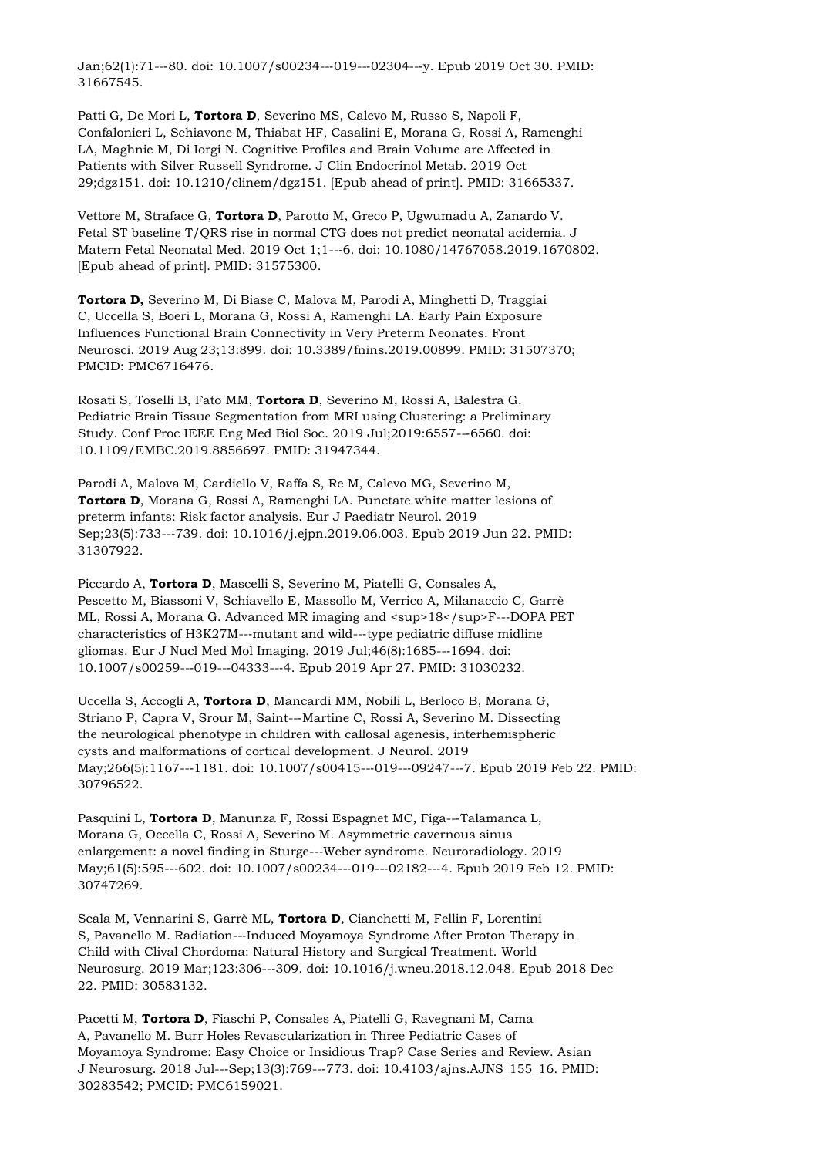Jan;62(1):71--‐80. doi: 10.1007/s00234--‐019--‐02304--‐y. Epub 2019 Oct 30. PMID: 31667545.

Patti G, De Mori L, **Tortora D**, Severino MS, Calevo M, Russo S, Napoli F, Confalonieri L, Schiavone M, Thiabat HF, Casalini E, Morana G, Rossi A, Ramenghi LA, Maghnie M, Di Iorgi N. Cognitive Profiles and Brain Volume are Affected in Patients with Silver Russell Syndrome. J Clin Endocrinol Metab. 2019 Oct 29;dgz151. doi: 10.1210/clinem/dgz151. [Epub ahead of print]. PMID: 31665337.

Vettore M, Straface G, **Tortora D**, Parotto M, Greco P, Ugwumadu A, Zanardo V. Fetal ST baseline T/QRS rise in normal CTG does not predict neonatal acidemia. J Matern Fetal Neonatal Med. 2019 Oct 1;1--‐6. doi: 10.1080/14767058.2019.1670802. [Epub ahead of print]. PMID: 31575300.

**Tortora D,** Severino M, Di Biase C, Malova M, Parodi A, Minghetti D, Traggiai C, Uccella S, Boeri L, Morana G, Rossi A, Ramenghi LA. Early Pain Exposure Influences Functional Brain Connectivity in Very Preterm Neonates. Front Neurosci. 2019 Aug 23;13:899. doi: 10.3389/fnins.2019.00899. PMID: 31507370; PMCID: PMC6716476.

Rosati S, Toselli B, Fato MM, **Tortora D**, Severino M, Rossi A, Balestra G. Pediatric Brain Tissue Segmentation from MRI using Clustering: a Preliminary Study. Conf Proc IEEE Eng Med Biol Soc. 2019 Jul;2019:6557--‐6560. doi: 10.1109/EMBC.2019.8856697. PMID: 31947344.

Parodi A, Malova M, Cardiello V, Raffa S, Re M, Calevo MG, Severino M, **Tortora D**, Morana G, Rossi A, Ramenghi LA. Punctate white matter lesions of preterm infants: Risk factor analysis. Eur J Paediatr Neurol. 2019 Sep;23(5):733--‐739. doi: 10.1016/j.ejpn.2019.06.003. Epub 2019 Jun 22. PMID: 31307922.

Piccardo A, **Tortora D**, Mascelli S, Severino M, Piatelli G, Consales A, Pescetto M, Biassoni V, Schiavello E, Massollo M, Verrico A, Milanaccio C, Garrè ML, Rossi A, Morana G. Advanced MR imaging and  $\langle$ sup>18 $\langle$ /sup>F---DOPA PET characteristics of H3K27M--‐mutant and wild--‐type pediatric diffuse midline gliomas. Eur J Nucl Med Mol Imaging. 2019 Jul;46(8):1685--‐1694. doi: 10.1007/s00259--‐019--‐04333--‐4. Epub 2019 Apr 27. PMID: 31030232.

Uccella S, Accogli A, **Tortora D**, Mancardi MM, Nobili L, Berloco B, Morana G, Striano P, Capra V, Srour M, Saint--‐Martine C, Rossi A, Severino M. Dissecting the neurological phenotype in children with callosal agenesis, interhemispheric cysts and malformations of cortical development. J Neurol. 2019 May;266(5):1167---1181. doi: 10.1007/s00415---019---09247---7. Epub 2019 Feb 22. PMID: 30796522.

Pasquini L, **Tortora D**, Manunza F, Rossi Espagnet MC, Figa--‐Talamanca L, Morana G, Occella C, Rossi A, Severino M. Asymmetric cavernous sinus enlargement: a novel finding in Sturge--‐Weber syndrome. Neuroradiology. 2019 May;61(5):595---602. doi: 10.1007/s00234---019---02182---4. Epub 2019 Feb 12. PMID: 30747269.

Scala M, Vennarini S, Garrè ML, **Tortora D**, Cianchetti M, Fellin F, Lorentini S, Pavanello M. Radiation--‐Induced Moyamoya Syndrome After Proton Therapy in Child with Clival Chordoma: Natural History and Surgical Treatment. World Neurosurg. 2019 Mar;123:306--‐309. doi: 10.1016/j.wneu.2018.12.048. Epub 2018 Dec 22. PMID: 30583132.

Pacetti M, **Tortora D**, Fiaschi P, Consales A, Piatelli G, Ravegnani M, Cama A, Pavanello M. Burr Holes Revascularization in Three Pediatric Cases of Moyamoya Syndrome: Easy Choice or Insidious Trap? Case Series and Review. Asian J Neurosurg. 2018 Jul--‐Sep;13(3):769--‐773. doi: 10.4103/ajns.AJNS\_155\_16. PMID: 30283542; PMCID: PMC6159021.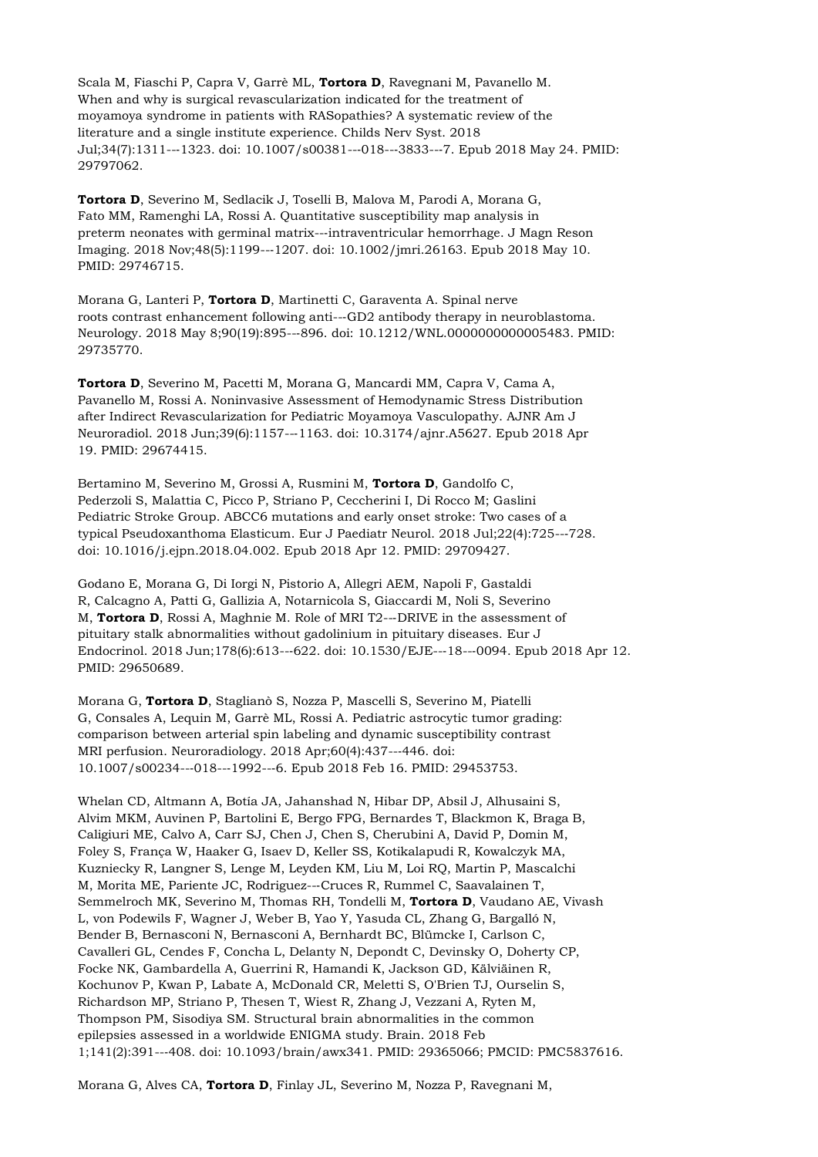Scala M, Fiaschi P, Capra V, Garrè ML, **Tortora D**, Ravegnani M, Pavanello M. When and why is surgical revascularization indicated for the treatment of moyamoya syndrome in patients with RASopathies? A systematic review of the literature and a single institute experience. Childs Nerv Syst. 2018 Jul;34(7):1311--‐1323. doi: 10.1007/s00381--‐018--‐3833--‐7. Epub 2018 May 24. PMID: 29797062.

**Tortora D**, Severino M, Sedlacik J, Toselli B, Malova M, Parodi A, Morana G, Fato MM, Ramenghi LA, Rossi A. Quantitative susceptibility map analysis in preterm neonates with germinal matrix--‐intraventricular hemorrhage. J Magn Reson Imaging. 2018 Nov;48(5):1199--‐1207. doi: 10.1002/jmri.26163. Epub 2018 May 10. PMID: 29746715.

Morana G, Lanteri P, **Tortora D**, Martinetti C, Garaventa A. Spinal nerve roots contrast enhancement following anti--‐GD2 antibody therapy in neuroblastoma. Neurology. 2018 May 8;90(19):895--‐896. doi: 10.1212/WNL.0000000000005483. PMID: 29735770.

**Tortora D**, Severino M, Pacetti M, Morana G, Mancardi MM, Capra V, Cama A, Pavanello M, Rossi A. Noninvasive Assessment of Hemodynamic Stress Distribution after Indirect Revascularization for Pediatric Moyamoya Vasculopathy. AJNR Am J Neuroradiol. 2018 Jun;39(6):1157--‐1163. doi: 10.3174/ajnr.A5627. Epub 2018 Apr 19. PMID: 29674415.

Bertamino M, Severino M, Grossi A, Rusmini M, **Tortora D**, Gandolfo C, Pederzoli S, Malattia C, Picco P, Striano P, Ceccherini I, Di Rocco M; Gaslini Pediatric Stroke Group. ABCC6 mutations and early onset stroke: Two cases of a typical Pseudoxanthoma Elasticum. Eur J Paediatr Neurol. 2018 Jul;22(4):725--‐728. doi: 10.1016/j.ejpn.2018.04.002. Epub 2018 Apr 12. PMID: 29709427.

Godano E, Morana G, Di Iorgi N, Pistorio A, Allegri AEM, Napoli F, Gastaldi R, Calcagno A, Patti G, Gallizia A, Notarnicola S, Giaccardi M, Noli S, Severino M, **Tortora D**, Rossi A, Maghnie M. Role of MRI T2--‐DRIVE in the assessment of pituitary stalk abnormalities without gadolinium in pituitary diseases. Eur J Endocrinol. 2018 Jun;178(6):613--‐622. doi: 10.1530/EJE--‐18--‐0094. Epub 2018 Apr 12. PMID: 29650689.

Morana G, **Tortora D**, Staglianò S, Nozza P, Mascelli S, Severino M, Piatelli G, Consales A, Lequin M, Garrè ML, Rossi A. Pediatric astrocytic tumor grading: comparison between arterial spin labeling and dynamic susceptibility contrast MRI perfusion. Neuroradiology. 2018 Apr;60(4):437--‐446. doi: 10.1007/s00234--‐018--‐1992--‐6. Epub 2018 Feb 16. PMID: 29453753.

Whelan CD, Altmann A, Botía JA, Jahanshad N, Hibar DP, Absil J, Alhusaini S, Alvim MKM, Auvinen P, Bartolini E, Bergo FPG, Bernardes T, Blackmon K, Braga B, Caligiuri ME, Calvo A, Carr SJ, Chen J, Chen S, Cherubini A, David P, Domin M, Foley S, França W, Haaker G, Isaev D, Keller SS, Kotikalapudi R, Kowalczyk MA, Kuzniecky R, Langner S, Lenge M, Leyden KM, Liu M, Loi RQ, Martin P, Mascalchi M, Morita ME, Pariente JC, Rodriguez--‐Cruces R, Rummel C, Saavalainen T, Semmelroch MK, Severino M, Thomas RH, Tondelli M, **Tortora D**, Vaudano AE, Vivash L, von Podewils F, Wagner J, Weber B, Yao Y, Yasuda CL, Zhang G, Bargalló N, Bender B, Bernasconi N, Bernasconi A, Bernhardt BC, Blümcke I, Carlson C, Cavalleri GL, Cendes F, Concha L, Delanty N, Depondt C, Devinsky O, Doherty CP, Focke NK, Gambardella A, Guerrini R, Hamandi K, Jackson GD, Kälviäinen R, Kochunov P, Kwan P, Labate A, McDonald CR, Meletti S, O'Brien TJ, Ourselin S, Richardson MP, Striano P, Thesen T, Wiest R, Zhang J, Vezzani A, Ryten M, Thompson PM, Sisodiya SM. Structural brain abnormalities in the common epilepsies assessed in a worldwide ENIGMA study. Brain. 2018 Feb 1;141(2):391--‐408. doi: 10.1093/brain/awx341. PMID: 29365066; PMCID: PMC5837616.

Morana G, Alves CA, **Tortora D**, Finlay JL, Severino M, Nozza P, Ravegnani M,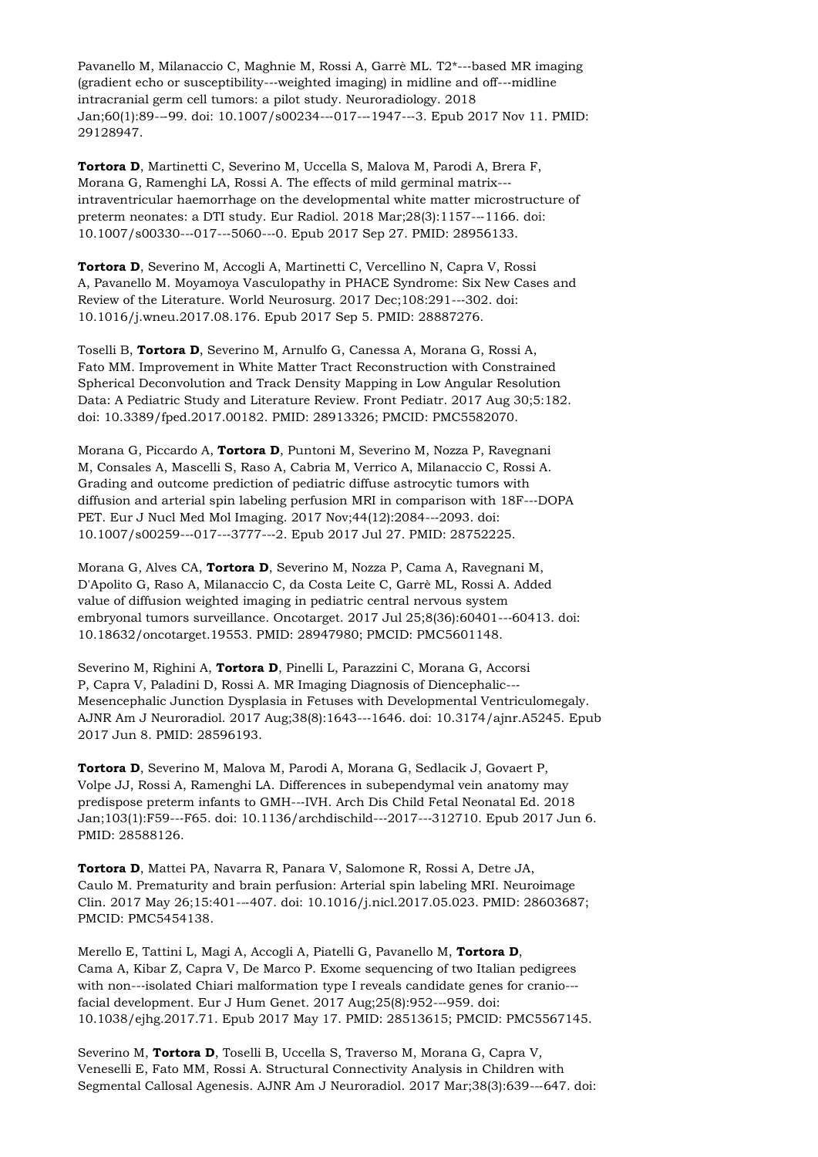Pavanello M, Milanaccio C, Maghnie M, Rossi A, Garrè ML. T2\*--‐based MR imaging (gradient echo or susceptibility--‐weighted imaging) in midline and off--‐midline intracranial germ cell tumors: a pilot study. Neuroradiology. 2018 Jan;60(1):89--‐99. doi: 10.1007/s00234--‐017--‐1947--‐3. Epub 2017 Nov 11. PMID: 29128947.

**Tortora D**, Martinetti C, Severino M, Uccella S, Malova M, Parodi A, Brera F, Morana G, Ramenghi LA, Rossi A. The effects of mild germinal matrix--‐ intraventricular haemorrhage on the developmental white matter microstructure of preterm neonates: a DTI study. Eur Radiol. 2018 Mar;28(3):1157--‐1166. doi: 10.1007/s00330--‐017--‐5060--‐0. Epub 2017 Sep 27. PMID: 28956133.

**Tortora D**, Severino M, Accogli A, Martinetti C, Vercellino N, Capra V, Rossi A, Pavanello M. Moyamoya Vasculopathy in PHACE Syndrome: Six New Cases and Review of the Literature. World Neurosurg. 2017 Dec;108:291--‐302. doi: 10.1016/j.wneu.2017.08.176. Epub 2017 Sep 5. PMID: 28887276.

Toselli B, **Tortora D**, Severino M, Arnulfo G, Canessa A, Morana G, Rossi A, Fato MM. Improvement in White Matter Tract Reconstruction with Constrained Spherical Deconvolution and Track Density Mapping in Low Angular Resolution Data: A Pediatric Study and Literature Review. Front Pediatr. 2017 Aug 30;5:182. doi: 10.3389/fped.2017.00182. PMID: 28913326; PMCID: PMC5582070.

Morana G, Piccardo A, **Tortora D**, Puntoni M, Severino M, Nozza P, Ravegnani M, Consales A, Mascelli S, Raso A, Cabria M, Verrico A, Milanaccio C, Rossi A. Grading and outcome prediction of pediatric diffuse astrocytic tumors with diffusion and arterial spin labeling perfusion MRI in comparison with 18F--‐DOPA PET. Eur J Nucl Med Mol Imaging. 2017 Nov;44(12):2084--‐2093. doi: 10.1007/s00259--‐017--‐3777--‐2. Epub 2017 Jul 27. PMID: 28752225.

Morana G, Alves CA, **Tortora D**, Severino M, Nozza P, Cama A, Ravegnani M, D'Apolito G, Raso A, Milanaccio C, da Costa Leite C, Garrè ML, Rossi A. Added value of diffusion weighted imaging in pediatric central nervous system embryonal tumors surveillance. Oncotarget. 2017 Jul 25;8(36):60401--‐60413. doi: 10.18632/oncotarget.19553. PMID: 28947980; PMCID: PMC5601148.

Severino M, Righini A, **Tortora D**, Pinelli L, Parazzini C, Morana G, Accorsi P, Capra V, Paladini D, Rossi A. MR Imaging Diagnosis of Diencephalic--‐ Mesencephalic Junction Dysplasia in Fetuses with Developmental Ventriculomegaly. AJNR Am J Neuroradiol. 2017 Aug;38(8):1643--‐1646. doi: 10.3174/ajnr.A5245. Epub 2017 Jun 8. PMID: 28596193.

**Tortora D**, Severino M, Malova M, Parodi A, Morana G, Sedlacik J, Govaert P, Volpe JJ, Rossi A, Ramenghi LA. Differences in subependymal vein anatomy may predispose preterm infants to GMH--‐IVH. Arch Dis Child Fetal Neonatal Ed. 2018 Jan;103(1):F59--‐F65. doi: 10.1136/archdischild--‐2017--‐312710. Epub 2017 Jun 6. PMID: 28588126.

**Tortora D**, Mattei PA, Navarra R, Panara V, Salomone R, Rossi A, Detre JA, Caulo M. Prematurity and brain perfusion: Arterial spin labeling MRI. Neuroimage Clin. 2017 May 26;15:401--‐407. doi: 10.1016/j.nicl.2017.05.023. PMID: 28603687; PMCID: PMC5454138.

Merello E, Tattini L, Magi A, Accogli A, Piatelli G, Pavanello M, **Tortora D**, Cama A, Kibar Z, Capra V, De Marco P. Exome sequencing of two Italian pedigrees with non---isolated Chiari malformation type I reveals candidate genes for cranio--facial development. Eur J Hum Genet. 2017 Aug;25(8):952--‐959. doi: 10.1038/ejhg.2017.71. Epub 2017 May 17. PMID: 28513615; PMCID: PMC5567145.

Severino M, **Tortora D**, Toselli B, Uccella S, Traverso M, Morana G, Capra V, Veneselli E, Fato MM, Rossi A. Structural Connectivity Analysis in Children with Segmental Callosal Agenesis. AJNR Am J Neuroradiol. 2017 Mar;38(3):639--‐647. doi: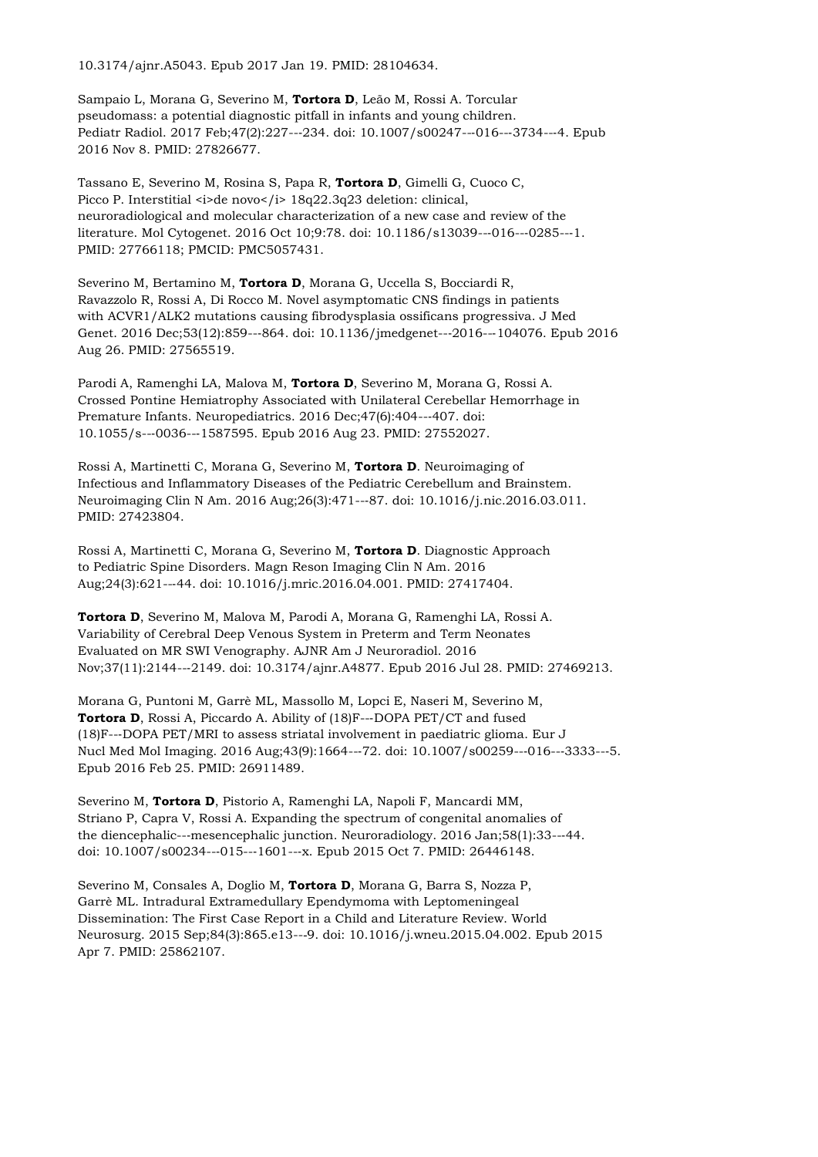10.3174/ajnr.A5043. Epub 2017 Jan 19. PMID: 28104634.

Sampaio L, Morana G, Severino M, **Tortora D**, Leão M, Rossi A. Torcular pseudomass: a potential diagnostic pitfall in infants and young children. Pediatr Radiol. 2017 Feb;47(2):227---234. doi: 10.1007/s00247---016---3734---4. Epub 2016 Nov 8. PMID: 27826677.

Tassano E, Severino M, Rosina S, Papa R, **Tortora D**, Gimelli G, Cuoco C, Picco P. Interstitial <i>de novo</i> 18q22.3q23 deletion: clinical, neuroradiological and molecular characterization of a new case and review of the literature. Mol Cytogenet. 2016 Oct 10;9:78. doi: 10.1186/s13039--‐016--‐0285--‐1. PMID: 27766118; PMCID: PMC5057431.

Severino M, Bertamino M, **Tortora D**, Morana G, Uccella S, Bocciardi R, Ravazzolo R, Rossi A, Di Rocco M. Novel asymptomatic CNS findings in patients with ACVR1/ALK2 mutations causing fibrodysplasia ossificans progressiva. J Med Genet. 2016 Dec;53(12):859--‐864. doi: 10.1136/jmedgenet--‐2016--‐104076. Epub 2016 Aug 26. PMID: 27565519.

Parodi A, Ramenghi LA, Malova M, **Tortora D**, Severino M, Morana G, Rossi A. Crossed Pontine Hemiatrophy Associated with Unilateral Cerebellar Hemorrhage in Premature Infants. Neuropediatrics. 2016 Dec;47(6):404--‐407. doi: 10.1055/s--‐0036--‐1587595. Epub 2016 Aug 23. PMID: 27552027.

Rossi A, Martinetti C, Morana G, Severino M, **Tortora D**. Neuroimaging of Infectious and Inflammatory Diseases of the Pediatric Cerebellum and Brainstem. Neuroimaging Clin N Am. 2016 Aug;26(3):471--‐87. doi: 10.1016/j.nic.2016.03.011. PMID: 27423804.

Rossi A, Martinetti C, Morana G, Severino M, **Tortora D**. Diagnostic Approach to Pediatric Spine Disorders. Magn Reson Imaging Clin N Am. 2016 Aug;24(3):621--‐44. doi: 10.1016/j.mric.2016.04.001. PMID: 27417404.

**Tortora D**, Severino M, Malova M, Parodi A, Morana G, Ramenghi LA, Rossi A. Variability of Cerebral Deep Venous System in Preterm and Term Neonates Evaluated on MR SWI Venography. AJNR Am J Neuroradiol. 2016 Nov;37(11):2144--‐2149. doi: 10.3174/ajnr.A4877. Epub 2016 Jul 28. PMID: 27469213.

Morana G, Puntoni M, Garrè ML, Massollo M, Lopci E, Naseri M, Severino M, Tortora D, Rossi A, Piccardo A. Ability of (18)F---DOPA PET/CT and fused (18)F--‐DOPA PET/MRI to assess striatal involvement in paediatric glioma. Eur J Nucl Med Mol Imaging. 2016 Aug;43(9):1664---72. doi: 10.1007/s00259---016---3333---5. Epub 2016 Feb 25. PMID: 26911489.

Severino M, **Tortora D**, Pistorio A, Ramenghi LA, Napoli F, Mancardi MM, Striano P, Capra V, Rossi A. Expanding the spectrum of congenital anomalies of the diencephalic---mesencephalic junction. Neuroradiology. 2016 Jan; 58(1): 33---44. doi: 10.1007/s00234--‐015--‐1601--‐x. Epub 2015 Oct 7. PMID: 26446148.

Severino M, Consales A, Doglio M, **Tortora D**, Morana G, Barra S, Nozza P, Garrè ML. Intradural Extramedullary Ependymoma with Leptomeningeal Dissemination: The First Case Report in a Child and Literature Review. World Neurosurg. 2015 Sep;84(3):865.e13--‐9. doi: 10.1016/j.wneu.2015.04.002. Epub 2015 Apr 7. PMID: 25862107.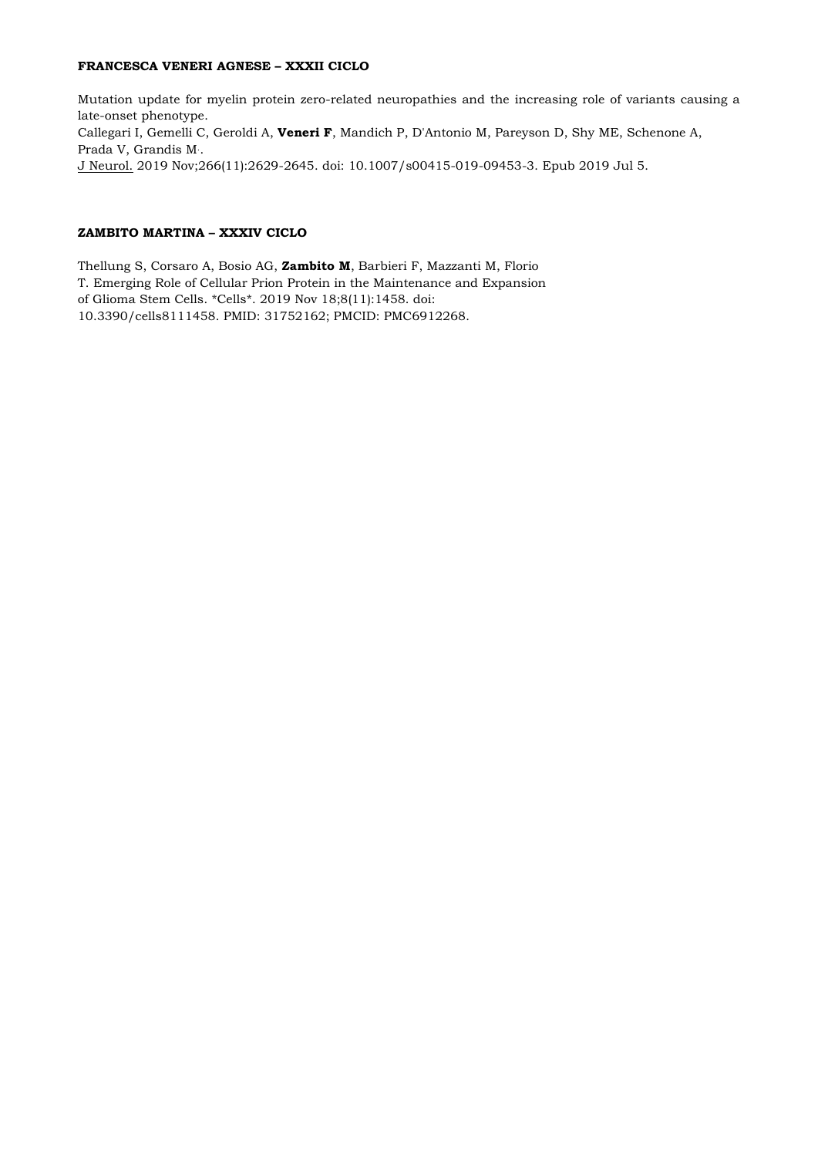# **FRANCESCA VENERI AGNESE – XXXII CICLO**

Mutation update for myelin protein zero-related neuropathies and the increasing role of variants causing a late-onset phenotype. [Callegari I,](https://www.ncbi.nlm.nih.gov/pubmed/?term=Callegari%20I%5BAuthor%5D&cauthor=true&cauthor_uid=31278453) [Gemelli C,](https://www.ncbi.nlm.nih.gov/pubmed/?term=Gemelli%20C%5BAuthor%5D&cauthor=true&cauthor_uid=31278453) [Geroldi A,](https://www.ncbi.nlm.nih.gov/pubmed/?term=Geroldi%20A%5BAuthor%5D&cauthor=true&cauthor_uid=31278453) **[Veneri F](https://www.ncbi.nlm.nih.gov/pubmed/?term=Veneri%20F%5BAuthor%5D&cauthor=true&cauthor_uid=31278453)**, [Mandich P,](https://www.ncbi.nlm.nih.gov/pubmed/?term=Mandich%20P%5BAuthor%5D&cauthor=true&cauthor_uid=31278453) [D'Antonio M,](https://www.ncbi.nlm.nih.gov/pubmed/?term=D) [Pareyson D,](https://www.ncbi.nlm.nih.gov/pubmed/?term=Pareyson%20D%5BAuthor%5D&cauthor=true&cauthor_uid=31278453) [Shy ME,](https://www.ncbi.nlm.nih.gov/pubmed/?term=Shy%20ME%5BAuthor%5D&cauthor=true&cauthor_uid=31278453) [Schenone A,](https://www.ncbi.nlm.nih.gov/pubmed/?term=Schenone%20A%5BAuthor%5D&cauthor=true&cauthor_uid=31278453) [Prada V,](https://www.ncbi.nlm.nih.gov/pubmed/?term=Prada%20V%5BAuthor%5D&cauthor=true&cauthor_uid=31278453) [Grandis M](https://www.ncbi.nlm.nih.gov/pubmed/?term=Grandis%20M%5BAuthor%5D&cauthor=true&cauthor_uid=31278453).. [J Neurol.](https://www.ncbi.nlm.nih.gov/pubmed/31278453) 2019 Nov;266(11):2629-2645. doi: 10.1007/s00415-019-09453-3. Epub 2019 Jul 5.

# **ZAMBITO MARTINA – XXXIV CICLO**

Thellung S, Corsaro A, Bosio AG, **Zambito M**, Barbieri F, Mazzanti M, Florio T. Emerging Role of Cellular Prion Protein in the Maintenance and Expansion of Glioma Stem Cells. \*Cells\*. 2019 Nov 18;8(11):1458. doi: 10.3390/cells8111458. PMID: 31752162; PMCID: PMC6912268.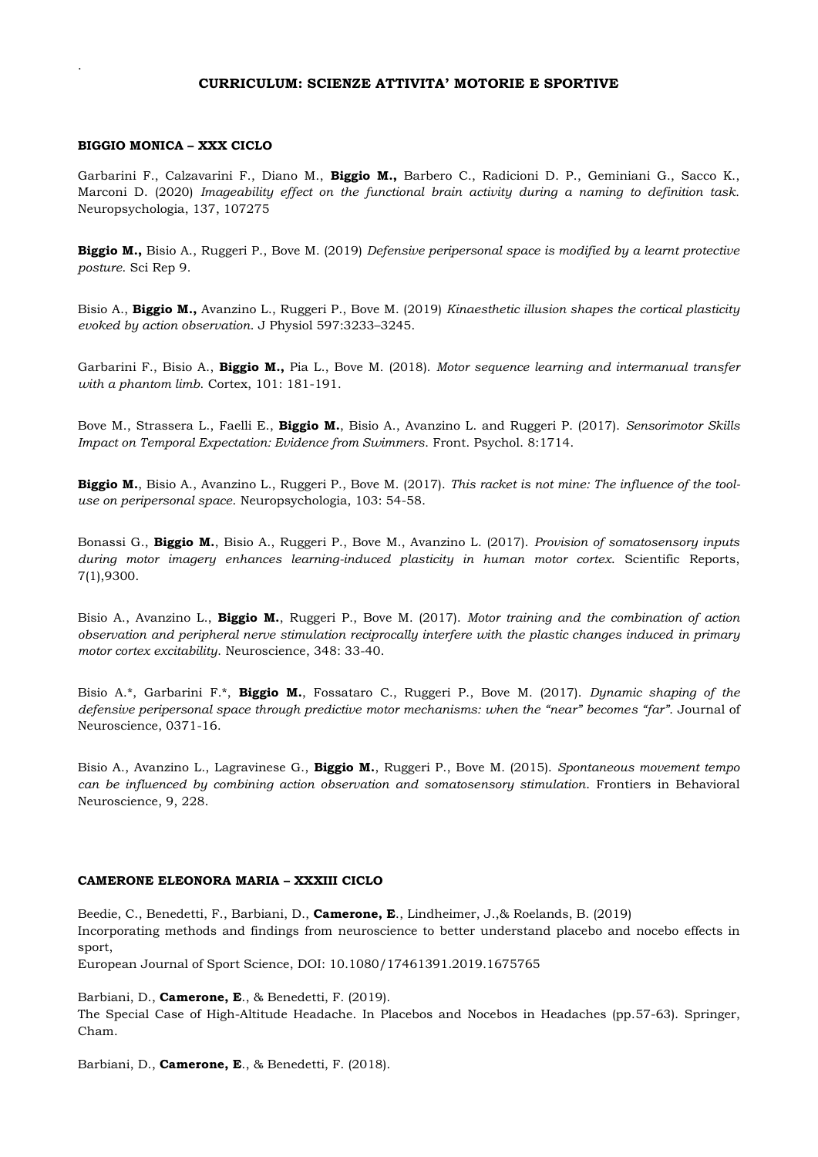# **CURRICULUM: SCIENZE ATTIVITA' MOTORIE E SPORTIVE**

## **BIGGIO MONICA – XXX CICLO**

.

Garbarini F., Calzavarini F., Diano M., **Biggio M.,** Barbero C., Radicioni D. P., Geminiani G., Sacco K., Marconi D. (2020) *Imageability effect on the functional brain activity during a naming to definition task.* Neuropsychologia, 137, 107275

**Biggio M.,** Bisio A., Ruggeri P., Bove M. (2019) *Defensive peripersonal space is modified by a learnt protective posture*. Sci Rep 9.

Bisio A., **Biggio M.,** Avanzino L., Ruggeri P., Bove M. (2019) *Kinaesthetic illusion shapes the cortical plasticity evoked by action observation*. J Physiol 597:3233–3245.

Garbarini F., Bisio A., **Biggio M.,** Pia L., Bove M. (2018). *Motor sequence learning and intermanual transfer with a phantom limb*. Cortex, 101: 181-191.

Bove M., Strassera L., Faelli E., **Biggio M.**, Bisio A., Avanzino L. and Ruggeri P. (2017). *Sensorimotor Skills Impact on Temporal Expectation: Evidence from Swimmers*. Front. Psychol. 8:1714.

**Biggio M.**, Bisio A., Avanzino L., Ruggeri P., Bove M. (2017). *This racket is not mine: The influence of the tooluse on peripersonal space*. Neuropsychologia, 103: 54-58.

Bonassi G., **Biggio M.**, Bisio A., Ruggeri P., Bove M., Avanzino L. (2017). *Provision of somatosensory inputs during motor imagery enhances learning-induced plasticity in human motor cortex*. Scientific Reports, 7(1),9300.

Bisio A., Avanzino L., **Biggio M.**, Ruggeri P., Bove M. (2017). *Motor training and the combination of action observation and peripheral nerve stimulation reciprocally interfere with the plastic changes induced in primary motor cortex excitability*. Neuroscience, 348: 33-40.

Bisio A.\*, Garbarini F.\*, **Biggio M.**, Fossataro C., Ruggeri P., Bove M. (2017). *Dynamic shaping of the defensive peripersonal space through predictive motor mechanisms: when the "near" becomes "far"*. Journal of Neuroscience, 0371-16.

Bisio A., Avanzino L., Lagravinese G., **Biggio M.**, Ruggeri P., Bove M. (2015). *Spontaneous movement tempo can be influenced by combining action observation and somatosensory stimulation*. Frontiers in Behavioral Neuroscience, 9, 228.

# **CAMERONE ELEONORA MARIA – XXXIII CICLO**

Beedie, C., Benedetti, F., Barbiani, D., **Camerone, E**., Lindheimer, J.,& Roelands, B. (2019) Incorporating methods and findings from neuroscience to better understand placebo and nocebo effects in sport,

European Journal of Sport Science, DOI: 10.1080/17461391.2019.1675765

Barbiani, D., **Camerone, E**., & Benedetti, F. (2019).

The Special Case of High-Altitude Headache. In Placebos and Nocebos in Headaches (pp.57-63). Springer, Cham.

Barbiani, D., **Camerone, E**., & Benedetti, F. (2018).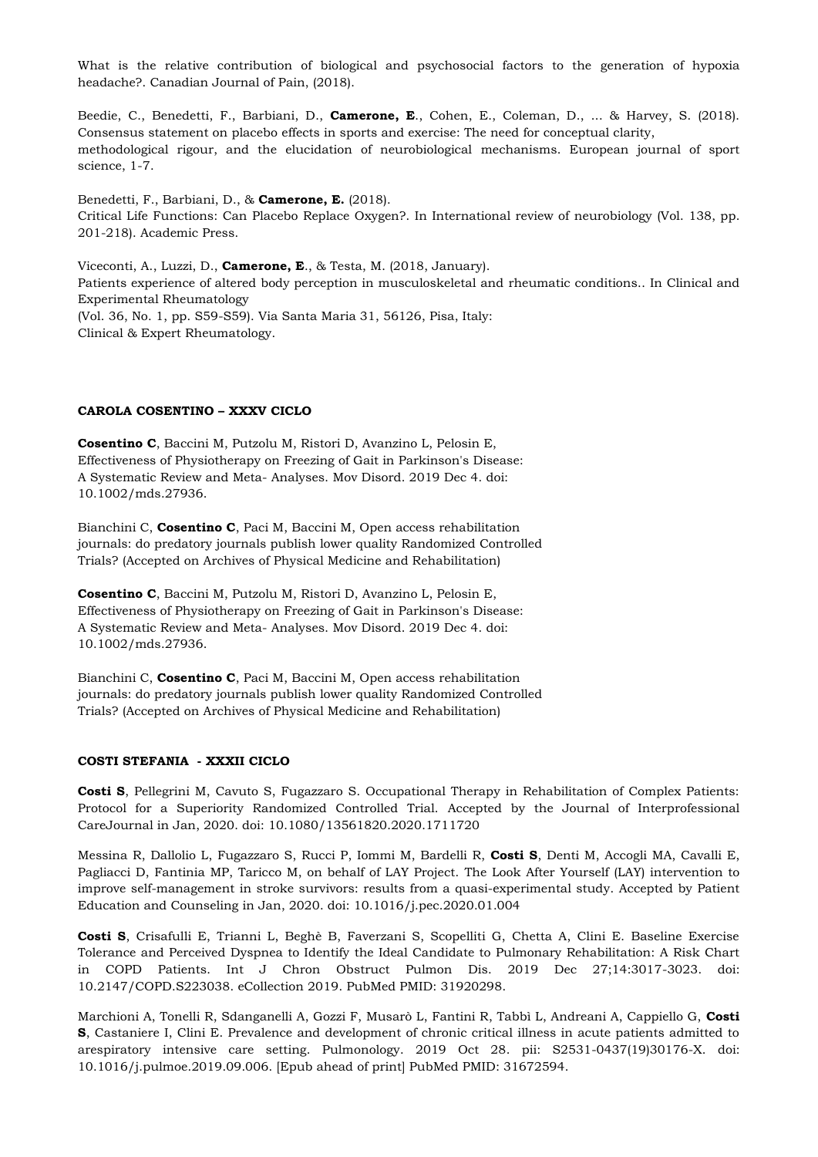What is the relative contribution of biological and psychosocial factors to the generation of hypoxia headache?. Canadian Journal of Pain, (2018).

Beedie, C., Benedetti, F., Barbiani, D., **Camerone, E**., Cohen, E., Coleman, D., ... & Harvey, S. (2018). Consensus statement on placebo effects in sports and exercise: The need for conceptual clarity, methodological rigour, and the elucidation of neurobiological mechanisms. European journal of sport science, 1-7.

Benedetti, F., Barbiani, D., & **Camerone, E.** (2018). Critical Life Functions: Can Placebo Replace Oxygen?. In International review of neurobiology (Vol. 138, pp. 201-218). Academic Press.

Viceconti, A., Luzzi, D., **Camerone, E**., & Testa, M. (2018, January). Patients experience of altered body perception in musculoskeletal and rheumatic conditions.. In Clinical and Experimental Rheumatology (Vol. 36, No. 1, pp. S59-S59). Via Santa Maria 31, 56126, Pisa, Italy: Clinical & Expert Rheumatology.

# **CAROLA COSENTINO – XXXV CICLO**

**Cosentino C**, Baccini M, Putzolu M, Ristori D, Avanzino L, Pelosin E, Effectiveness of Physiotherapy on Freezing of Gait in Parkinson's Disease: A Systematic Review and Meta- Analyses. Mov Disord. 2019 Dec 4. doi: 10.1002/mds.27936.

Bianchini C, **Cosentino C**, Paci M, Baccini M, Open access rehabilitation journals: do predatory journals publish lower quality Randomized Controlled Trials? (Accepted on Archives of Physical Medicine and Rehabilitation)

**Cosentino C**, Baccini M, Putzolu M, Ristori D, Avanzino L, Pelosin E, Effectiveness of Physiotherapy on Freezing of Gait in Parkinson's Disease: A Systematic Review and Meta- Analyses. Mov Disord. 2019 Dec 4. doi: 10.1002/mds.27936.

Bianchini C, **Cosentino C**, Paci M, Baccini M, Open access rehabilitation journals: do predatory journals publish lower quality Randomized Controlled Trials? (Accepted on Archives of Physical Medicine and Rehabilitation)

#### **COSTI STEFANIA - XXXII CICLO**

**Costi S**, Pellegrini M, Cavuto S, Fugazzaro S. Occupational Therapy in Rehabilitation of Complex Patients: Protocol for a Superiority Randomized Controlled Trial. Accepted by the Journal of Interprofessional CareJournal in Jan, 2020. doi: 10.1080/13561820.2020.1711720

Messina R, Dallolio L, Fugazzaro S, Rucci P, Iommi M, Bardelli R, **Costi S**, Denti M, Accogli MA, Cavalli E, Pagliacci D, Fantinia MP, Taricco M, on behalf of LAY Project. The Look After Yourself (LAY) intervention to improve self-management in stroke survivors: results from a quasi-experimental study. Accepted by Patient Education and Counseling in Jan, 2020. doi: 10.1016/j.pec.2020.01.004

**Costi S**, Crisafulli E, Trianni L, Beghè B, Faverzani S, Scopelliti G, Chetta A, Clini E. Baseline Exercise Tolerance and Perceived Dyspnea to Identify the Ideal Candidate to Pulmonary Rehabilitation: A Risk Chart in COPD Patients. Int J Chron Obstruct Pulmon Dis. 2019 Dec 27;14:3017-3023. doi: 10.2147/COPD.S223038. eCollection 2019. PubMed PMID: 31920298.

Marchioni A, Tonelli R, Sdanganelli A, Gozzi F, Musarò L, Fantini R, Tabbì L, Andreani A, Cappiello G, **Costi S**, Castaniere I, Clini E. Prevalence and development of chronic critical illness in acute patients admitted to arespiratory intensive care setting. Pulmonology. 2019 Oct 28. pii: S2531-0437(19)30176-X. doi: 10.1016/j.pulmoe.2019.09.006. [Epub ahead of print] PubMed PMID: 31672594.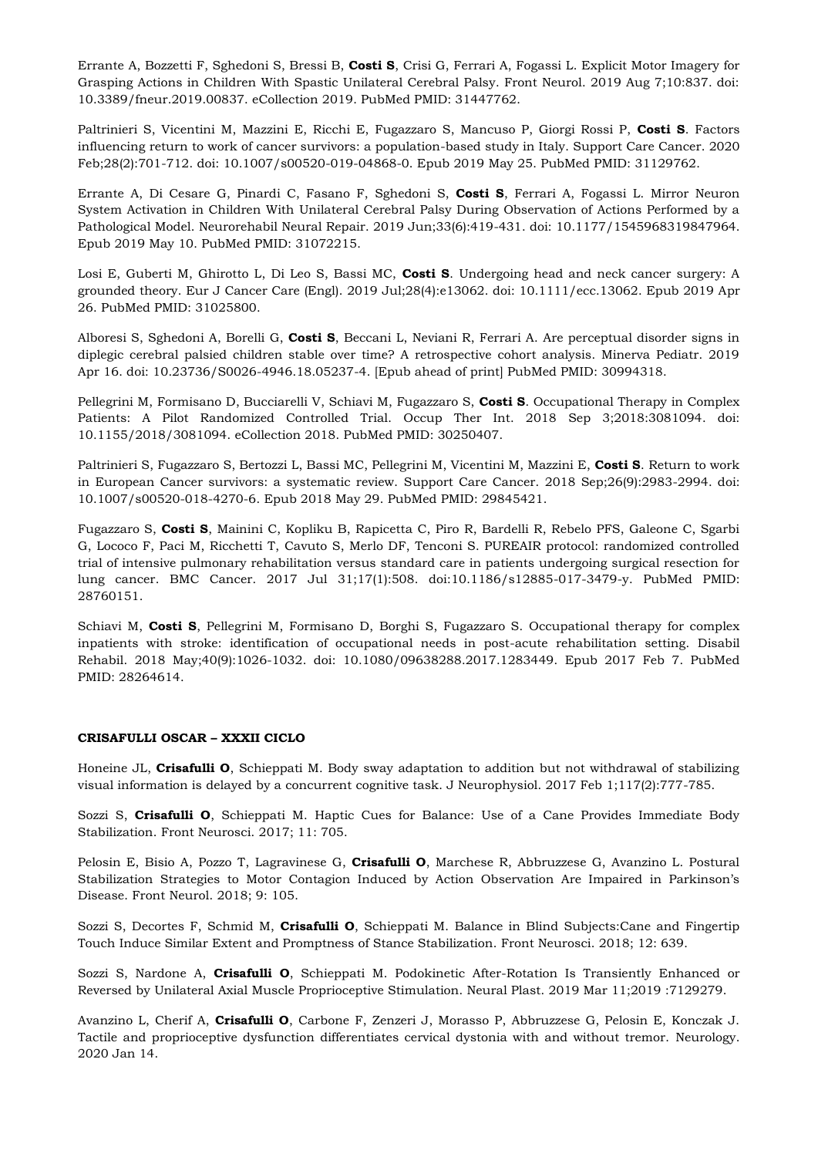Errante A, Bozzetti F, Sghedoni S, Bressi B, **Costi S**, Crisi G, Ferrari A, Fogassi L. Explicit Motor Imagery for Grasping Actions in Children With Spastic Unilateral Cerebral Palsy. Front Neurol. 2019 Aug 7;10:837. doi: 10.3389/fneur.2019.00837. eCollection 2019. PubMed PMID: 31447762.

Paltrinieri S, Vicentini M, Mazzini E, Ricchi E, Fugazzaro S, Mancuso P, Giorgi Rossi P, **Costi S**. Factors influencing return to work of cancer survivors: a population-based study in Italy. Support Care Cancer. 2020 Feb;28(2):701-712. doi: 10.1007/s00520-019-04868-0. Epub 2019 May 25. PubMed PMID: 31129762.

Errante A, Di Cesare G, Pinardi C, Fasano F, Sghedoni S, **Costi S**, Ferrari A, Fogassi L. Mirror Neuron System Activation in Children With Unilateral Cerebral Palsy During Observation of Actions Performed by a Pathological Model. Neurorehabil Neural Repair. 2019 Jun;33(6):419-431. doi: 10.1177/1545968319847964. Epub 2019 May 10. PubMed PMID: 31072215.

Losi E, Guberti M, Ghirotto L, Di Leo S, Bassi MC, **Costi S**. Undergoing head and neck cancer surgery: A grounded theory. Eur J Cancer Care (Engl). 2019 Jul;28(4):e13062. doi: 10.1111/ecc.13062. Epub 2019 Apr 26. PubMed PMID: 31025800.

Alboresi S, Sghedoni A, Borelli G, **Costi S**, Beccani L, Neviani R, Ferrari A. Are perceptual disorder signs in diplegic cerebral palsied children stable over time? A retrospective cohort analysis. Minerva Pediatr. 2019 Apr 16. doi: 10.23736/S0026-4946.18.05237-4. [Epub ahead of print] PubMed PMID: 30994318.

Pellegrini M, Formisano D, Bucciarelli V, Schiavi M, Fugazzaro S, **Costi S**. Occupational Therapy in Complex Patients: A Pilot Randomized Controlled Trial. Occup Ther Int. 2018 Sep 3;2018:3081094. doi: 10.1155/2018/3081094. eCollection 2018. PubMed PMID: 30250407.

Paltrinieri S, Fugazzaro S, Bertozzi L, Bassi MC, Pellegrini M, Vicentini M, Mazzini E, **Costi S**. Return to work in European Cancer survivors: a systematic review. Support Care Cancer. 2018 Sep;26(9):2983-2994. doi: 10.1007/s00520-018-4270-6. Epub 2018 May 29. PubMed PMID: 29845421.

Fugazzaro S, **Costi S**, Mainini C, Kopliku B, Rapicetta C, Piro R, Bardelli R, Rebelo PFS, Galeone C, Sgarbi G, Lococo F, Paci M, Ricchetti T, Cavuto S, Merlo DF, Tenconi S. PUREAIR protocol: randomized controlled trial of intensive pulmonary rehabilitation versus standard care in patients undergoing surgical resection for lung cancer. BMC Cancer. 2017 Jul 31;17(1):508. doi:10.1186/s12885-017-3479-y. PubMed PMID: 28760151.

Schiavi M, **Costi S**, Pellegrini M, Formisano D, Borghi S, Fugazzaro S. Occupational therapy for complex inpatients with stroke: identification of occupational needs in post-acute rehabilitation setting. Disabil Rehabil. 2018 May;40(9):1026-1032. doi: 10.1080/09638288.2017.1283449. Epub 2017 Feb 7. PubMed PMID: 28264614.

#### **CRISAFULLI OSCAR – XXXII CICLO**

Honeine JL, **Crisafulli O**, Schieppati M. Body sway adaptation to addition but not withdrawal of stabilizing visual information is delayed by a concurrent cognitive task. J Neurophysiol. 2017 Feb 1;117(2):777-785.

Sozzi S, **Crisafulli O**, Schieppati M. Haptic Cues for Balance: Use of a Cane Provides Immediate Body Stabilization. Front Neurosci. 2017; 11: 705.

Pelosin E, Bisio A, Pozzo T, Lagravinese G, **Crisafulli O**, Marchese R, Abbruzzese G, Avanzino L. Postural Stabilization Strategies to Motor Contagion Induced by Action Observation Are Impaired in Parkinson's Disease. Front Neurol. 2018; 9: 105.

Sozzi S, Decortes F, Schmid M, **Crisafulli O**, Schieppati M. Balance in Blind Subjects:Cane and Fingertip Touch Induce Similar Extent and Promptness of Stance Stabilization. Front Neurosci. 2018; 12: 639.

Sozzi S, Nardone A, **Crisafulli O**, Schieppati M. Podokinetic After-Rotation Is Transiently Enhanced or Reversed by Unilateral Axial Muscle Proprioceptive Stimulation. Neural Plast. 2019 Mar 11;2019 :7129279.

Avanzino L, Cherif A, **Crisafulli O**, Carbone F, Zenzeri J, Morasso P, Abbruzzese G, Pelosin E, Konczak J. Tactile and proprioceptive dysfunction differentiates cervical dystonia with and without tremor. Neurology. 2020 Jan 14.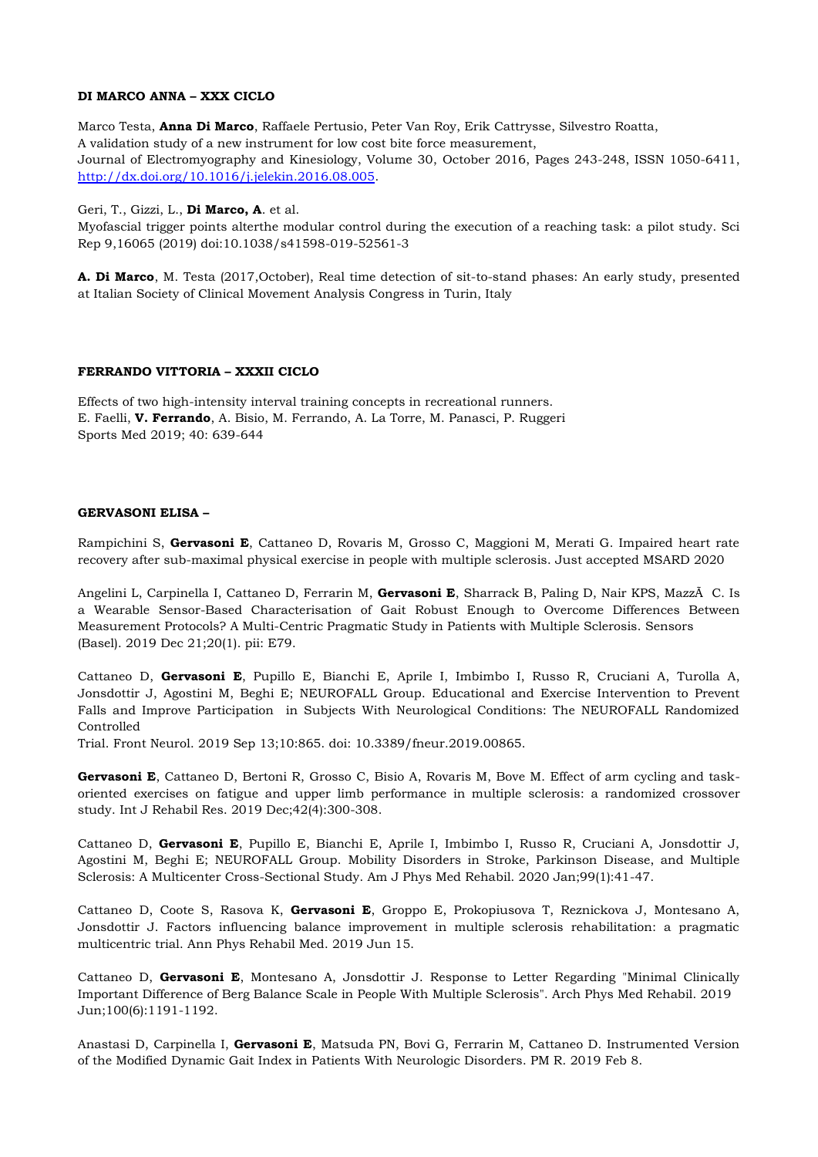# **DI MARCO ANNA – XXX CICLO**

Marco Testa, **Anna Di Marco**, Raffaele Pertusio, Peter Van Roy, Erik Cattrysse, Silvestro Roatta, A validation study of a new instrument for low cost bite force measurement, Journal of Electromyography and Kinesiology, Volume 30, October 2016, Pages 243-248, ISSN 1050-6411, [http://dx.doi.org/10.1016/j.jelekin.2016.08.005.](http://dx.doi.org/10.1016/j.jelekin.2016.08.005)

Geri, T., Gizzi, L., **Di Marco, A**. et al.

Myofascial trigger points alterthe modular control during the execution of a reaching task: a pilot study. Sci Rep 9,16065 (2019) doi:10.1038/s41598-019-52561-3

**A. Di Marco**, M. Testa (2017,October), Real time detection of sit-to-stand phases: An early study, presented at Italian Society of Clinical Movement Analysis Congress in Turin, Italy

# **FERRANDO VITTORIA – XXXII CICLO**

Effects of two high-intensity interval training concepts in recreational runners. E. Faelli, **V. Ferrando**, A. Bisio, M. Ferrando, A. La Torre, M. Panasci, P. Ruggeri Sports Med 2019; 40: 639-644

#### **GERVASONI ELISA –**

Rampichini S, **Gervasoni E**, Cattaneo D, Rovaris M, Grosso C, Maggioni M, Merati G. Impaired heart rate recovery after sub-maximal physical exercise in people with multiple sclerosis. Just accepted MSARD 2020

Angelini L, Carpinella I, Cattaneo D, Ferrarin M, **Gervasoni E**, Sharrack B, Paling D, Nair KPS, MazzÃ C. Is a Wearable Sensor-Based Characterisation of Gait Robust Enough to Overcome Differences Between Measurement Protocols? A Multi-Centric Pragmatic Study in Patients with Multiple Sclerosis. Sensors (Basel). 2019 Dec 21;20(1). pii: E79.

Cattaneo D, **Gervasoni E**, Pupillo E, Bianchi E, Aprile I, Imbimbo I, Russo R, Cruciani A, Turolla A, Jonsdottir J, Agostini M, Beghi E; NEUROFALL Group. Educational and Exercise Intervention to Prevent Falls and Improve Participation in Subjects With Neurological Conditions: The NEUROFALL Randomized Controlled

Trial. Front Neurol. 2019 Sep 13;10:865. doi: 10.3389/fneur.2019.00865.

**Gervasoni E**, Cattaneo D, Bertoni R, Grosso C, Bisio A, Rovaris M, Bove M. Effect of arm cycling and taskoriented exercises on fatigue and upper limb performance in multiple sclerosis: a randomized crossover study. Int J Rehabil Res. 2019 Dec;42(4):300-308.

Cattaneo D, **Gervasoni E**, Pupillo E, Bianchi E, Aprile I, Imbimbo I, Russo R, Cruciani A, Jonsdottir J, Agostini M, Beghi E; NEUROFALL Group. Mobility Disorders in Stroke, Parkinson Disease, and Multiple Sclerosis: A Multicenter Cross-Sectional Study. Am J Phys Med Rehabil. 2020 Jan;99(1):41-47.

Cattaneo D, Coote S, Rasova K, **Gervasoni E**, Groppo E, Prokopiusova T, Reznickova J, Montesano A, Jonsdottir J. Factors influencing balance improvement in multiple sclerosis rehabilitation: a pragmatic multicentric trial. Ann Phys Rehabil Med. 2019 Jun 15.

Cattaneo D, **Gervasoni E**, Montesano A, Jonsdottir J. Response to Letter Regarding "Minimal Clinically Important Difference of Berg Balance Scale in People With Multiple Sclerosis". Arch Phys Med Rehabil. 2019 Jun;100(6):1191-1192.

Anastasi D, Carpinella I, **Gervasoni E**, Matsuda PN, Bovi G, Ferrarin M, Cattaneo D. Instrumented Version of the Modified Dynamic Gait Index in Patients With Neurologic Disorders. PM R. 2019 Feb 8.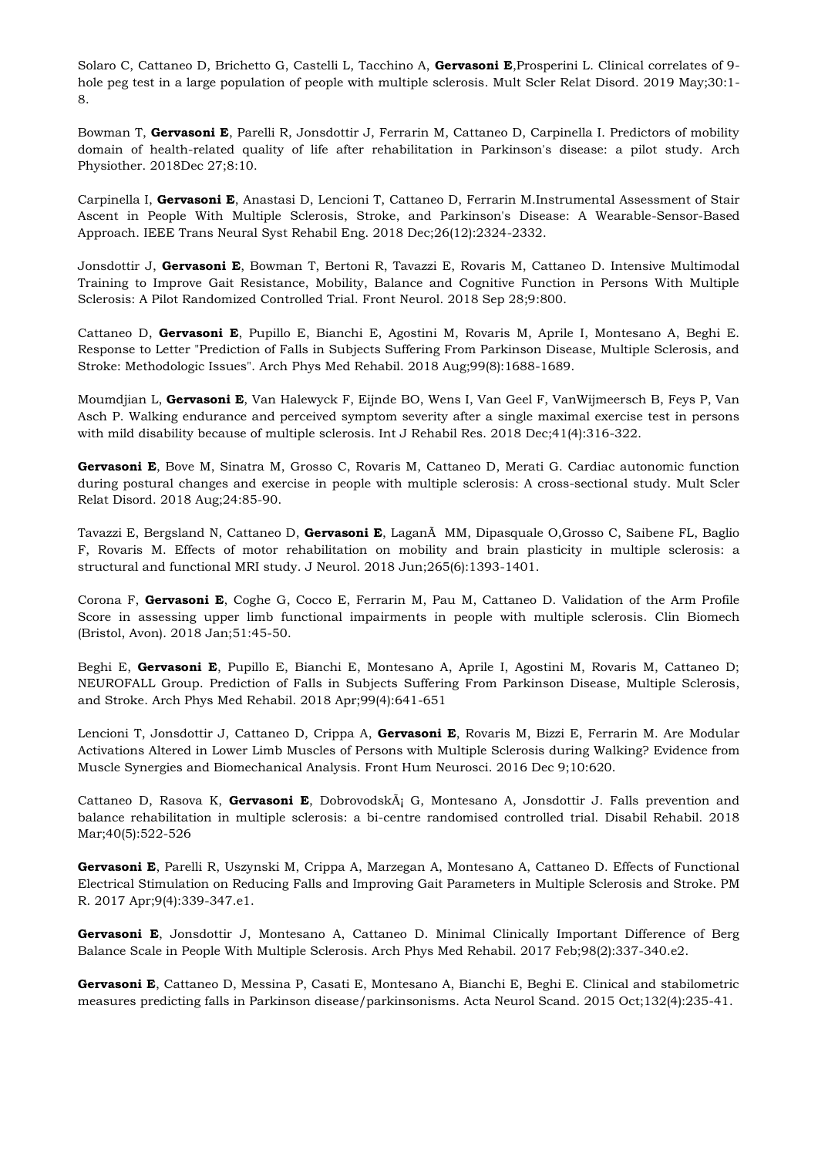Solaro C, Cattaneo D, Brichetto G, Castelli L, Tacchino A, **Gervasoni E**,Prosperini L. Clinical correlates of 9 hole peg test in a large population of people with multiple sclerosis. Mult Scler Relat Disord. 2019 May;30:1- 8.

Bowman T, **Gervasoni E**, Parelli R, Jonsdottir J, Ferrarin M, Cattaneo D, Carpinella I. Predictors of mobility domain of health-related quality of life after rehabilitation in Parkinson's disease: a pilot study. Arch Physiother. 2018Dec 27;8:10.

Carpinella I, **Gervasoni E**, Anastasi D, Lencioni T, Cattaneo D, Ferrarin M.Instrumental Assessment of Stair Ascent in People With Multiple Sclerosis, Stroke, and Parkinson's Disease: A Wearable-Sensor-Based Approach. IEEE Trans Neural Syst Rehabil Eng. 2018 Dec;26(12):2324-2332.

Jonsdottir J, **Gervasoni E**, Bowman T, Bertoni R, Tavazzi E, Rovaris M, Cattaneo D. Intensive Multimodal Training to Improve Gait Resistance, Mobility, Balance and Cognitive Function in Persons With Multiple Sclerosis: A Pilot Randomized Controlled Trial. Front Neurol. 2018 Sep 28;9:800.

Cattaneo D, **Gervasoni E**, Pupillo E, Bianchi E, Agostini M, Rovaris M, Aprile I, Montesano A, Beghi E. Response to Letter "Prediction of Falls in Subjects Suffering From Parkinson Disease, Multiple Sclerosis, and Stroke: Methodologic Issues". Arch Phys Med Rehabil. 2018 Aug;99(8):1688-1689.

Moumdjian L, **Gervasoni E**, Van Halewyck F, Eijnde BO, Wens I, Van Geel F, VanWijmeersch B, Feys P, Van Asch P. Walking endurance and perceived symptom severity after a single maximal exercise test in persons with mild disability because of multiple sclerosis. Int J Rehabil Res. 2018 Dec;41(4):316-322.

**Gervasoni E**, Bove M, Sinatra M, Grosso C, Rovaris M, Cattaneo D, Merati G. Cardiac autonomic function during postural changes and exercise in people with multiple sclerosis: A cross-sectional study. Mult Scler Relat Disord. 2018 Aug;24:85-90.

Tavazzi E, Bergsland N, Cattaneo D, **Gervasoni E**, LaganÃ MM, Dipasquale O,Grosso C, Saibene FL, Baglio F, Rovaris M. Effects of motor rehabilitation on mobility and brain plasticity in multiple sclerosis: a structural and functional MRI study. J Neurol. 2018 Jun;265(6):1393-1401.

Corona F, **Gervasoni E**, Coghe G, Cocco E, Ferrarin M, Pau M, Cattaneo D. Validation of the Arm Profile Score in assessing upper limb functional impairments in people with multiple sclerosis. Clin Biomech (Bristol, Avon). 2018 Jan;51:45-50.

Beghi E, **Gervasoni E**, Pupillo E, Bianchi E, Montesano A, Aprile I, Agostini M, Rovaris M, Cattaneo D; NEUROFALL Group. Prediction of Falls in Subjects Suffering From Parkinson Disease, Multiple Sclerosis, and Stroke. Arch Phys Med Rehabil. 2018 Apr;99(4):641-651

Lencioni T, Jonsdottir J, Cattaneo D, Crippa A, **Gervasoni E**, Rovaris M, Bizzi E, Ferrarin M. Are Modular Activations Altered in Lower Limb Muscles of Persons with Multiple Sclerosis during Walking? Evidence from Muscle Synergies and Biomechanical Analysis. Front Hum Neurosci. 2016 Dec 9;10:620.

Cattaneo D, Rasova K, Gervasoni E, Dobrovodsk $\tilde{A}$ ; G, Montesano A, Jonsdottir J. Falls prevention and balance rehabilitation in multiple sclerosis: a bi-centre randomised controlled trial. Disabil Rehabil. 2018 Mar;40(5):522-526

**Gervasoni E**, Parelli R, Uszynski M, Crippa A, Marzegan A, Montesano A, Cattaneo D. Effects of Functional Electrical Stimulation on Reducing Falls and Improving Gait Parameters in Multiple Sclerosis and Stroke. PM R. 2017 Apr;9(4):339-347.e1.

**Gervasoni E**, Jonsdottir J, Montesano A, Cattaneo D. Minimal Clinically Important Difference of Berg Balance Scale in People With Multiple Sclerosis. Arch Phys Med Rehabil. 2017 Feb;98(2):337-340.e2.

**Gervasoni E**, Cattaneo D, Messina P, Casati E, Montesano A, Bianchi E, Beghi E. Clinical and stabilometric measures predicting falls in Parkinson disease/parkinsonisms. Acta Neurol Scand. 2015 Oct;132(4):235-41.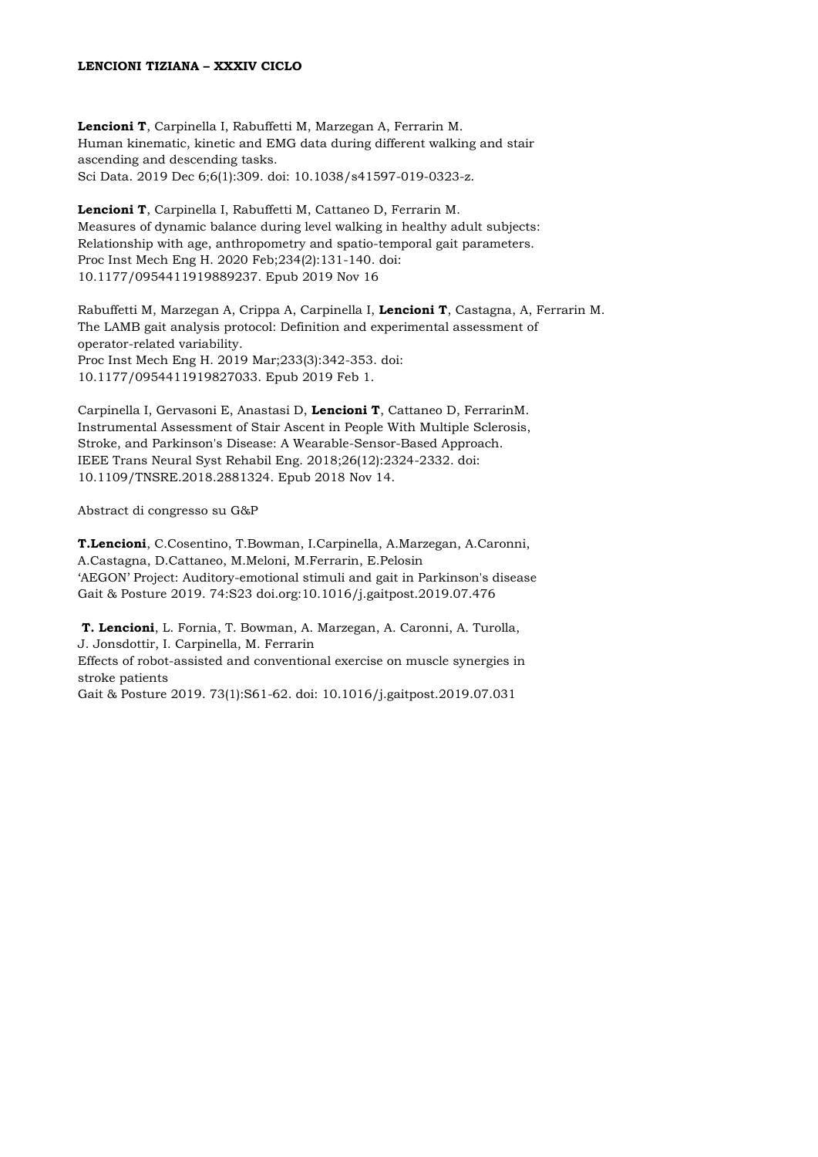## **LENCIONI TIZIANA – XXXIV CICLO**

**Lencioni T**, Carpinella I, Rabuffetti M, Marzegan A, Ferrarin M. Human kinematic, kinetic and EMG data during different walking and stair ascending and descending tasks. Sci Data. 2019 Dec 6;6(1):309. doi: 10.1038/s41597-019-0323-z.

**Lencioni T**, Carpinella I, Rabuffetti M, Cattaneo D, Ferrarin M. Measures of dynamic balance during level walking in healthy adult subjects: Relationship with age, anthropometry and spatio-temporal gait parameters. Proc Inst Mech Eng H. 2020 Feb;234(2):131-140. doi: 10.1177/0954411919889237. Epub 2019 Nov 16

Rabuffetti M, Marzegan A, Crippa A, Carpinella I, **Lencioni T**, Castagna, A, Ferrarin M. The LAMB gait analysis protocol: Definition and experimental assessment of operator-related variability. Proc Inst Mech Eng H. 2019 Mar;233(3):342-353. doi: 10.1177/0954411919827033. Epub 2019 Feb 1.

Carpinella I, Gervasoni E, Anastasi D, **Lencioni T**, Cattaneo D, FerrarinM. Instrumental Assessment of Stair Ascent in People With Multiple Sclerosis, Stroke, and Parkinson's Disease: A Wearable-Sensor-Based Approach. IEEE Trans Neural Syst Rehabil Eng. 2018;26(12):2324-2332. doi: 10.1109/TNSRE.2018.2881324. Epub 2018 Nov 14.

Abstract di congresso su G&P

**T.Lencioni**, C.Cosentino, T.Bowman, I.Carpinella, A.Marzegan, A.Caronni, A.Castagna, D.Cattaneo, M.Meloni, M.Ferrarin, E.Pelosin 'AEGON' Project: Auditory-emotional stimuli and gait in Parkinson's disease Gait & Posture 2019. 74:S23 doi.org:10.1016/j.gaitpost.2019.07.476

**T. Lencioni**, L. Fornia, T. Bowman, A. Marzegan, A. Caronni, A. Turolla, J. Jonsdottir, I. Carpinella, M. Ferrarin

Effects of robot-assisted and conventional exercise on muscle synergies in stroke patients

Gait & Posture 2019. 73(1):S61-62. doi: 10.1016/j.gaitpost.2019.07.031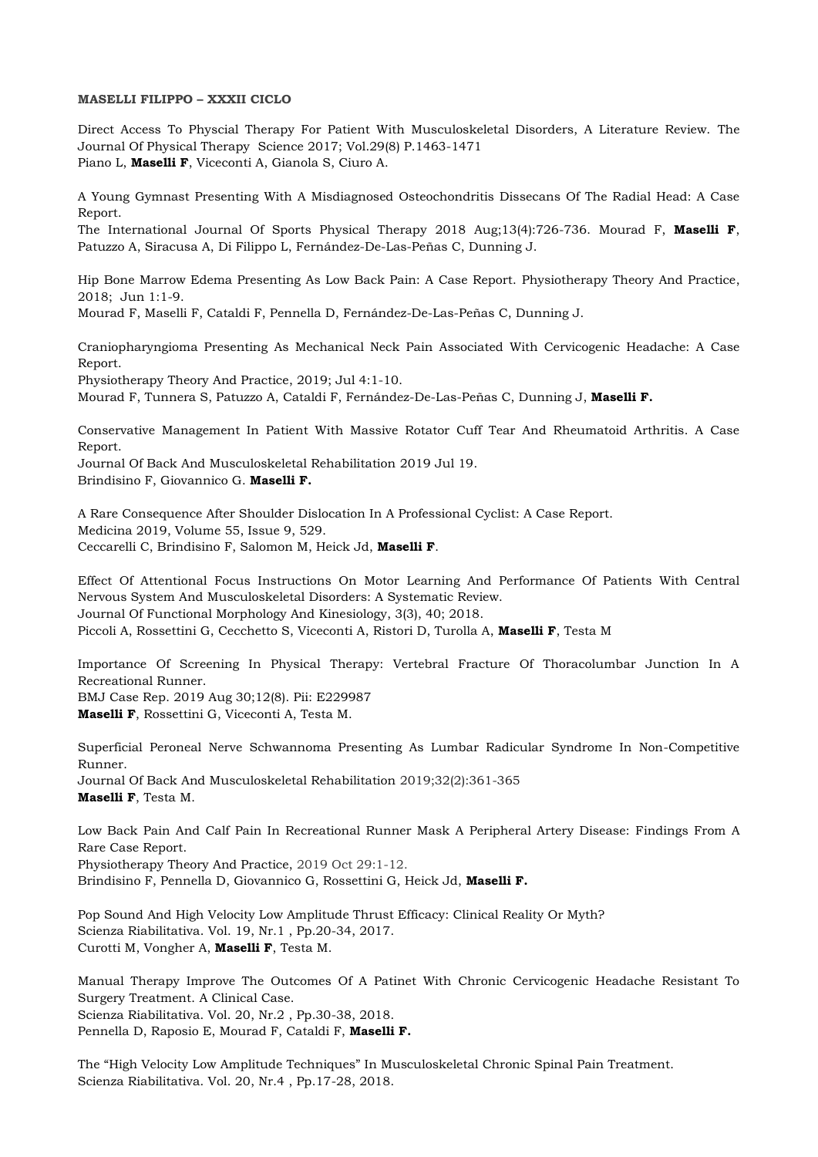#### **MASELLI FILIPPO – XXXII CICLO**

Direct Access To Physcial Therapy For Patient With Musculoskeletal Disorders, A Literature Review. The Journal Of Physical Therapy Science 2017; Vol.29(8) P.1463-1471 Piano L, **Maselli F**, Viceconti A, Gianola S, Ciuro A.

A Young Gymnast Presenting With A Misdiagnosed Osteochondritis Dissecans Of The Radial Head: A Case Report.

The International Journal Of Sports Physical Therapy 2018 Aug;13(4):726-736. Mourad F, **Maselli F**, Patuzzo A, Siracusa A, Di Filippo L, Fernández-De-Las-Peñas C, Dunning J.

Hip Bone Marrow Edema Presenting As Low Back Pain: A Case Report. Physiotherapy Theory And Practice, 2018; Jun 1:1-9.

Mourad F, Maselli F, Cataldi F, Pennella D, Fernández-De-Las-Peñas C, Dunning J.

Craniopharyngioma Presenting As Mechanical Neck Pain Associated With Cervicogenic Headache: A Case Report.

Physiotherapy Theory And Practice, 2019; Jul 4:1-10.

Mourad F, Tunnera S, Patuzzo A, Cataldi F, Fernández-De-Las-Peñas C, Dunning J, **Maselli F.**

Conservative Management In Patient With Massive Rotator Cuff Tear And Rheumatoid Arthritis. A Case Report.

Journal Of Back And Musculoskeletal Rehabilitation 2019 Jul 19. Brindisino F, Giovannico G. **Maselli F.**

A Rare Consequence After Shoulder Dislocation In A Professional Cyclist: A Case Report. Medicina 2019, Volume 55, Issue 9, 529. Ceccarelli C, Brindisino F, Salomon M, Heick Jd, **Maselli F**.

Effect Of Attentional Focus Instructions On Motor Learning And Performance Of Patients With Central Nervous System And Musculoskeletal Disorders: A Systematic Review. Journal Of Functional Morphology And Kinesiology, 3(3), 40; 2018. Piccoli A, Rossettini G, Cecchetto S, Viceconti A, Ristori D, Turolla A, **Maselli F**, Testa M

Importance Of Screening In Physical Therapy: Vertebral Fracture Of Thoracolumbar Junction In A Recreational Runner. BMJ Case Rep. 2019 Aug 30;12(8). Pii: E229987

**Maselli F**, Rossettini G, Viceconti A, Testa M.

Superficial Peroneal Nerve Schwannoma Presenting As Lumbar Radicular Syndrome In Non-Competitive Runner.

Journal Of Back And Musculoskeletal Rehabilitation 2019;32(2):361-365 **Maselli F**, Testa M.

Low Back Pain And Calf Pain In Recreational Runner Mask A Peripheral Artery Disease: Findings From A Rare Case Report. Physiotherapy Theory And Practice, 2019 Oct 29:1-12. Brindisino F, Pennella D, Giovannico G, Rossettini G, Heick Jd, **Maselli F.**

Pop Sound And High Velocity Low Amplitude Thrust Efficacy: Clinical Reality Or Myth? Scienza Riabilitativa. Vol. 19, Nr.1 , Pp.20-34, 2017. Curotti M, Vongher A, **Maselli F**, Testa M.

Manual Therapy Improve The Outcomes Of A Patinet With Chronic Cervicogenic Headache Resistant To Surgery Treatment. A Clinical Case. Scienza Riabilitativa. Vol. 20, Nr.2 , Pp.30-38, 2018. Pennella D, Raposio E, Mourad F, Cataldi F, **Maselli F.**

The "High Velocity Low Amplitude Techniques" In Musculoskeletal Chronic Spinal Pain Treatment. Scienza Riabilitativa. Vol. 20, Nr.4 , Pp.17-28, 2018.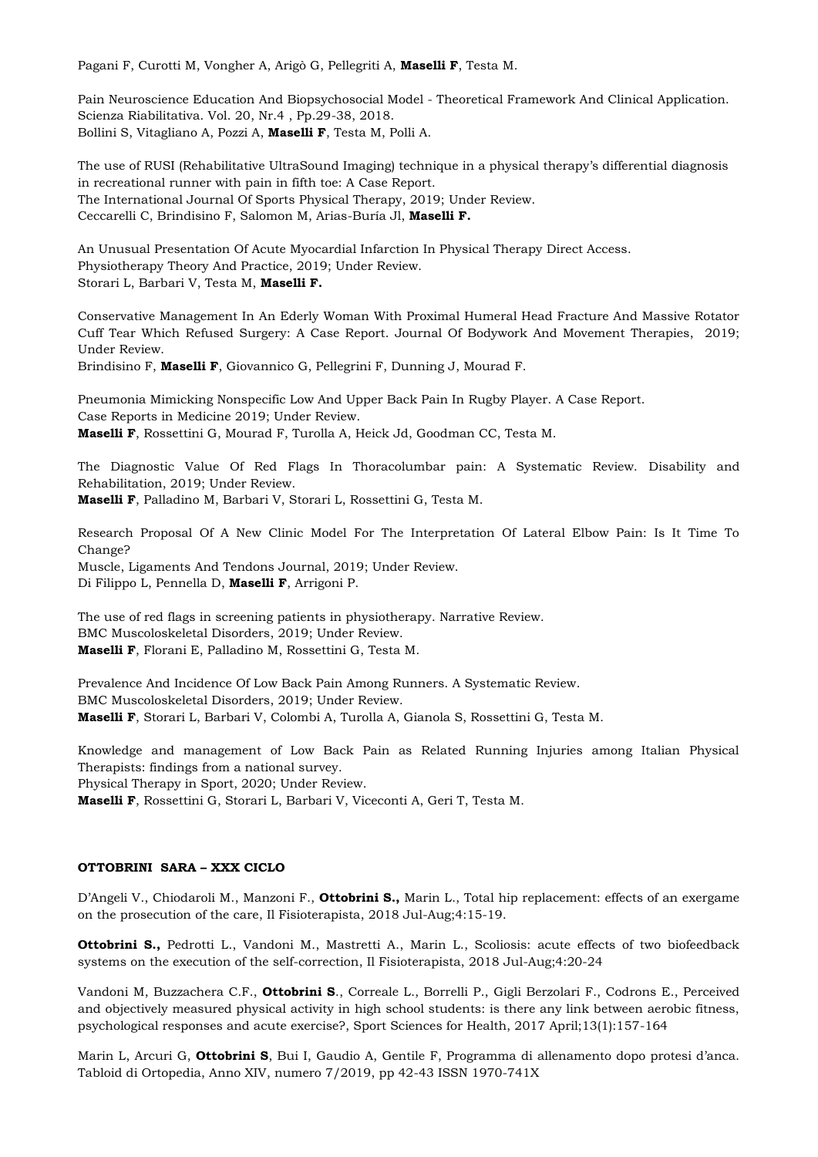Pagani F, Curotti M, Vongher A, Arigò G, Pellegriti A, **Maselli F**, Testa M.

Pain Neuroscience Education And Biopsychosocial Model - Theoretical Framework And Clinical Application. Scienza Riabilitativa. Vol. 20, Nr.4 , Pp.29-38, 2018. Bollini S, Vitagliano A, Pozzi A, **Maselli F**, Testa M, Polli A.

The use of RUSI (Rehabilitative UltraSound Imaging) technique in a physical therapy's differential diagnosis in recreational runner with pain in fifth toe: A Case Report. The International Journal Of Sports Physical Therapy, 2019; Under Review. Ceccarelli C, Brindisino F, Salomon M, Arias-Buría Jl, **Maselli F.**

An Unusual Presentation Of Acute Myocardial Infarction In Physical Therapy Direct Access. Physiotherapy Theory And Practice, 2019; Under Review. Storari L, Barbari V, Testa M, **Maselli F.**

Conservative Management In An Ederly Woman With Proximal Humeral Head Fracture And Massive Rotator Cuff Tear Which Refused Surgery: A Case Report. Journal Of Bodywork And Movement Therapies, 2019; Under Review.

Brindisino F, **Maselli F**, Giovannico G, Pellegrini F, Dunning J, Mourad F.

Pneumonia Mimicking Nonspecific Low And Upper Back Pain In Rugby Player. A Case Report. Case Reports in Medicine 2019; Under Review. **Maselli F**, Rossettini G, Mourad F, Turolla A, Heick Jd, Goodman CC, Testa M.

The Diagnostic Value Of Red Flags In Thoracolumbar pain: A Systematic Review. Disability and Rehabilitation, 2019; Under Review. **Maselli F**, Palladino M, Barbari V, Storari L, Rossettini G, Testa M.

Research Proposal Of A New Clinic Model For The Interpretation Of Lateral Elbow Pain: Is It Time To Change? Muscle, Ligaments And Tendons Journal, 2019; Under Review. Di Filippo L, Pennella D, **Maselli F**, Arrigoni P.

The use of red flags in screening patients in physiotherapy. Narrative Review. BMC Muscoloskeletal Disorders, 2019; Under Review. **Maselli F**, Florani E, Palladino M, Rossettini G, Testa M.

Prevalence And Incidence Of Low Back Pain Among Runners. A Systematic Review. BMC Muscoloskeletal Disorders, 2019; Under Review. **Maselli F**, Storari L, Barbari V, Colombi A, Turolla A, Gianola S, Rossettini G, Testa M.

Knowledge and management of Low Back Pain as Related Running Injuries among Italian Physical Therapists: findings from a national survey.

Physical Therapy in Sport, 2020; Under Review.

**Maselli F**, Rossettini G, Storari L, Barbari V, Viceconti A, Geri T, Testa M.

# **OTTOBRINI SARA – XXX CICLO**

D'Angeli V., Chiodaroli M., Manzoni F., **Ottobrini S.,** Marin L., Total hip replacement: effects of an exergame on the prosecution of the care, Il Fisioterapista, 2018 Jul-Aug;4:15-19.

**Ottobrini S.,** Pedrotti L., Vandoni M., Mastretti A., Marin L., Scoliosis: acute effects of two biofeedback systems on the execution of the self-correction, Il Fisioterapista, 2018 Jul-Aug;4:20-24

Vandoni M, Buzzachera C.F., **Ottobrini S**., Correale L., Borrelli P., Gigli Berzolari F., Codrons E., Perceived and objectively measured physical activity in high school students: is there any link between aerobic fitness, psychological responses and acute exercise?, Sport Sciences for Health, 2017 April;13(1):157-164

Marin L, Arcuri G, **Ottobrini S**, Bui I, Gaudio A, Gentile F, Programma di allenamento dopo protesi d'anca. Tabloid di Ortopedia, Anno XIV, numero 7/2019, pp 42-43 ISSN 1970-741X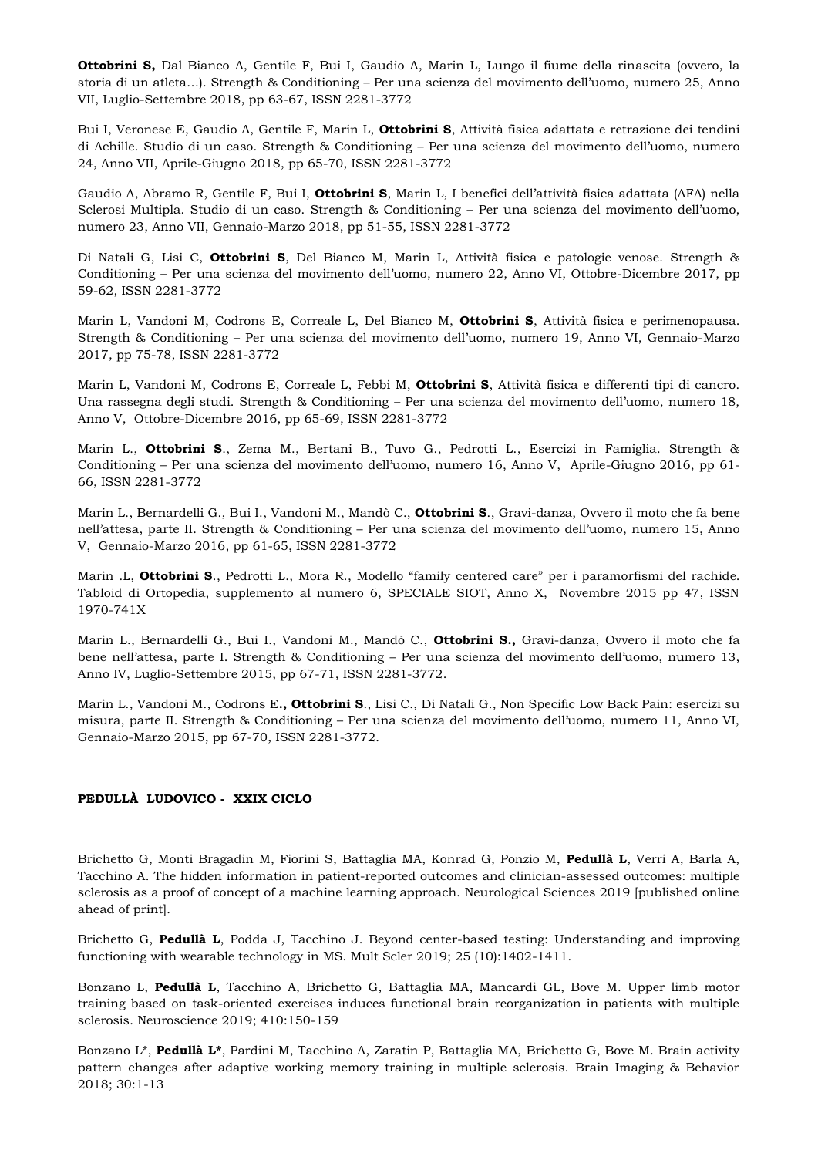**Ottobrini S,** Dal Bianco A, Gentile F, Bui I, Gaudio A, Marin L, Lungo il fiume della rinascita (ovvero, la storia di un atleta…). Strength & Conditioning – Per una scienza del movimento dell'uomo, numero 25, Anno VII, Luglio-Settembre 2018, pp 63-67, ISSN 2281-3772

Bui I, Veronese E, Gaudio A, Gentile F, Marin L, **Ottobrini S**, Attività fisica adattata e retrazione dei tendini di Achille. Studio di un caso. Strength & Conditioning – Per una scienza del movimento dell'uomo, numero 24, Anno VII, Aprile-Giugno 2018, pp 65-70, ISSN 2281-3772

Gaudio A, Abramo R, Gentile F, Bui I, **Ottobrini S**, Marin L, I benefici dell'attività fisica adattata (AFA) nella Sclerosi Multipla. Studio di un caso. Strength & Conditioning – Per una scienza del movimento dell'uomo, numero 23, Anno VII, Gennaio-Marzo 2018, pp 51-55, ISSN 2281-3772

Di Natali G, Lisi C, **Ottobrini S**, Del Bianco M, Marin L, Attività fisica e patologie venose. Strength & Conditioning – Per una scienza del movimento dell'uomo, numero 22, Anno VI, Ottobre-Dicembre 2017, pp 59-62, ISSN 2281-3772

Marin L, Vandoni M, Codrons E, Correale L, Del Bianco M, **Ottobrini S**, Attività fisica e perimenopausa. Strength & Conditioning – Per una scienza del movimento dell'uomo, numero 19, Anno VI, Gennaio-Marzo 2017, pp 75-78, ISSN 2281-3772

Marin L, Vandoni M, Codrons E, Correale L, Febbi M, **Ottobrini S**, Attività fisica e differenti tipi di cancro. Una rassegna degli studi. Strength & Conditioning – Per una scienza del movimento dell'uomo, numero 18, Anno V, Ottobre-Dicembre 2016, pp 65-69, ISSN 2281-3772

Marin L., **Ottobrini S**., Zema M., Bertani B., Tuvo G., Pedrotti L., Esercizi in Famiglia. Strength & Conditioning – Per una scienza del movimento dell'uomo, numero 16, Anno V, Aprile-Giugno 2016, pp 61- 66, ISSN 2281-3772

Marin L., Bernardelli G., Bui I., Vandoni M., Mandò C., **Ottobrini S**., Gravi-danza, Ovvero il moto che fa bene nell'attesa, parte II. Strength & Conditioning – Per una scienza del movimento dell'uomo, numero 15, Anno V, Gennaio-Marzo 2016, pp 61-65, ISSN 2281-3772

Marin .L, **Ottobrini S**., Pedrotti L., Mora R., Modello "family centered care" per i paramorfismi del rachide. Tabloid di Ortopedia, supplemento al numero 6, SPECIALE SIOT, Anno X, Novembre 2015 pp 47, ISSN 1970-741X

Marin L., Bernardelli G., Bui I., Vandoni M., Mandò C., **Ottobrini S.,** Gravi-danza, Ovvero il moto che fa bene nell'attesa, parte I. Strength & Conditioning – Per una scienza del movimento dell'uomo, numero 13, Anno IV, Luglio-Settembre 2015, pp 67-71, ISSN 2281-3772.

Marin L., Vandoni M., Codrons E**., Ottobrini S**., Lisi C., Di Natali G., Non Specific Low Back Pain: esercizi su misura, parte II. Strength & Conditioning – Per una scienza del movimento dell'uomo, numero 11, Anno VI, Gennaio-Marzo 2015, pp 67-70, ISSN 2281-3772.

# **PEDULLÀ LUDOVICO - XXIX CICLO**

Brichetto G, Monti Bragadin M, Fiorini S, Battaglia MA, Konrad G, Ponzio M, **Pedullà L**, Verri A, Barla A, Tacchino A. The hidden information in patient-reported outcomes and clinician-assessed outcomes: multiple sclerosis as a proof of concept of a machine learning approach. Neurological Sciences 2019 [published online ahead of print].

Brichetto G, **Pedullà L**, Podda J, Tacchino J. Beyond center-based testing: Understanding and improving functioning with wearable technology in MS. Mult Scler 2019; 25 (10):1402-1411.

Bonzano L, **Pedullà L**, Tacchino A, Brichetto G, Battaglia MA, Mancardi GL, Bove M. Upper limb motor training based on task-oriented exercises induces functional brain reorganization in patients with multiple sclerosis. Neuroscience 2019; 410:150-159

Bonzano L\*, **Pedullà L\***, Pardini M, Tacchino A, Zaratin P, Battaglia MA, Brichetto G, Bove M. Brain activity pattern changes after adaptive working memory training in multiple sclerosis. Brain Imaging & Behavior 2018; 30:1-13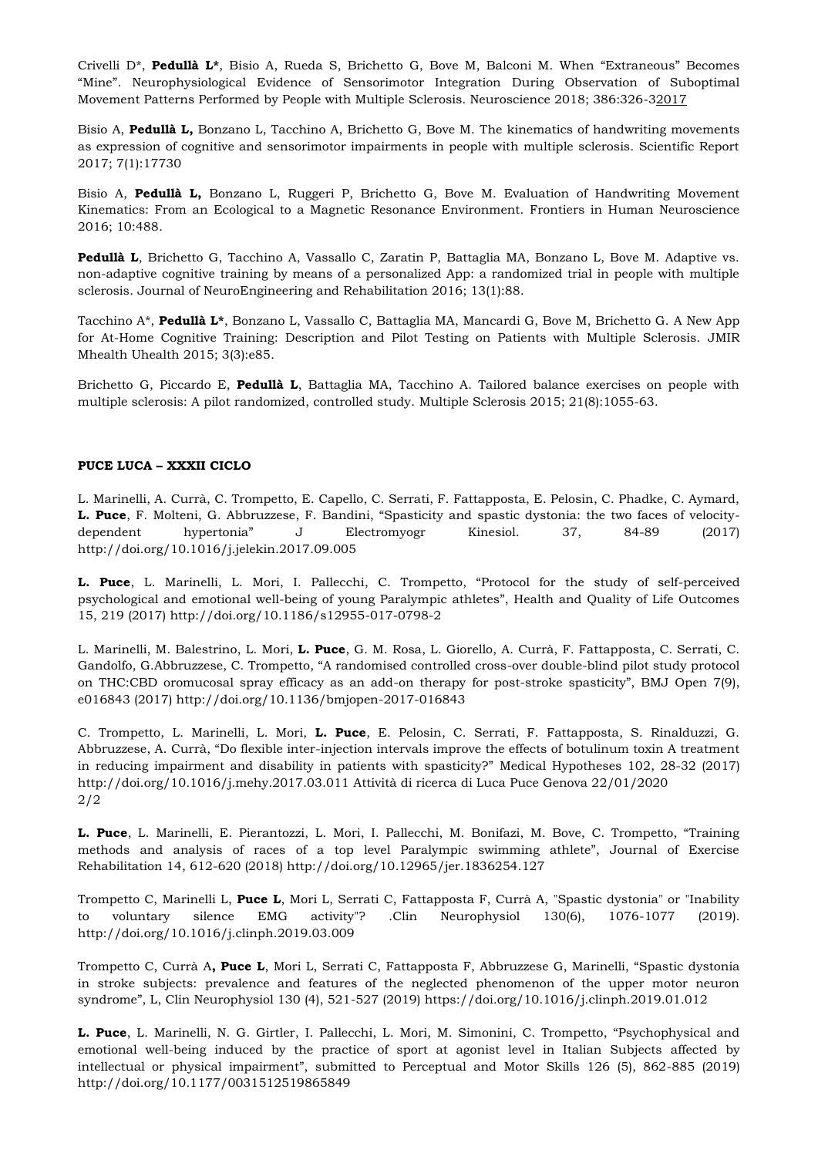Crivelli D\*, **Pedullà L\***, Bisio A, Rueda S, Brichetto G, Bove M, Balconi M. When "Extraneous" Becomes "Mine". Neurophysiological Evidence of Sensorimotor Integration During Observation of Suboptimal Movement Patterns Performed by People with Multiple Sclerosis. Neuroscience 2018; 386:326-32017

Bisio A, **Pedullà L,** Bonzano L, Tacchino A, Brichetto G, Bove M. The kinematics of handwriting movements as expression of cognitive and sensorimotor impairments in people with multiple sclerosis. Scientific Report 2017; 7(1):17730

Bisio A, **Pedullà L,** Bonzano L, Ruggeri P, Brichetto G, Bove M. Evaluation of Handwriting Movement Kinematics: From an Ecological to a Magnetic Resonance Environment. Frontiers in Human Neuroscience 2016; 10:488.

**Pedullà L**, Brichetto G, Tacchino A, Vassallo C, Zaratin P, Battaglia MA, Bonzano L, Bove M. Adaptive vs. non-adaptive cognitive training by means of a personalized App: a randomized trial in people with multiple sclerosis. Journal of NeuroEngineering and Rehabilitation 2016; 13(1):88.

Tacchino A\*, **Pedullà L\***, Bonzano L, Vassallo C, Battaglia MA, Mancardi G, Bove M, Brichetto G. A New App for At-Home Cognitive Training: Description and Pilot Testing on Patients with Multiple Sclerosis. JMIR Mhealth Uhealth 2015; 3(3):e85.

Brichetto G, Piccardo E, **Pedullà L**, Battaglia MA, Tacchino A. Tailored balance exercises on people with multiple sclerosis: A pilot randomized, controlled study. Multiple Sclerosis 2015; 21(8):1055-63.

# **PUCE LUCA – XXXII CICLO**

L. Marinelli, A. Currà, C. Trompetto, E. Capello, C. Serrati, F. Fattapposta, E. Pelosin, C. Phadke, C. Aymard, **L. Puce**, F. Molteni, G. Abbruzzese, F. Bandini, "Spasticity and spastic dystonia: the two faces of velocitydependent hypertonia" J Electromyogr Kinesiol. 37, 84-89 (2017) http://doi.org/10.1016/j.jelekin.2017.09.005

**L. Puce**, L. Marinelli, L. Mori, I. Pallecchi, C. Trompetto, "Protocol for the study of self-perceived psychological and emotional well-being of young Paralympic athletes", Health and Quality of Life Outcomes 15, 219 (2017) http://doi.org/10.1186/s12955-017-0798-2

L. Marinelli, M. Balestrino, L. Mori, **L. Puce**, G. M. Rosa, L. Giorello, A. Currà, F. Fattapposta, C. Serrati, C. Gandolfo, G.Abbruzzese, C. Trompetto, "A randomised controlled cross-over double-blind pilot study protocol on THC:CBD oromucosal spray efficacy as an add-on therapy for post-stroke spasticity", BMJ Open 7(9), e016843 (2017) http://doi.org/10.1136/bmjopen-2017-016843

C. Trompetto, L. Marinelli, L. Mori, **L. Puce**, E. Pelosin, C. Serrati, F. Fattapposta, S. Rinalduzzi, G. Abbruzzese, A. Currà, "Do flexible inter-injection intervals improve the effects of botulinum toxin A treatment in reducing impairment and disability in patients with spasticity?" Medical Hypotheses 102, 28-32 (2017) http://doi.org/10.1016/j.mehy.2017.03.011 Attività di ricerca di Luca Puce Genova 22/01/2020 2/2

**L. Puce**, L. Marinelli, E. Pierantozzi, L. Mori, I. Pallecchi, M. Bonifazi, M. Bove, C. Trompetto, "Training methods and analysis of races of a top level Paralympic swimming athlete", Journal of Exercise Rehabilitation 14, 612-620 (2018) http://doi.org/10.12965/jer.1836254.127

Trompetto C, Marinelli L, **Puce L**, Mori L, Serrati C, Fattapposta F, Currà A, "Spastic dystonia" or "Inability to voluntary silence EMG activity"? .Clin Neurophysiol 130(6), 1076-1077 (2019). http://doi.org/10.1016/j.clinph.2019.03.009

Trompetto C, Currà A**, Puce L**, Mori L, Serrati C, Fattapposta F, Abbruzzese G, Marinelli, "Spastic dystonia in stroke subjects: prevalence and features of the neglected phenomenon of the upper motor neuron syndrome", L, Clin Neurophysiol 130 (4), 521-527 (2019) https://doi.org/10.1016/j.clinph.2019.01.012

**L. Puce**, L. Marinelli, N. G. Girtler, I. Pallecchi, L. Mori, M. Simonini, C. Trompetto, "Psychophysical and emotional well-being induced by the practice of sport at agonist level in Italian Subjects affected by intellectual or physical impairment", submitted to Perceptual and Motor Skills 126 (5), 862-885 (2019) http://doi.org/10.1177/0031512519865849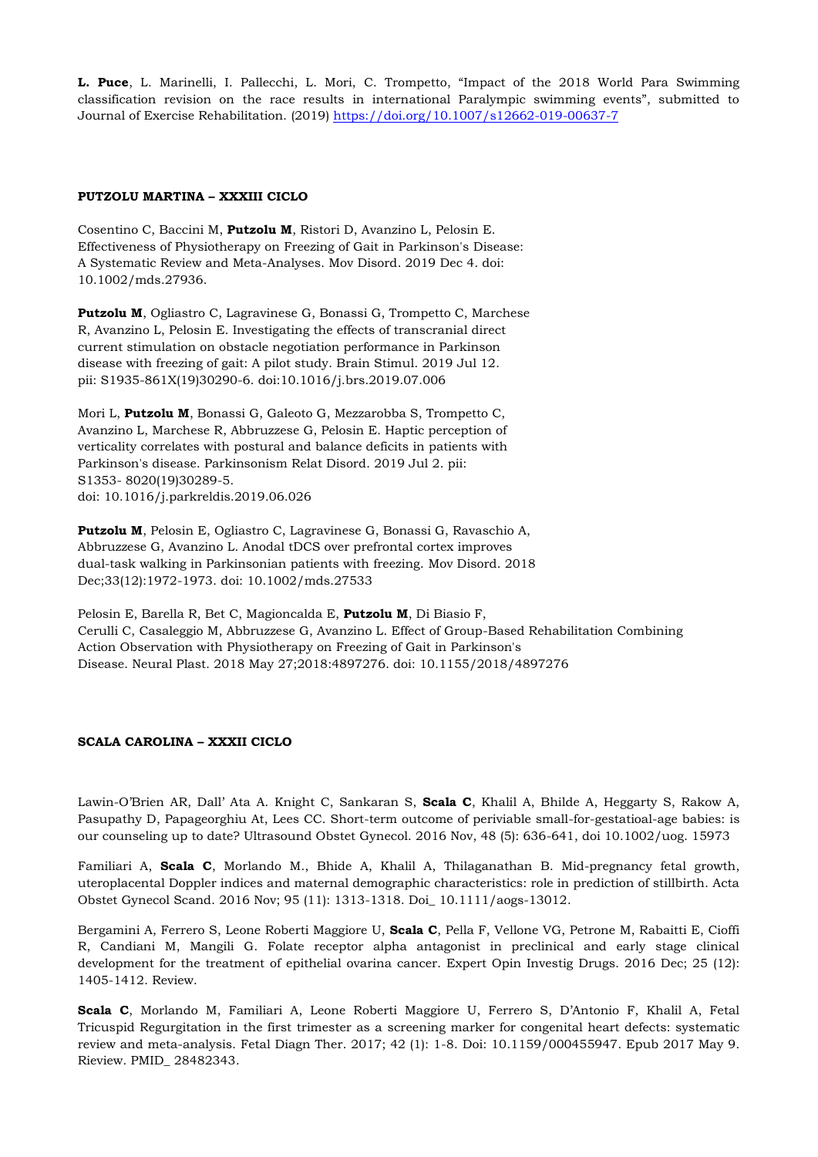**L. Puce**, L. Marinelli, I. Pallecchi, L. Mori, C. Trompetto, "Impact of the 2018 World Para Swimming classification revision on the race results in international Paralympic swimming events", submitted to Journal of Exercise Rehabilitation. (2019)<https://doi.org/10.1007/s12662-019-00637-7>

# **PUTZOLU MARTINA – XXXIII CICLO**

Cosentino C, Baccini M, **Putzolu M**, Ristori D, Avanzino L, Pelosin E. Effectiveness of Physiotherapy on Freezing of Gait in Parkinson's Disease: A Systematic Review and Meta-Analyses. Mov Disord. 2019 Dec 4. doi: 10.1002/mds.27936.

**Putzolu M**, Ogliastro C, Lagravinese G, Bonassi G, Trompetto C, Marchese R, Avanzino L, Pelosin E. Investigating the effects of transcranial direct current stimulation on obstacle negotiation performance in Parkinson disease with freezing of gait: A pilot study. Brain Stimul. 2019 Jul 12. pii: S1935-861X(19)30290-6. doi:10.1016/j.brs.2019.07.006

Mori L, **Putzolu M**, Bonassi G, Galeoto G, Mezzarobba S, Trompetto C, Avanzino L, Marchese R, Abbruzzese G, Pelosin E. Haptic perception of verticality correlates with postural and balance deficits in patients with Parkinson's disease. Parkinsonism Relat Disord. 2019 Jul 2. pii: S1353- 8020(19)30289-5. doi: 10.1016/j.parkreldis.2019.06.026

**Putzolu M**, Pelosin E, Ogliastro C, Lagravinese G, Bonassi G, Ravaschio A, Abbruzzese G, Avanzino L. Anodal tDCS over prefrontal cortex improves dual-task walking in Parkinsonian patients with freezing. Mov Disord. 2018 Dec;33(12):1972-1973. doi: 10.1002/mds.27533

Pelosin E, Barella R, Bet C, Magioncalda E, **Putzolu M**, Di Biasio F, Cerulli C, Casaleggio M, Abbruzzese G, Avanzino L. Effect of Group-Based Rehabilitation Combining Action Observation with Physiotherapy on Freezing of Gait in Parkinson's Disease. Neural Plast. 2018 May 27;2018:4897276. doi: 10.1155/2018/4897276

#### **SCALA CAROLINA – XXXII CICLO**

Lawin-O'Brien AR, Dall' Ata A. Knight C, Sankaran S, **Scala C**, Khalil A, Bhilde A, Heggarty S, Rakow A, Pasupathy D, Papageorghiu At, Lees CC. Short-term outcome of periviable small-for-gestatioal-age babies: is our counseling up to date? Ultrasound Obstet Gynecol. 2016 Nov, 48 (5): 636-641, doi 10.1002/uog. 15973

Familiari A, **Scala C**, Morlando M., Bhide A, Khalil A, Thilaganathan B. Mid-pregnancy fetal growth, uteroplacental Doppler indices and maternal demographic characteristics: role in prediction of stillbirth. Acta Obstet Gynecol Scand. 2016 Nov; 95 (11): 1313-1318. Doi\_ 10.1111/aogs-13012.

Bergamini A, Ferrero S, Leone Roberti Maggiore U, **Scala C**, Pella F, Vellone VG, Petrone M, Rabaitti E, Cioffi R, Candiani M, Mangili G. Folate receptor alpha antagonist in preclinical and early stage clinical development for the treatment of epithelial ovarina cancer. Expert Opin Investig Drugs. 2016 Dec; 25 (12): 1405-1412. Review.

**Scala C**, Morlando M, Familiari A, Leone Roberti Maggiore U, Ferrero S, D'Antonio F, Khalil A, Fetal Tricuspid Regurgitation in the first trimester as a screening marker for congenital heart defects: systematic review and meta-analysis. Fetal Diagn Ther. 2017; 42 (1): 1-8. Doi: 10.1159/000455947. Epub 2017 May 9. Rieview. PMID\_ 28482343.